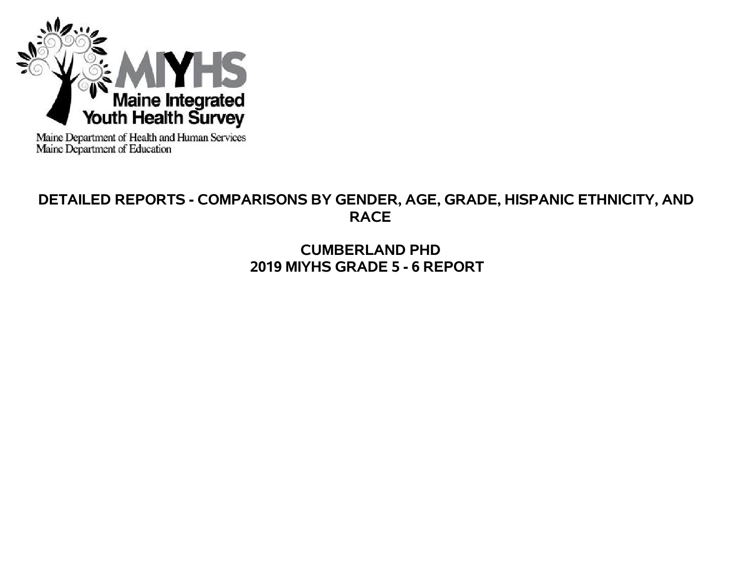

Maine Department of Health and Human Services<br>Maine Department of Education

# **DETAILED REPORTS - COMPARISONS BY GENDER, AGE, GRADE, HISPANIC ETHNICITY, AND RACE**

**CUMBERLAND PHD 2019 MIYHS GRADE 5 - 6 REPORT**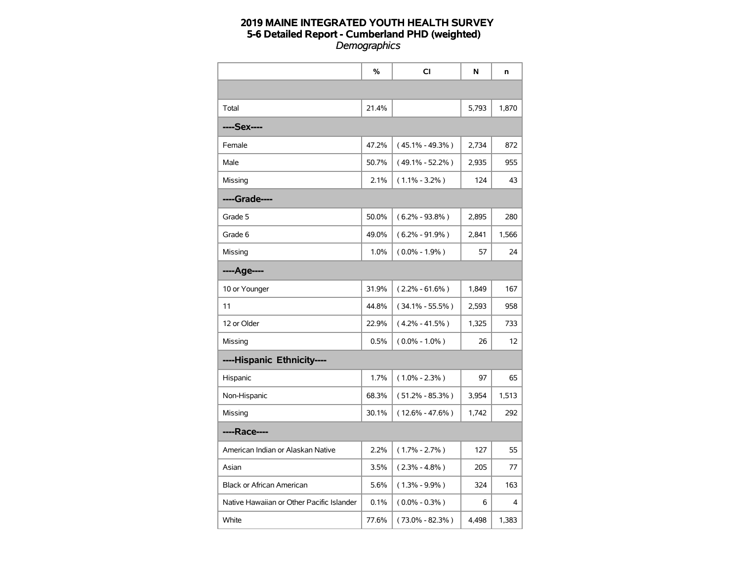|                                           | %     | CI                  | N     | n     |
|-------------------------------------------|-------|---------------------|-------|-------|
|                                           |       |                     |       |       |
| Total                                     | 21.4% |                     | 5,793 | 1,870 |
| ----Sex----                               |       |                     |       |       |
| Female                                    | 47.2% | $(45.1\% - 49.3\%)$ | 2,734 | 872   |
| Male                                      | 50.7% | $(49.1\% - 52.2\%)$ | 2,935 | 955   |
| Missing                                   | 2.1%  | $(1.1\% - 3.2\%)$   | 124   | 43    |
| ----Grade----                             |       |                     |       |       |
| Grade 5                                   | 50.0% | $(6.2\% - 93.8\%)$  | 2,895 | 280   |
| Grade 6                                   | 49.0% | $(6.2\% - 91.9\%)$  | 2,841 | 1,566 |
| Missing                                   | 1.0%  | $(0.0\% - 1.9\%)$   | 57    | 24    |
| ----Age----                               |       |                     |       |       |
| 10 or Younger                             | 31.9% | $(2.2\% - 61.6\%)$  | 1,849 | 167   |
| 11                                        | 44.8% | $(34.1\% - 55.5\%)$ | 2,593 | 958   |
| 12 or Older                               | 22.9% | $(4.2\% - 41.5\%)$  | 1,325 | 733   |
| Missing                                   | 0.5%  | $(0.0\% - 1.0\%)$   | 26    | 12    |
| ----Hispanic Ethnicity----                |       |                     |       |       |
| Hispanic                                  | 1.7%  | $(1.0\% - 2.3\%)$   | 97    | 65    |
| Non-Hispanic                              | 68.3% | $(51.2\% - 85.3\%)$ | 3,954 | 1,513 |
| Missing                                   | 30.1% | $(12.6\% - 47.6\%)$ | 1,742 | 292   |
| ----Race----                              |       |                     |       |       |
| American Indian or Alaskan Native         | 2.2%  | $(1.7\% - 2.7\%)$   | 127   | 55    |
| Asian                                     | 3.5%  | $(2.3\% - 4.8\%)$   | 205   | 77    |
| <b>Black or African American</b>          | 5.6%  | $(1.3\% - 9.9\%)$   | 324   | 163   |
| Native Hawaiian or Other Pacific Islander | 0.1%  | $(0.0\% - 0.3\%)$   | 6     | 4     |
| White                                     | 77.6% | $(73.0\% - 82.3\%)$ | 4,498 | 1,383 |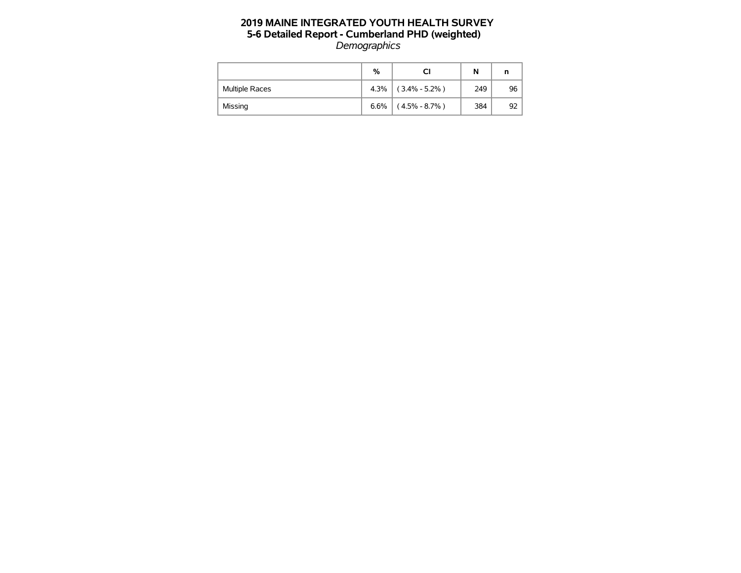|                       | %    | CI                | N   | n  |
|-----------------------|------|-------------------|-----|----|
| <b>Multiple Races</b> | 4.3% | $(3.4\% - 5.2\%)$ | 249 | 96 |
| Missing               | 6.6% | $(4.5\% - 8.7\%)$ | 384 | 92 |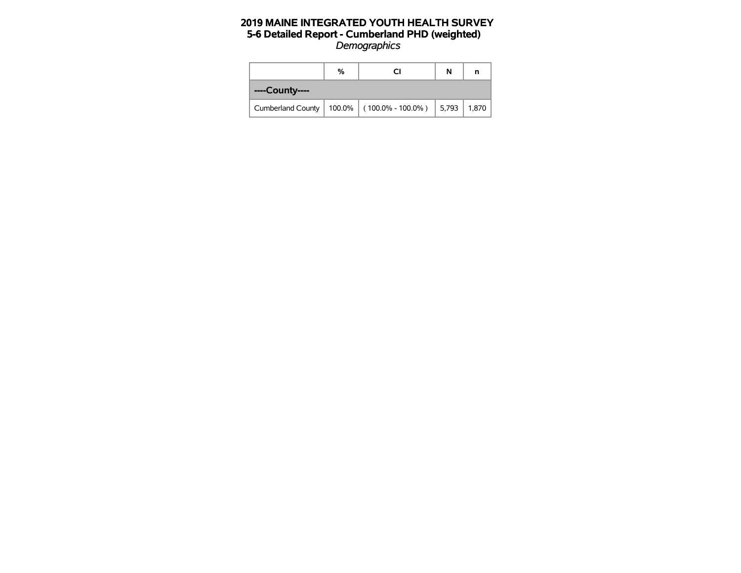|                | % |                                                        |  |       |  |  |
|----------------|---|--------------------------------------------------------|--|-------|--|--|
| ----County---- |   |                                                        |  |       |  |  |
|                |   | Cumberland County   100.0%   (100.0% - 100.0%)   5,793 |  | 1.870 |  |  |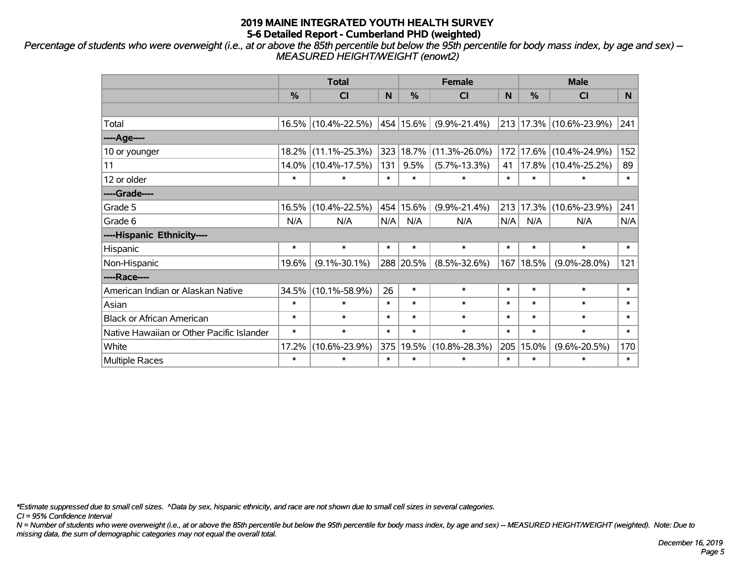*Percentage of students who were overweight (i.e., at or above the 85th percentile but below the 95th percentile for body mass index, by age and sex) -- MEASURED HEIGHT/WEIGHT (enowt2)*

|                                           |        | <b>Total</b>        |        |               | <b>Female</b>       |        | <b>Male</b> |                         |        |  |
|-------------------------------------------|--------|---------------------|--------|---------------|---------------------|--------|-------------|-------------------------|--------|--|
|                                           | %      | <b>CI</b>           | N      | $\frac{0}{0}$ | CI                  | N      | %           | <b>CI</b>               | N.     |  |
|                                           |        |                     |        |               |                     |        |             |                         |        |  |
| Total                                     |        | 16.5% (10.4%-22.5%) |        | 454 15.6%     | $(9.9\% - 21.4\%)$  |        |             | 213 17.3% (10.6%-23.9%) | 241    |  |
| ----Age----                               |        |                     |        |               |                     |        |             |                         |        |  |
| 10 or younger                             | 18.2%  | $(11.1\% - 25.3\%)$ | 323    | 18.7%         | $(11.3\% - 26.0\%)$ | 172    | 17.6%       | $(10.4\% - 24.9\%)$     | 152    |  |
| 11                                        |        | 14.0% (10.4%-17.5%) | 131    | 9.5%          | $(5.7\% - 13.3\%)$  | 41     |             | 17.8% (10.4%-25.2%)     | 89     |  |
| 12 or older                               | $\ast$ | $\ast$              | $\ast$ | $\ast$        | $\ast$              | $\ast$ | $\ast$      | $\ast$                  | $\ast$ |  |
| ----Grade----                             |        |                     |        |               |                     |        |             |                         |        |  |
| Grade 5                                   | 16.5%  | $(10.4\% - 22.5\%)$ |        | 454 15.6%     | $(9.9\% - 21.4\%)$  | 213    | 17.3%       | $(10.6\% - 23.9\%)$     | 241    |  |
| Grade 6                                   | N/A    | N/A                 | N/A    | N/A           | N/A                 | N/A    | N/A         | N/A                     | N/A    |  |
| ----Hispanic Ethnicity----                |        |                     |        |               |                     |        |             |                         |        |  |
| Hispanic                                  | $\ast$ | $\ast$              | $\ast$ | $\ast$        | $\ast$              | $\ast$ | $\ast$      | $\ast$                  | $\ast$ |  |
| Non-Hispanic                              | 19.6%  | $(9.1\% - 30.1\%)$  |        | 288 20.5%     | $(8.5\% - 32.6\%)$  |        | 167   18.5% | $(9.0\% - 28.0\%)$      | 121    |  |
| ----Race----                              |        |                     |        |               |                     |        |             |                         |        |  |
| American Indian or Alaskan Native         | 34.5%  | $(10.1\% - 58.9\%)$ | 26     | $\ast$        | $\ast$              | $\ast$ | $\ast$      | $\ast$                  | $\ast$ |  |
| Asian                                     | $\ast$ | $\ast$              | $\ast$ | $\ast$        | $\ast$              | $\ast$ | $\ast$      | $\ast$                  | $\ast$ |  |
| <b>Black or African American</b>          | $\ast$ | $\ast$              | $\ast$ | $\ast$        | $\ast$              | $\ast$ | $\ast$      | $\ast$                  | $\ast$ |  |
| Native Hawaiian or Other Pacific Islander | $\ast$ | $\ast$              | $\ast$ | $\ast$        | $\ast$              | $\ast$ | $\ast$      | $\ast$                  | $\ast$ |  |
| White                                     | 17.2%  | $(10.6\% - 23.9\%)$ | 375    | 19.5%         | $(10.8\% - 28.3\%)$ | 205    | 15.0%       | $(9.6\% - 20.5\%)$      | 170    |  |
| <b>Multiple Races</b>                     | $\ast$ | $\ast$              | $\ast$ | $\ast$        | $\ast$              | $\ast$ | $\ast$      | $\ast$                  | $\ast$ |  |

*\*Estimate suppressed due to small cell sizes. ^Data by sex, hispanic ethnicity, and race are not shown due to small cell sizes in several categories.*

*CI = 95% Confidence Interval*

*N = Number of students who were overweight (i.e., at or above the 85th percentile but below the 95th percentile for body mass index, by age and sex) -- MEASURED HEIGHT/WEIGHT (weighted). Note: Due to missing data, the sum of demographic categories may not equal the overall total.*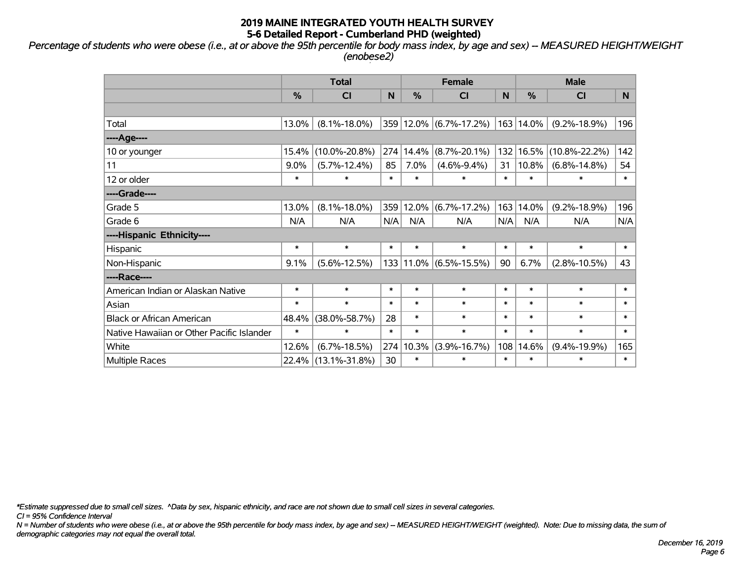*Percentage of students who were obese (i.e., at or above the 95th percentile for body mass index, by age and sex) -- MEASURED HEIGHT/WEIGHT (enobese2)*

|                                           |               | <b>Total</b>        |        |               | <b>Female</b>      |        | <b>Male</b>   |                     |        |  |
|-------------------------------------------|---------------|---------------------|--------|---------------|--------------------|--------|---------------|---------------------|--------|--|
|                                           | $\frac{9}{6}$ | CI                  | N      | $\frac{0}{0}$ | C <sub>l</sub>     | N      | $\frac{0}{0}$ | <b>CI</b>           | N.     |  |
|                                           |               |                     |        |               |                    |        |               |                     |        |  |
| Total                                     | 13.0%         | $(8.1\% - 18.0\%)$  |        | 359 12.0%     | $(6.7\% - 17.2\%)$ |        | 163   14.0%   | $(9.2\% - 18.9\%)$  | 196    |  |
| ----Age----                               |               |                     |        |               |                    |        |               |                     |        |  |
| 10 or younger                             | 15.4%         | $(10.0\% - 20.8\%)$ | 274    | 14.4%         | $(8.7\% - 20.1\%)$ | 132    | 16.5%         | $(10.8\% - 22.2\%)$ | 142    |  |
| 11                                        | 9.0%          | $(5.7\% - 12.4\%)$  | 85     | 7.0%          | $(4.6\% - 9.4\%)$  | 31     | 10.8%         | $(6.8\% - 14.8\%)$  | 54     |  |
| 12 or older                               | $\ast$        | $\ast$              | $\ast$ | $\ast$        | $\ast$             | $\ast$ | $\ast$        | $\ast$              | $\ast$ |  |
| ----Grade----                             |               |                     |        |               |                    |        |               |                     |        |  |
| Grade 5                                   | 13.0%         | $(8.1\% - 18.0\%)$  | 359    | 12.0%         | $(6.7\% - 17.2\%)$ | 163    | 14.0%         | $(9.2\% - 18.9\%)$  | 196    |  |
| Grade 6                                   | N/A           | N/A                 | N/A    | N/A           | N/A                | N/A    | N/A           | N/A                 | N/A    |  |
| ----Hispanic Ethnicity----                |               |                     |        |               |                    |        |               |                     |        |  |
| Hispanic                                  | $\ast$        | $\ast$              | $\ast$ | $\ast$        | $\ast$             | $\ast$ | $\ast$        | $\ast$              | $\ast$ |  |
| Non-Hispanic                              | 9.1%          | $(5.6\% - 12.5\%)$  |        | 133 11.0%     | $(6.5\% - 15.5\%)$ | 90     | 6.7%          | $(2.8\% - 10.5\%)$  | 43     |  |
| ----Race----                              |               |                     |        |               |                    |        |               |                     |        |  |
| American Indian or Alaskan Native         | $\ast$        | $\ast$              | $\ast$ | $\ast$        | $\ast$             | $\ast$ | $\ast$        | $\ast$              | $\ast$ |  |
| Asian                                     | $\ast$        | $\ast$              | $\ast$ | $\ast$        | $\ast$             | $\ast$ | $\ast$        | $\ast$              | $\ast$ |  |
| <b>Black or African American</b>          | 48.4%         | $(38.0\% - 58.7\%)$ | 28     | $\ast$        | $\ast$             | $\ast$ | $\ast$        | $\ast$              | $\ast$ |  |
| Native Hawaiian or Other Pacific Islander | $\ast$        | $\ast$              | $\ast$ | $\ast$        | $\ast$             | $\ast$ | $\ast$        | $\ast$              | $\ast$ |  |
| White                                     | 12.6%         | $(6.7\% - 18.5\%)$  | 274    | 10.3%         | $(3.9\% - 16.7\%)$ | 108    | 14.6%         | $(9.4\% - 19.9\%)$  | 165    |  |
| <b>Multiple Races</b>                     |               | 22.4% (13.1%-31.8%) | 30     | $\ast$        | $\ast$             | $\ast$ | $\ast$        | $\ast$              | $\ast$ |  |

*\*Estimate suppressed due to small cell sizes. ^Data by sex, hispanic ethnicity, and race are not shown due to small cell sizes in several categories.*

*CI = 95% Confidence Interval*

*N = Number of students who were obese (i.e., at or above the 95th percentile for body mass index, by age and sex) -- MEASURED HEIGHT/WEIGHT (weighted). Note: Due to missing data, the sum of demographic categories may not equal the overall total.*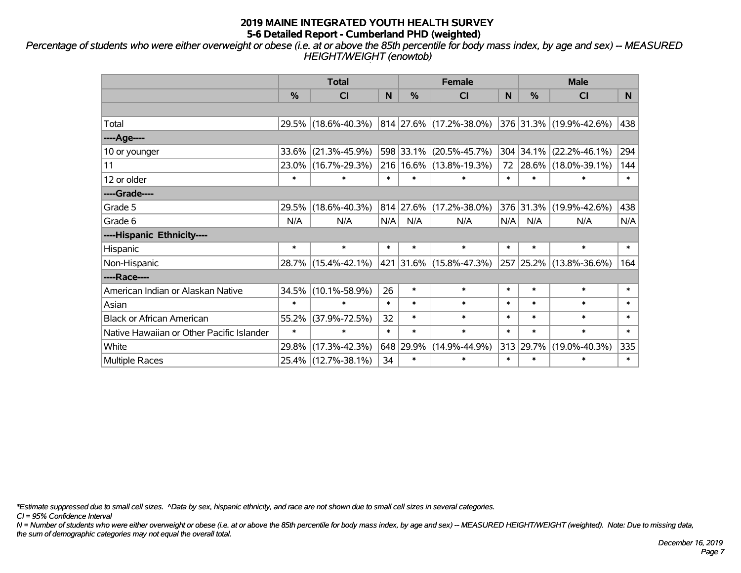*Percentage of students who were either overweight or obese (i.e. at or above the 85th percentile for body mass index, by age and sex) -- MEASURED HEIGHT/WEIGHT (enowtob)*

|                                           |        | <b>Total</b>        |        |               | <b>Female</b>               |        | <b>Male</b> |                         |        |  |
|-------------------------------------------|--------|---------------------|--------|---------------|-----------------------------|--------|-------------|-------------------------|--------|--|
|                                           | %      | <b>CI</b>           | N      | $\frac{0}{0}$ | CI                          | N      | %           | <b>CI</b>               | N.     |  |
|                                           |        |                     |        |               |                             |        |             |                         |        |  |
| Total                                     |        | 29.5% (18.6%-40.3%) |        |               | 814 27.6% (17.2%-38.0%)     |        |             | 376 31.3% (19.9%-42.6%) | 438    |  |
| ----Age----                               |        |                     |        |               |                             |        |             |                         |        |  |
| 10 or younger                             | 33.6%  | $(21.3\% - 45.9\%)$ |        | 598 33.1%     | $(20.5\% - 45.7\%)$         |        | 304 34.1%   | $(22.2\% - 46.1\%)$     | 294    |  |
| 11                                        |        | 23.0% (16.7%-29.3%) |        |               | 216   16.6%   (13.8%-19.3%) |        |             | 72 28.6% (18.0%-39.1%)  | 144    |  |
| 12 or older                               | $\ast$ | $\ast$              | $\ast$ | $\ast$        | $\ast$                      | $\ast$ | $\ast$      | $\ast$                  | $\ast$ |  |
| ----Grade----                             |        |                     |        |               |                             |        |             |                         |        |  |
| Grade 5                                   | 29.5%  | $(18.6\% - 40.3\%)$ |        | 814 27.6%     | $(17.2\% - 38.0\%)$         |        | 376 31.3%   | $(19.9\% - 42.6\%)$     | 438    |  |
| Grade 6                                   | N/A    | N/A                 | N/A    | N/A           | N/A                         | N/A    | N/A         | N/A                     | N/A    |  |
| ----Hispanic Ethnicity----                |        |                     |        |               |                             |        |             |                         |        |  |
| Hispanic                                  | $\ast$ | $\ast$              | $\ast$ | $\ast$        | $\ast$                      | $\ast$ | $\ast$      | $\ast$                  | $\ast$ |  |
| Non-Hispanic                              |        | 28.7% (15.4%-42.1%) | 421    |               | $ 31.6\% $ (15.8%-47.3%)    |        |             | 257 25.2% (13.8%-36.6%) | 164    |  |
| ----Race----                              |        |                     |        |               |                             |        |             |                         |        |  |
| American Indian or Alaskan Native         |        | 34.5% (10.1%-58.9%) | 26     | $\ast$        | $\ast$                      | $\ast$ | $\ast$      | $\ast$                  | $\ast$ |  |
| Asian                                     | $\ast$ | $\ast$              | $\ast$ | $\ast$        | $\ast$                      | $\ast$ | $\ast$      | $\ast$                  | $\ast$ |  |
| <b>Black or African American</b>          | 55.2%  | $(37.9\% - 72.5\%)$ | 32     | $\ast$        | $\ast$                      | $\ast$ | $\ast$      | $\ast$                  | $\ast$ |  |
| Native Hawaiian or Other Pacific Islander | $\ast$ | $\ast$              | $\ast$ | $\ast$        | $\ast$                      | $\ast$ | $\ast$      | $\ast$                  | $\ast$ |  |
| White                                     | 29.8%  | $(17.3\% - 42.3\%)$ |        | 648 29.9%     | $(14.9\% - 44.9\%)$         | 313    | 29.7%       | $(19.0\% - 40.3\%)$     | 335    |  |
| <b>Multiple Races</b>                     |        | 25.4% (12.7%-38.1%) | 34     | $\ast$        | $\ast$                      | $\ast$ | $\ast$      | $\ast$                  | $\ast$ |  |

*\*Estimate suppressed due to small cell sizes. ^Data by sex, hispanic ethnicity, and race are not shown due to small cell sizes in several categories.*

*CI = 95% Confidence Interval*

*N = Number of students who were either overweight or obese (i.e. at or above the 85th percentile for body mass index, by age and sex) -- MEASURED HEIGHT/WEIGHT (weighted). Note: Due to missing data, the sum of demographic categories may not equal the overall total.*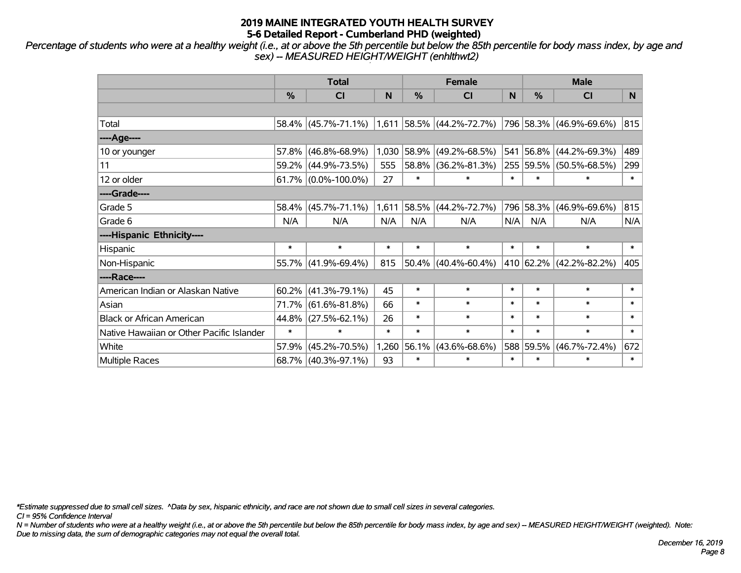*Percentage of students who were at a healthy weight (i.e., at or above the 5th percentile but below the 85th percentile for body mass index, by age and sex) -- MEASURED HEIGHT/WEIGHT (enhlthwt2)*

|                                           |               | <b>Total</b>                                     |        |            | <b>Female</b>          |        | <b>Male</b> |                         |        |  |
|-------------------------------------------|---------------|--------------------------------------------------|--------|------------|------------------------|--------|-------------|-------------------------|--------|--|
|                                           | $\frac{0}{0}$ | <b>CI</b>                                        | N      | %          | <b>CI</b>              | N      | %           | <b>CI</b>               | N.     |  |
|                                           |               |                                                  |        |            |                        |        |             |                         |        |  |
| Total                                     |               | $58.4\%$ (45.7%-71.1%) 1,611 58.5% (44.2%-72.7%) |        |            |                        |        |             | 796 58.3% (46.9%-69.6%) | 815    |  |
| ----Age----                               |               |                                                  |        |            |                        |        |             |                         |        |  |
| 10 or younger                             | 57.8%         | $(46.8\% - 68.9\%)$                              | 1,030  | $ 58.9\% $ | $(49.2\% - 68.5\%)$    | 541    | 56.8%       | $(44.2\% - 69.3\%)$     | 489    |  |
| 11                                        | $59.2\%$      | $(44.9\% - 73.5\%)$                              | 555    |            | 58.8% (36.2%-81.3%)    |        | 255 59.5%   | $(50.5\% - 68.5\%)$     | 299    |  |
| 12 or older                               |               | $61.7\%$ (0.0%-100.0%)                           | 27     | $\ast$     | $\ast$                 | $\ast$ | $\ast$      | $\ast$                  | $\ast$ |  |
| ----Grade----                             |               |                                                  |        |            |                        |        |             |                         |        |  |
| Grade 5                                   | 58.4%         | $(45.7\% - 71.1\%)$                              | 1,611  | 58.5%      | $(44.2\% - 72.7\%)$    | 796    | 58.3%       | $(46.9\% - 69.6\%)$     | 815    |  |
| Grade 6                                   | N/A           | N/A                                              | N/A    | N/A        | N/A                    | N/A    | N/A         | N/A                     | N/A    |  |
| ----Hispanic Ethnicity----                |               |                                                  |        |            |                        |        |             |                         |        |  |
| Hispanic                                  | $\ast$        | $\ast$                                           | $\ast$ | $\ast$     | $\ast$                 | $\ast$ | $\ast$      | $\ast$                  | $\ast$ |  |
| Non-Hispanic                              | 55.7%         | $(41.9\% - 69.4\%)$                              | 815    |            | $50.4\%$ (40.4%-60.4%) |        | 410 62.2%   | $(42.2\% - 82.2\%)$     | 405    |  |
| ----Race----                              |               |                                                  |        |            |                        |        |             |                         |        |  |
| American Indian or Alaskan Native         | 60.2%         | $(41.3\% - 79.1\%)$                              | 45     | $\ast$     | $\ast$                 | $\ast$ | $\ast$      | $\ast$                  | $\ast$ |  |
| Asian                                     | 71.7%         | $(61.6\% - 81.8\%)$                              | 66     | $\ast$     | $\ast$                 | $\ast$ | $\ast$      | $\ast$                  | $\ast$ |  |
| <b>Black or African American</b>          | 44.8%         | $(27.5\% - 62.1\%)$                              | 26     | $\ast$     | $\ast$                 | $\ast$ | $\ast$      | $\ast$                  | $\ast$ |  |
| Native Hawaiian or Other Pacific Islander | $\ast$        | $\ast$                                           | $\ast$ | $\ast$     | $\ast$                 | $\ast$ | $\ast$      | $\ast$                  | $\ast$ |  |
| White                                     | 57.9%         | $(45.2\% - 70.5\%)$                              | 1,260  | 56.1%      | $(43.6\% - 68.6\%)$    |        | 588 59.5%   | $(46.7\% - 72.4\%)$     | 672    |  |
| <b>Multiple Races</b>                     |               | 68.7% (40.3%-97.1%)                              | 93     | $\ast$     | $\ast$                 | $\ast$ | $\ast$      | $\ast$                  | $\ast$ |  |

*\*Estimate suppressed due to small cell sizes. ^Data by sex, hispanic ethnicity, and race are not shown due to small cell sizes in several categories.*

*CI = 95% Confidence Interval*

*N = Number of students who were at a healthy weight (i.e., at or above the 5th percentile but below the 85th percentile for body mass index, by age and sex) -- MEASURED HEIGHT/WEIGHT (weighted). Note: Due to missing data, the sum of demographic categories may not equal the overall total.*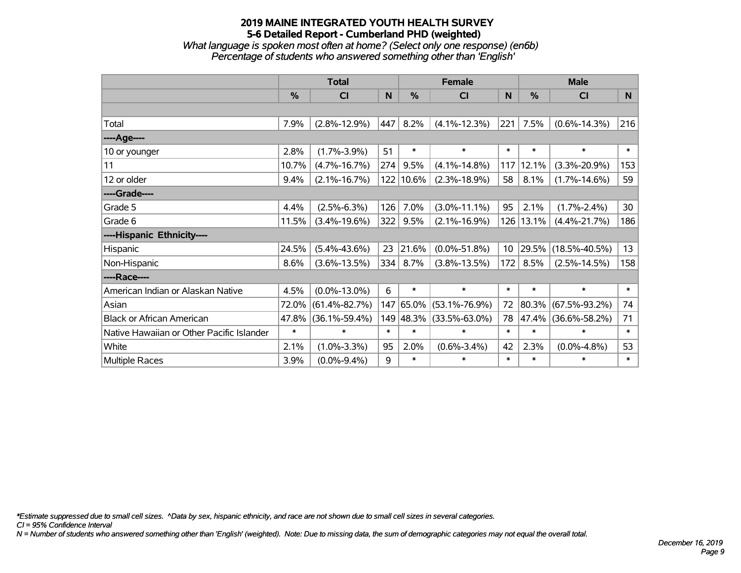*What language is spoken most often at home? (Select only one response) (en6b) Percentage of students who answered something other than 'English'*

|                                           |               | <b>Total</b>        |        |               | <b>Female</b>       |                 | <b>Male</b> |                     |                |
|-------------------------------------------|---------------|---------------------|--------|---------------|---------------------|-----------------|-------------|---------------------|----------------|
|                                           | $\frac{0}{0}$ | CI                  | N      | $\frac{0}{0}$ | CI                  | <b>N</b>        | %           | <b>CI</b>           | N <sub>1</sub> |
|                                           |               |                     |        |               |                     |                 |             |                     |                |
| Total                                     | 7.9%          | $(2.8\% - 12.9\%)$  | 447    | 8.2%          | $(4.1\% - 12.3\%)$  | 221             | 7.5%        | $(0.6\% - 14.3\%)$  | 216            |
| ----Age----                               |               |                     |        |               |                     |                 |             |                     |                |
| 10 or younger                             | 2.8%          | $(1.7\% - 3.9\%)$   | 51     | $\ast$        | $\ast$              | $\ast$          | $\ast$      | $\ast$              | $\ast$         |
| 11                                        | 10.7%         | $(4.7\% - 16.7\%)$  | 274    | 9.5%          | $(4.1\% - 14.8\%)$  | 117             | 12.1%       | $(3.3\% - 20.9\%)$  | 153            |
| 12 or older                               | 9.4%          | $(2.1\% - 16.7\%)$  |        | 122 10.6%     | $(2.3\% - 18.9\%)$  | 58              | 8.1%        | $(1.7\% - 14.6\%)$  | 59             |
| ----Grade----                             |               |                     |        |               |                     |                 |             |                     |                |
| Grade 5                                   | 4.4%          | $(2.5\% - 6.3\%)$   | 126    | 7.0%          | $(3.0\% - 11.1\%)$  | 95              | 2.1%        | $(1.7\% - 2.4\%)$   | 30             |
| Grade 6                                   | 11.5%         | $(3.4\% - 19.6\%)$  | 322    | 9.5%          | $(2.1\% - 16.9\%)$  | 126             | 13.1%       | $(4.4\% - 21.7\%)$  | 186            |
| ----Hispanic Ethnicity----                |               |                     |        |               |                     |                 |             |                     |                |
| Hispanic                                  | 24.5%         | $(5.4\% - 43.6\%)$  | 23     | 21.6%         | $(0.0\% - 51.8\%)$  | 10 <sup>°</sup> | 29.5%       | $(18.5\% - 40.5\%)$ | 13             |
| Non-Hispanic                              | 8.6%          | $(3.6\% - 13.5\%)$  | 334    | 8.7%          | $(3.8\% - 13.5\%)$  | 172             | 8.5%        | $(2.5\% - 14.5\%)$  | 158            |
| ----Race----                              |               |                     |        |               |                     |                 |             |                     |                |
| American Indian or Alaskan Native         | 4.5%          | $(0.0\% - 13.0\%)$  | 6      | $\ast$        | $\ast$              | $\ast$          | $\ast$      | $\ast$              | $\ast$         |
| Asian                                     | 72.0%         | $(61.4\% - 82.7\%)$ | 147    | 65.0%         | $(53.1\% - 76.9\%)$ | 72              | 80.3%       | $(67.5\% - 93.2\%)$ | 74             |
| <b>Black or African American</b>          | 47.8%         | $(36.1\% - 59.4\%)$ |        | 149 48.3%     | $(33.5\% - 63.0\%)$ | 78              | 47.4%       | $(36.6\% - 58.2\%)$ | 71             |
| Native Hawaiian or Other Pacific Islander | $\ast$        | $\ast$              | $\ast$ | $\ast$        | $\ast$              | $\ast$          | $\ast$      | $\ast$              | $\ast$         |
| White                                     | 2.1%          | $(1.0\% - 3.3\%)$   | 95     | 2.0%          | $(0.6\% - 3.4\%)$   | 42              | 2.3%        | $(0.0\% - 4.8\%)$   | 53             |
| Multiple Races                            | 3.9%          | $(0.0\% - 9.4\%)$   | 9      | $\ast$        | $\ast$              | $\ast$          | $\ast$      | $\ast$              | $\ast$         |

*\*Estimate suppressed due to small cell sizes. ^Data by sex, hispanic ethnicity, and race are not shown due to small cell sizes in several categories.*

*CI = 95% Confidence Interval*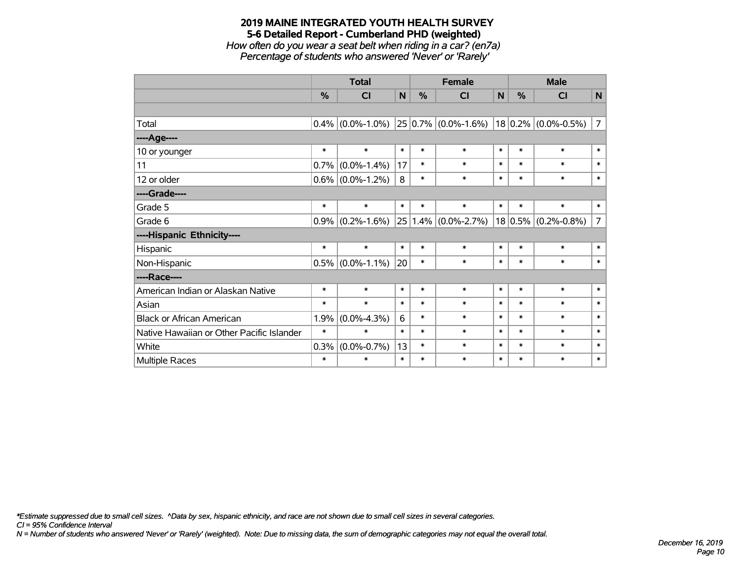*How often do you wear a seat belt when riding in a car? (en7a) Percentage of students who answered 'Never' or 'Rarely'*

|                                           |               | <b>Total</b>                                                                   |        |        | <b>Female</b>           |        | <b>Male</b> |                          |                |
|-------------------------------------------|---------------|--------------------------------------------------------------------------------|--------|--------|-------------------------|--------|-------------|--------------------------|----------------|
|                                           | $\frac{0}{0}$ | CI                                                                             | N      | %      | CI                      | N      | $\%$        | <b>CI</b>                | N              |
|                                           |               |                                                                                |        |        |                         |        |             |                          |                |
| Total                                     |               | $\vert 0.4\% \vert (0.0\% - 1.0\%) \vert 25 \vert 0.7\% \vert (0.0\% - 1.6\%)$ |        |        |                         |        |             | $ 18 0.2\% $ (0.0%-0.5%) | $\overline{7}$ |
| ----Age----                               |               |                                                                                |        |        |                         |        |             |                          |                |
| 10 or younger                             | $\ast$        | $\ast$                                                                         | $\ast$ | $\ast$ | $\ast$                  | $\ast$ | $\ast$      | $\ast$                   | $\ast$         |
| 11                                        | 0.7%          | $(0.0\% - 1.4\%)$                                                              | 17     | $\ast$ | $\ast$                  | $\ast$ | $\ast$      | $\ast$                   | $\ast$         |
| 12 or older                               | $0.6\%$       | $(0.0\% - 1.2\%)$                                                              | 8      | $\ast$ | $\ast$                  | $\ast$ | $\ast$      | $\ast$                   | $\ast$         |
| ----Grade----                             |               |                                                                                |        |        |                         |        |             |                          |                |
| Grade 5                                   | $\ast$        | $\ast$                                                                         | $\ast$ | $\ast$ | $\ast$                  | $\ast$ | $\ast$      | $\ast$                   | $\ast$         |
| Grade 6                                   | 0.9%          | $(0.2\% - 1.6\%)$                                                              |        |        | $25 1.4\% $ (0.0%-2.7%) |        | 18 0.5%     | $(0.2\% - 0.8\%)$        | $\overline{7}$ |
| ----Hispanic Ethnicity----                |               |                                                                                |        |        |                         |        |             |                          |                |
| Hispanic                                  | $\ast$        | $\ast$                                                                         | $\ast$ | $\ast$ | $\ast$                  | $\ast$ | $\ast$      | $\ast$                   | $\ast$         |
| Non-Hispanic                              |               | $0.5\%$ (0.0%-1.1%)                                                            | 20     | $\ast$ | $\ast$                  | $\ast$ | $\ast$      | $\ast$                   | $\ast$         |
| ----Race----                              |               |                                                                                |        |        |                         |        |             |                          |                |
| American Indian or Alaskan Native         | $\ast$        | $\ast$                                                                         | $\ast$ | $\ast$ | $\ast$                  | $\ast$ | $\ast$      | $\ast$                   | $\ast$         |
| Asian                                     | $\ast$        | $\ast$                                                                         | $\ast$ | $\ast$ | $\ast$                  | $\ast$ | $\ast$      | $\ast$                   | $\ast$         |
| <b>Black or African American</b>          | 1.9%          | $(0.0\% - 4.3\%)$                                                              | 6      | $\ast$ | $\ast$                  | $\ast$ | $\ast$      | $\ast$                   | $\ast$         |
| Native Hawaiian or Other Pacific Islander | $\ast$        | $\ast$                                                                         | $\ast$ | $\ast$ | $\ast$                  | $\ast$ | $\ast$      | $\ast$                   | $\ast$         |
| White                                     | 0.3%          | $(0.0\% - 0.7\%)$                                                              | 13     | $\ast$ | $\ast$                  | $\ast$ | $\ast$      | $\ast$                   | $\ast$         |
| Multiple Races                            | $\ast$        | $\ast$                                                                         | $\ast$ | $\ast$ | $\ast$                  | $\ast$ | $\ast$      | $\ast$                   | $\ast$         |

*\*Estimate suppressed due to small cell sizes. ^Data by sex, hispanic ethnicity, and race are not shown due to small cell sizes in several categories.*

*CI = 95% Confidence Interval*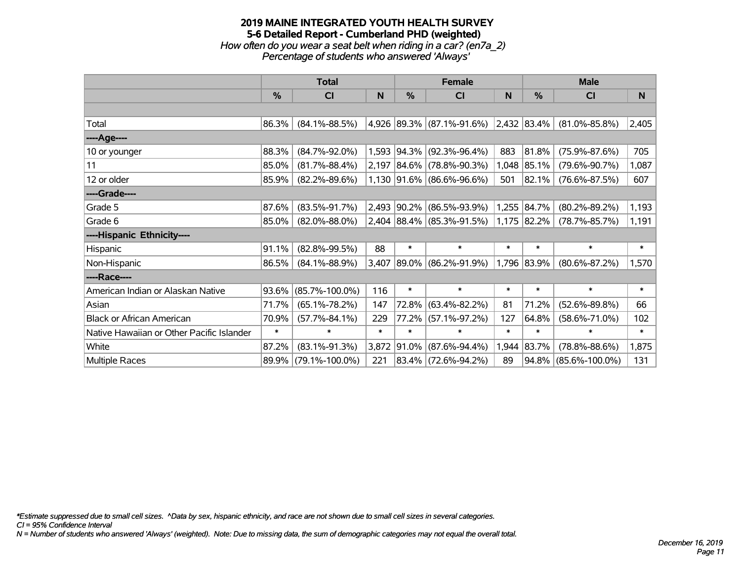### **2019 MAINE INTEGRATED YOUTH HEALTH SURVEY 5-6 Detailed Report - Cumberland PHD (weighted)** *How often do you wear a seat belt when riding in a car? (en7a\_2)*

*Percentage of students who answered 'Always'*

|                                           |               | <b>Total</b>         |          |               | <b>Female</b>                                   |        | <b>Male</b>   |                      |          |  |
|-------------------------------------------|---------------|----------------------|----------|---------------|-------------------------------------------------|--------|---------------|----------------------|----------|--|
|                                           | $\frac{0}{0}$ | CI                   | <b>N</b> | $\frac{0}{0}$ | <b>CI</b>                                       | N      | %             | <b>CI</b>            | <b>N</b> |  |
|                                           |               |                      |          |               |                                                 |        |               |                      |          |  |
| Total                                     | 86.3%         | $(84.1\% - 88.5\%)$  |          |               | $(4,926 89.3\% (87.1\% - 91.6\%) 2,432 83.4\% $ |        |               | $(81.0\% - 85.8\%)$  | 2,405    |  |
| ----Age----                               |               |                      |          |               |                                                 |        |               |                      |          |  |
| 10 or younger                             | 88.3%         | $(84.7\% - 92.0\%)$  |          |               | 1,593 94.3% (92.3%-96.4%)                       | 883    | 81.8%         | $(75.9\% - 87.6\%)$  | 705      |  |
| 11                                        | 85.0%         | $(81.7\% - 88.4\%)$  |          |               | $2,197$ 84.6% (78.8%-90.3%)                     | 1,048  | 85.1%         | $(79.6\% - 90.7\%)$  | 1,087    |  |
| 12 or older                               | 85.9%         | $(82.2\% - 89.6\%)$  |          |               | $1,130$ 91.6% (86.6%-96.6%)                     | 501    | $ 82.1\% $    | $(76.6\% - 87.5\%)$  | 607      |  |
| ----Grade----                             |               |                      |          |               |                                                 |        |               |                      |          |  |
| Grade 5                                   | 87.6%         | $(83.5\% - 91.7\%)$  |          |               | 2,493 90.2% (86.5%-93.9%)                       |        | 1,255 84.7%   | $(80.2\% - 89.2\%)$  | 1,193    |  |
| Grade 6                                   | 85.0%         | $(82.0\% - 88.0\%)$  |          |               | $2,404$ 88.4% (85.3%-91.5%)                     |        | $1,175$ 82.2% | $(78.7\% - 85.7\%)$  | 1,191    |  |
| ----Hispanic Ethnicity----                |               |                      |          |               |                                                 |        |               |                      |          |  |
| Hispanic                                  | 91.1%         | $(82.8\% - 99.5\%)$  | 88       | $\ast$        | $\ast$                                          | $\ast$ | $\ast$        | $\ast$               | $\ast$   |  |
| Non-Hispanic                              | 86.5%         | $(84.1\% - 88.9\%)$  | 3,407    |               | 89.0% (86.2%-91.9%)                             |        | 1,796 83.9%   | $(80.6\% - 87.2\%)$  | 1,570    |  |
| ----Race----                              |               |                      |          |               |                                                 |        |               |                      |          |  |
| American Indian or Alaskan Native         | 93.6%         | $(85.7\% - 100.0\%)$ | 116      | $\ast$        | $\ast$                                          | $\ast$ | $\ast$        | $\ast$               | $\ast$   |  |
| Asian                                     | 71.7%         | $(65.1\% - 78.2\%)$  | 147      |               | 72.8% (63.4%-82.2%)                             | 81     | 71.2%         | $(52.6\% - 89.8\%)$  | 66       |  |
| <b>Black or African American</b>          | 70.9%         | $(57.7\% - 84.1\%)$  | 229      |               | 77.2% (57.1%-97.2%)                             | 127    | 64.8%         | $(58.6\% - 71.0\%)$  | 102      |  |
| Native Hawaiian or Other Pacific Islander | $\ast$        | $\ast$               | $\ast$   | $\ast$        | $\ast$                                          | $\ast$ | $\ast$        | *                    | $\ast$   |  |
| White                                     | 87.2%         | $(83.1\% - 91.3\%)$  | 3,872    |               | $91.0\%$ (87.6%-94.4%)                          | 1,944  | 83.7%         | $(78.8\% - 88.6\%)$  | 1,875    |  |
| Multiple Races                            |               | 89.9% (79.1%-100.0%) | 221      |               | 83.4% (72.6%-94.2%)                             | 89     |               | 94.8% (85.6%-100.0%) | 131      |  |

*\*Estimate suppressed due to small cell sizes. ^Data by sex, hispanic ethnicity, and race are not shown due to small cell sizes in several categories.*

*CI = 95% Confidence Interval*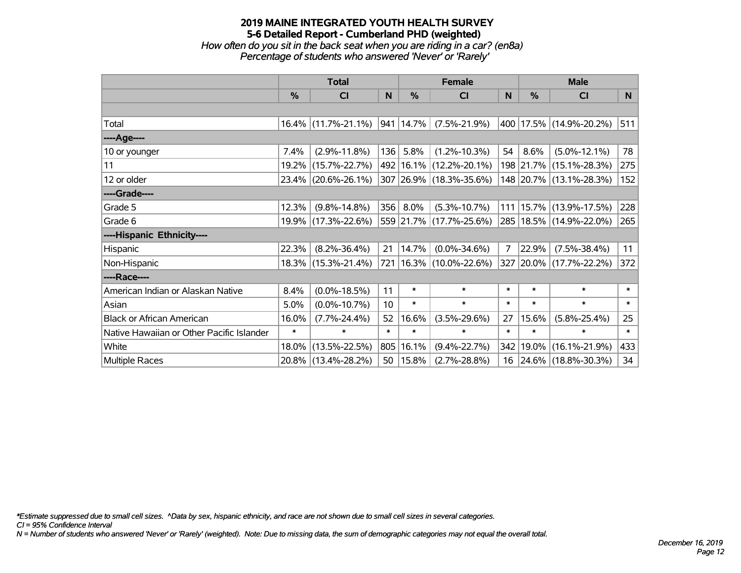*How often do you sit in the back seat when you are riding in a car? (en8a) Percentage of students who answered 'Never' or 'Rarely'*

|                                           |               | <b>Total</b>           |        |                | <b>Female</b>               |                | <b>Male</b> |                             |        |  |
|-------------------------------------------|---------------|------------------------|--------|----------------|-----------------------------|----------------|-------------|-----------------------------|--------|--|
|                                           | $\frac{0}{0}$ | CI                     | N      | $\%$           | <b>CI</b>                   | <sub>N</sub>   | %           | <b>CI</b>                   | N      |  |
|                                           |               |                        |        |                |                             |                |             |                             |        |  |
| Total                                     |               | $16.4\%$ (11.7%-21.1%) |        | $ 941 14.7\% $ | $(7.5\% - 21.9\%)$          |                |             | 400 17.5% (14.9%-20.2%)     | 511    |  |
| ----Age----                               |               |                        |        |                |                             |                |             |                             |        |  |
| 10 or younger                             | 7.4%          | $(2.9\% - 11.8\%)$     | 136    | 5.8%           | $(1.2\% - 10.3\%)$          | 54             | 8.6%        | $(5.0\% - 12.1\%)$          | 78     |  |
| 11                                        |               | 19.2% (15.7%-22.7%)    |        |                | 492 16.1% (12.2%-20.1%)     |                |             | 198 21.7% (15.1%-28.3%)     | 275    |  |
| 12 or older                               |               | 23.4% (20.6%-26.1%)    |        |                | 307 26.9% (18.3%-35.6%)     |                |             | 148 20.7% (13.1%-28.3%)     | 152    |  |
| ----Grade----                             |               |                        |        |                |                             |                |             |                             |        |  |
| Grade 5                                   | 12.3%         | $(9.8\% - 14.8\%)$     | 356    | 8.0%           | $(5.3\% - 10.7\%)$          | 111            | 15.7%       | $(13.9\% - 17.5\%)$         | 228    |  |
| Grade 6                                   |               | 19.9% (17.3%-22.6%)    |        |                | 559 21.7% (17.7%-25.6%)     |                |             | 285   18.5%   (14.9%-22.0%) | 265    |  |
| ----Hispanic Ethnicity----                |               |                        |        |                |                             |                |             |                             |        |  |
| Hispanic                                  | 22.3%         | $(8.2\% - 36.4\%)$     | 21     | 14.7%          | $(0.0\% - 34.6\%)$          | $\overline{7}$ | 22.9%       | $(7.5\% - 38.4\%)$          | 11     |  |
| Non-Hispanic                              |               | 18.3% (15.3%-21.4%)    |        |                | 721   16.3%   (10.0%-22.6%) |                |             | 327 20.0% (17.7%-22.2%)     | 372    |  |
| ----Race----                              |               |                        |        |                |                             |                |             |                             |        |  |
| American Indian or Alaskan Native         | 8.4%          | $(0.0\% - 18.5\%)$     | 11     | $\ast$         | $\ast$                      | $\ast$         | $\ast$      | $\ast$                      | $\ast$ |  |
| Asian                                     | 5.0%          | $(0.0\% - 10.7\%)$     | 10     | $\ast$         | $\ast$                      | $\ast$         | $\ast$      | $\ast$                      | $\ast$ |  |
| <b>Black or African American</b>          | 16.0%         | $(7.7\% - 24.4\%)$     | 52     | 16.6%          | $(3.5\% - 29.6\%)$          | 27             | 15.6%       | $(5.8\% - 25.4\%)$          | 25     |  |
| Native Hawaiian or Other Pacific Islander | $\ast$        | $\ast$                 | $\ast$ | $\ast$         | $\ast$                      | $\ast$         | $\ast$      | $\ast$                      | $\ast$ |  |
| White                                     | 18.0%         | $(13.5\% - 22.5\%)$    | 805    | 16.1%          | $(9.4\% - 22.7\%)$          | 342            | 19.0%       | $(16.1\% - 21.9\%)$         | 433    |  |
| <b>Multiple Races</b>                     |               | 20.8% (13.4%-28.2%)    | 50     | $ 15.8\% $     | $(2.7\% - 28.8\%)$          |                |             | 16 24.6% (18.8%-30.3%)      | 34     |  |

*\*Estimate suppressed due to small cell sizes. ^Data by sex, hispanic ethnicity, and race are not shown due to small cell sizes in several categories.*

*CI = 95% Confidence Interval*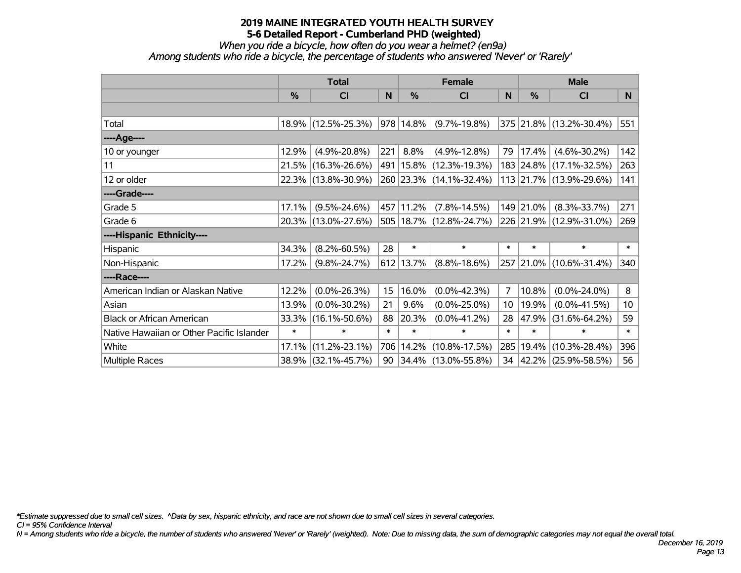*When you ride a bicycle, how often do you wear a helmet? (en9a)*

*Among students who ride a bicycle, the percentage of students who answered 'Never' or 'Rarely'*

|                                           |        | <b>Total</b>        |        |             | <b>Female</b>               |        | <b>Male</b> |                         |        |
|-------------------------------------------|--------|---------------------|--------|-------------|-----------------------------|--------|-------------|-------------------------|--------|
|                                           | $\%$   | <b>CI</b>           | N      | $\%$        | <b>CI</b>                   | N      | $\%$        | <b>CI</b>               | N.     |
|                                           |        |                     |        |             |                             |        |             |                         |        |
| Total                                     |        | 18.9% (12.5%-25.3%) |        | $978$ 14.8% | $(9.7\% - 19.8\%)$          |        |             | 375 21.8% (13.2%-30.4%) | 551    |
| ----Age----                               |        |                     |        |             |                             |        |             |                         |        |
| 10 or younger                             | 12.9%  | $(4.9\% - 20.8\%)$  | 221    | 8.8%        | $(4.9\% - 12.8\%)$          | 79     | 17.4%       | $(4.6\% - 30.2\%)$      | 142    |
| 11                                        |        | 21.5% (16.3%-26.6%) |        |             | 491   15.8%   (12.3%-19.3%) |        |             | 183 24.8% (17.1%-32.5%) | 263    |
| 12 or older                               |        | 22.3% (13.8%-30.9%) |        |             | 260 23.3% (14.1%-32.4%)     |        |             | 113 21.7% (13.9%-29.6%) | 141    |
| ----Grade----                             |        |                     |        |             |                             |        |             |                         |        |
| Grade 5                                   | 17.1%  | $(9.5\% - 24.6\%)$  |        | 457 11.2%   | $(7.8\% - 14.5\%)$          |        | 149 21.0%   | $(8.3\% - 33.7\%)$      | 271    |
| Grade 6                                   |        | 20.3% (13.0%-27.6%) |        |             | 505 18.7% (12.8%-24.7%)     |        |             | 226 21.9% (12.9%-31.0%) | 269    |
| ----Hispanic Ethnicity----                |        |                     |        |             |                             |        |             |                         |        |
| Hispanic                                  | 34.3%  | $(8.2\% - 60.5\%)$  | 28     | $\ast$      | $\ast$                      | $\ast$ | $\ast$      | $\ast$                  | $\ast$ |
| Non-Hispanic                              | 17.2%  | $(9.8\% - 24.7\%)$  |        | 612 13.7%   | $(8.8\% - 18.6\%)$          |        |             | 257 21.0% (10.6%-31.4%) | 340    |
| ----Race----                              |        |                     |        |             |                             |        |             |                         |        |
| American Indian or Alaskan Native         | 12.2%  | $(0.0\% - 26.3\%)$  | 15     | 16.0%       | $(0.0\% - 42.3\%)$          | 7      | 10.8%       | $(0.0\% - 24.0\%)$      | 8      |
| Asian                                     | 13.9%  | $(0.0\% - 30.2\%)$  | 21     | 9.6%        | $(0.0\% - 25.0\%)$          | 10     | 19.9%       | $(0.0\% - 41.5\%)$      | 10     |
| <b>Black or African American</b>          | 33.3%  | $(16.1\% - 50.6\%)$ | 88     | 20.3%       | $(0.0\% - 41.2\%)$          | 28     | 47.9%       | $(31.6\% - 64.2\%)$     | 59     |
| Native Hawaiian or Other Pacific Islander | $\ast$ | $\ast$              | $\ast$ | $\ast$      | $\ast$                      | $\ast$ | $\ast$      | $\ast$                  | $\ast$ |
| White                                     | 17.1%  | $(11.2\% - 23.1\%)$ | 706    | 14.2%       | $(10.8\% - 17.5\%)$         | 285    | 19.4%       | $(10.3\% - 28.4\%)$     | 396    |
| Multiple Races                            |        | 38.9% (32.1%-45.7%) |        |             | 90 34.4% (13.0%-55.8%)      |        |             | 34 42.2% (25.9%-58.5%)  | 56     |

*\*Estimate suppressed due to small cell sizes. ^Data by sex, hispanic ethnicity, and race are not shown due to small cell sizes in several categories.*

*CI = 95% Confidence Interval*

*N = Among students who ride a bicycle, the number of students who answered 'Never' or 'Rarely' (weighted). Note: Due to missing data, the sum of demographic categories may not equal the overall total.*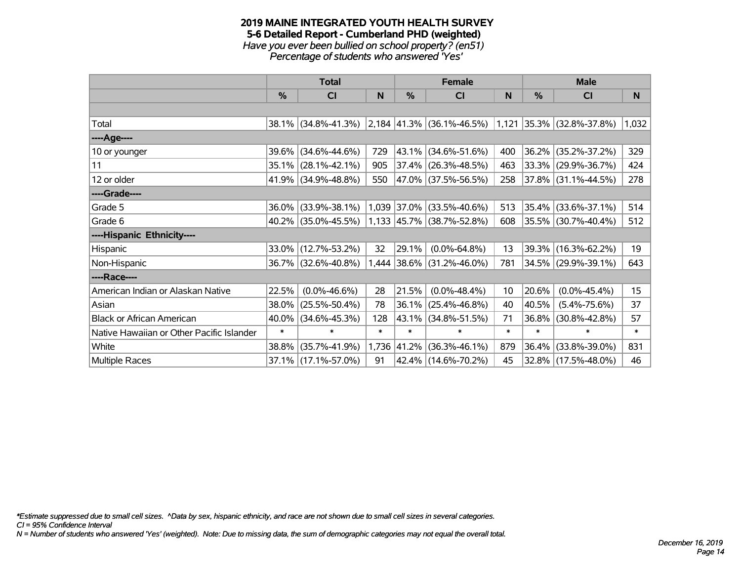#### **2019 MAINE INTEGRATED YOUTH HEALTH SURVEY 5-6 Detailed Report - Cumberland PHD (weighted)** *Have you ever been bullied on school property? (en51) Percentage of students who answered 'Yes'*

|                                           | <b>Total</b>  |                        |        | <b>Female</b> |                                                 | <b>Male</b> |        |                          |        |
|-------------------------------------------|---------------|------------------------|--------|---------------|-------------------------------------------------|-------------|--------|--------------------------|--------|
|                                           | $\frac{0}{0}$ | CI                     | N      | $\frac{0}{0}$ | <b>CI</b>                                       | N           | %      | <b>CI</b>                | N.     |
|                                           |               |                        |        |               |                                                 |             |        |                          |        |
| Total                                     |               | 38.1% (34.8%-41.3%)    |        |               | $\vert$ 2,184 $\vert$ 41.3% (36.1%-46.5%) 1,121 |             |        | $ 35.3\% $ (32.8%-37.8%) | 1,032  |
| ----Age----                               |               |                        |        |               |                                                 |             |        |                          |        |
| 10 or younger                             | 39.6%         | $(34.6\% - 44.6\%)$    | 729    |               | 43.1% (34.6%-51.6%)                             | 400         | 36.2%  | $(35.2\% - 37.2\%)$      | 329    |
| 11                                        |               | $35.1\%$ (28.1%-42.1%) | 905    |               | $37.4\%$ (26.3%-48.5%)                          | 463         |        | 33.3% (29.9%-36.7%)      | 424    |
| 12 or older                               |               | $41.9\%$ (34.9%-48.8%) | 550    |               | 47.0% (37.5%-56.5%)                             | 258         |        | 37.8% (31.1%-44.5%)      | 278    |
| ----Grade----                             |               |                        |        |               |                                                 |             |        |                          |        |
| Grade 5                                   | 36.0%         | $(33.9\% - 38.1\%)$    |        | 1,039 37.0%   | $(33.5\% - 40.6\%)$                             | 513         | 35.4%  | $(33.6\% - 37.1\%)$      | 514    |
| Grade 6                                   |               | $40.2\%$ (35.0%-45.5%) |        |               | $1,133$ 45.7% (38.7%-52.8%)                     | 608         |        | 35.5% (30.7%-40.4%)      | 512    |
| ----Hispanic Ethnicity----                |               |                        |        |               |                                                 |             |        |                          |        |
| Hispanic                                  | 33.0%         | $(12.7\% - 53.2\%)$    | 32     | 29.1%         | $(0.0\% - 64.8\%)$                              | 13          | 39.3%  | $(16.3\% - 62.2\%)$      | 19     |
| Non-Hispanic                              |               | 36.7% (32.6%-40.8%)    |        | 1,444 38.6%   | $(31.2\% - 46.0\%)$                             | 781         |        | 34.5% (29.9%-39.1%)      | 643    |
| ----Race----                              |               |                        |        |               |                                                 |             |        |                          |        |
| American Indian or Alaskan Native         | 22.5%         | $(0.0\% - 46.6\%)$     | 28     | 21.5%         | $(0.0\% - 48.4\%)$                              | 10          | 20.6%  | $(0.0\% - 45.4\%)$       | 15     |
| Asian                                     | 38.0%         | $(25.5\% - 50.4\%)$    | 78     | 36.1%         | $(25.4\% - 46.8\%)$                             | 40          | 40.5%  | $(5.4\% - 75.6\%)$       | 37     |
| <b>Black or African American</b>          | 40.0%         | $(34.6\% - 45.3\%)$    | 128    | 43.1%         | $(34.8\% - 51.5\%)$                             | 71          | 36.8%  | $(30.8\% - 42.8\%)$      | 57     |
| Native Hawaiian or Other Pacific Islander | $\ast$        | $\ast$                 | $\ast$ | $\ast$        | $\ast$                                          | $\ast$      | $\ast$ | $\ast$                   | $\ast$ |
| White                                     | 38.8%         | $(35.7\% - 41.9\%)$    |        | 1,736 41.2%   | $(36.3\% - 46.1\%)$                             | 879         | 36.4%  | $(33.8\% - 39.0\%)$      | 831    |
| Multiple Races                            |               | 37.1% (17.1%-57.0%)    | 91     |               | 42.4% (14.6%-70.2%)                             | 45          |        | 32.8% (17.5%-48.0%)      | 46     |

*\*Estimate suppressed due to small cell sizes. ^Data by sex, hispanic ethnicity, and race are not shown due to small cell sizes in several categories.*

*CI = 95% Confidence Interval*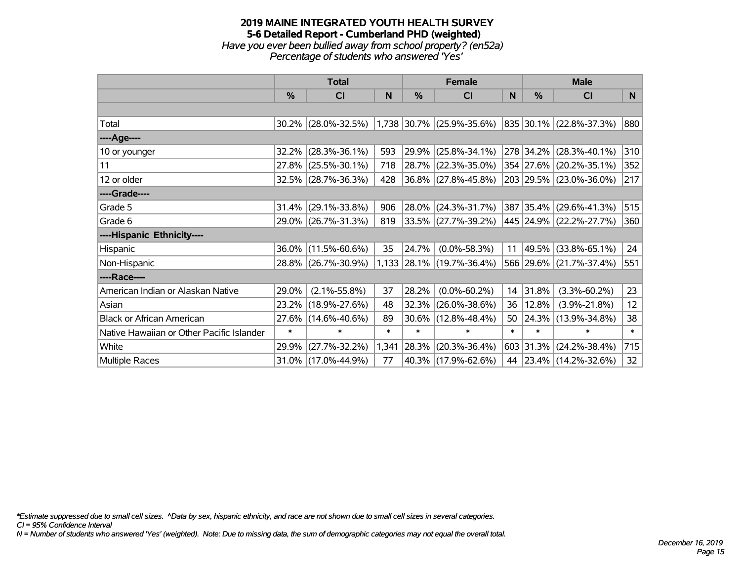#### **2019 MAINE INTEGRATED YOUTH HEALTH SURVEY 5-6 Detailed Report - Cumberland PHD (weighted)** *Have you ever been bullied away from school property? (en52a) Percentage of students who answered 'Yes'*

|                                           | <b>Total</b> |                        |        |        | <b>Female</b>               | <b>Male</b> |           |                         |        |
|-------------------------------------------|--------------|------------------------|--------|--------|-----------------------------|-------------|-----------|-------------------------|--------|
|                                           | %            | CI                     | N      | %      | <b>CI</b>                   | N           | %         | <b>CI</b>               | N      |
|                                           |              |                        |        |        |                             |             |           |                         |        |
| Total                                     |              | $30.2\%$ (28.0%-32.5%) |        |        | $1,738$ 30.7% (25.9%-35.6%) |             |           | 835 30.1% (22.8%-37.3%) | 880    |
| ----Age----                               |              |                        |        |        |                             |             |           |                         |        |
| 10 or younger                             | 32.2%        | $(28.3\% - 36.1\%)$    | 593    | 29.9%  | $(25.8\% - 34.1\%)$         |             | 278 34.2% | $(28.3\% - 40.1\%)$     | 310    |
| 11                                        |              | 27.8% (25.5%-30.1%)    | 718    | 28.7%  | $(22.3\% - 35.0\%)$         |             |           | 354 27.6% (20.2%-35.1%) | 352    |
| 12 or older                               |              | 32.5% (28.7%-36.3%)    | 428    |        | 36.8% (27.8%-45.8%)         |             |           | 203 29.5% (23.0%-36.0%) | 217    |
| ----Grade----                             |              |                        |        |        |                             |             |           |                         |        |
| Grade 5                                   | 31.4%        | $(29.1\% - 33.8\%)$    | 906    | 28.0%  | $(24.3\% - 31.7\%)$         |             |           | 387 35.4% (29.6%-41.3%) | 515    |
| Grade 6                                   |              | 29.0% (26.7%-31.3%)    | 819    |        | $ 33.5\% $ (27.7%-39.2%)    |             |           | 445 24.9% (22.2%-27.7%) | 360    |
| ----Hispanic Ethnicity----                |              |                        |        |        |                             |             |           |                         |        |
| Hispanic                                  | 36.0%        | $(11.5\% - 60.6\%)$    | 35     | 24.7%  | $(0.0\% - 58.3\%)$          | 11          | 49.5%     | $(33.8\% - 65.1\%)$     | 24     |
| Non-Hispanic                              |              | 28.8% (26.7%-30.9%)    |        |        | 1,133 28.1% (19.7%-36.4%)   |             |           | 566 29.6% (21.7%-37.4%) | 551    |
| ----Race----                              |              |                        |        |        |                             |             |           |                         |        |
| American Indian or Alaskan Native         | 29.0%        | $(2.1\% - 55.8\%)$     | 37     | 28.2%  | $(0.0\% - 60.2\%)$          | 14          | 31.8%     | $(3.3\% - 60.2\%)$      | 23     |
| Asian                                     | 23.2%        | $(18.9\% - 27.6\%)$    | 48     | 32.3%  | $(26.0\% - 38.6\%)$         | 36          | 12.8%     | $(3.9\% - 21.8\%)$      | 12     |
| <b>Black or African American</b>          | 27.6%        | $(14.6\% - 40.6\%)$    | 89     | 30.6%  | $(12.8\% - 48.4\%)$         | 50          | 24.3%     | $(13.9\% - 34.8\%)$     | 38     |
| Native Hawaiian or Other Pacific Islander | $\ast$       | $\ast$                 | $\ast$ | $\ast$ | $\ast$                      | $\ast$      | $\ast$    | $\ast$                  | $\ast$ |
| White                                     | 29.9%        | $(27.7\% - 32.2\%)$    | 1,341  | 28.3%  | $(20.3\% - 36.4\%)$         |             | 603 31.3% | $(24.2\% - 38.4\%)$     | 715    |
| Multiple Races                            |              | 31.0% (17.0%-44.9%)    | 77     |        | 40.3%   (17.9%-62.6%)       | 44          |           | 23.4% (14.2%-32.6%)     | 32     |

*\*Estimate suppressed due to small cell sizes. ^Data by sex, hispanic ethnicity, and race are not shown due to small cell sizes in several categories.*

*CI = 95% Confidence Interval*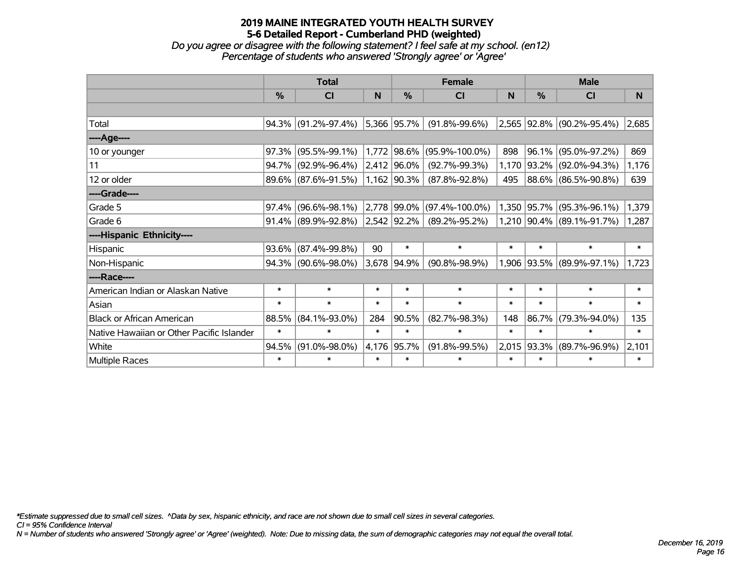*Do you agree or disagree with the following statement? I feel safe at my school. (en12) Percentage of students who answered 'Strongly agree' or 'Agree'*

|                                           | <b>Total</b> |                        |        |                  | <b>Female</b>        | <b>Male</b> |               |                           |        |
|-------------------------------------------|--------------|------------------------|--------|------------------|----------------------|-------------|---------------|---------------------------|--------|
|                                           | %            | <b>CI</b>              | N      | %                | <b>CI</b>            | N           | $\frac{0}{0}$ | <b>CI</b>                 | N      |
|                                           |              |                        |        |                  |                      |             |               |                           |        |
| Total                                     |              | 94.3% (91.2%-97.4%)    |        | $ 5,366 95.7\%$  | $(91.8\% - 99.6\%)$  |             |               | 2,565 92.8% (90.2%-95.4%) | 2,685  |
| ----Age----                               |              |                        |        |                  |                      |             |               |                           |        |
| 10 or younger                             | 97.3%        | $(95.5\% - 99.1\%)$    |        | 1,772 98.6%      | $(95.9\% - 100.0\%)$ | 898         | 96.1%         | $(95.0\% - 97.2\%)$       | 869    |
| 11                                        |              | 94.7% (92.9%-96.4%)    |        | 2,412 96.0%      | $(92.7\% - 99.3\%)$  |             |               | 1,170 93.2% (92.0%-94.3%) | 1,176  |
| 12 or older                               |              | 89.6% (87.6%-91.5%)    |        | 1,162 90.3%      | $(87.8\% - 92.8\%)$  | 495         |               | 88.6% (86.5%-90.8%)       | 639    |
| ----Grade----                             |              |                        |        |                  |                      |             |               |                           |        |
| Grade 5                                   | 97.4%        | $(96.6\% - 98.1\%)$    |        | 2,778 99.0%      | $(97.4\% - 100.0\%)$ |             |               | 1,350 95.7% (95.3%-96.1%) | 1,379  |
| Grade 6                                   |              | $91.4\%$ (89.9%-92.8%) |        | $ 2,542 92.2\% $ | $(89.2\% - 95.2\%)$  |             |               | 1,210 90.4% (89.1%-91.7%) | 1,287  |
| ----Hispanic Ethnicity----                |              |                        |        |                  |                      |             |               |                           |        |
| Hispanic                                  | 93.6%        | $(87.4\% - 99.8\%)$    | 90     | $\ast$           | $\ast$               | $\ast$      | *             | $\ast$                    | $\ast$ |
| Non-Hispanic                              |              | 94.3% (90.6%-98.0%)    |        | 3,678 94.9%      | $(90.8\% - 98.9\%)$  |             |               | 1,906 93.5% (89.9%-97.1%) | 1,723  |
| ----Race----                              |              |                        |        |                  |                      |             |               |                           |        |
| American Indian or Alaskan Native         | $\ast$       | $\ast$                 | $\ast$ | $\ast$           | $\ast$               | $\ast$      | $\ast$        | $\ast$                    | $\ast$ |
| Asian                                     | $\ast$       | $\ast$                 | $\ast$ | $\ast$           | $\ast$               | $\ast$      | $\ast$        | $\ast$                    | $\ast$ |
| <b>Black or African American</b>          | 88.5%        | $(84.1\% - 93.0\%)$    | 284    | 90.5%            | $(82.7\% - 98.3\%)$  | 148         | 86.7%         | $(79.3\% - 94.0\%)$       | 135    |
| Native Hawaiian or Other Pacific Islander | $\ast$       | $\ast$                 | $\ast$ | $\ast$           | $\ast$               | $\ast$      | $\ast$        | $\ast$                    | $\ast$ |
| White                                     | 94.5%        | $(91.0\% - 98.0\%)$    |        | 4,176 95.7%      | $(91.8\% - 99.5\%)$  |             | 2,015 93.3%   | $(89.7\% - 96.9\%)$       | 2,101  |
| Multiple Races                            | $\ast$       | *                      | $\ast$ | $\ast$           | $\ast$               | $\ast$      | *             | $\ast$                    | $\ast$ |

*\*Estimate suppressed due to small cell sizes. ^Data by sex, hispanic ethnicity, and race are not shown due to small cell sizes in several categories.*

*CI = 95% Confidence Interval*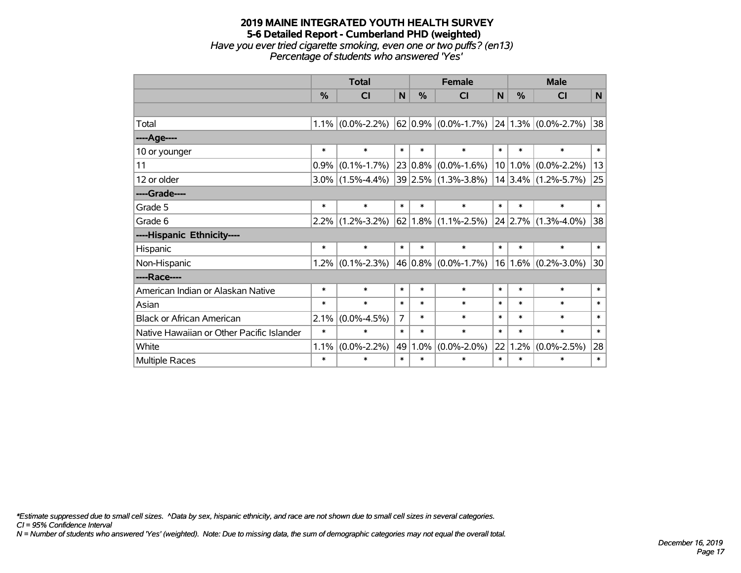#### **2019 MAINE INTEGRATED YOUTH HEALTH SURVEY 5-6 Detailed Report - Cumberland PHD (weighted)** *Have you ever tried cigarette smoking, even one or two puffs? (en13) Percentage of students who answered 'Yes'*

|                                           | <b>Total</b> |                   |                |             | <b>Female</b>                               | <b>Male</b> |           |                         |        |
|-------------------------------------------|--------------|-------------------|----------------|-------------|---------------------------------------------|-------------|-----------|-------------------------|--------|
|                                           | $\%$         | <b>CI</b>         | N              | $\%$        | <b>CI</b>                                   | N           | $\%$      | <b>CI</b>               | N      |
|                                           |              |                   |                |             |                                             |             |           |                         |        |
| Total                                     | 1.1%         | $(0.0\% - 2.2\%)$ |                |             | $62 0.9\% $ (0.0%-1.7%) 24 1.3% (0.0%-2.7%) |             |           |                         | 38     |
| ----Age----                               |              |                   |                |             |                                             |             |           |                         |        |
| 10 or younger                             | $\ast$       | $\ast$            | $\ast$         | $\ast$      | $\ast$                                      | $\ast$      | $\ast$    | $\ast$                  | $\ast$ |
| 11                                        | 0.9%         | $(0.1\% - 1.7\%)$ |                | $23 0.8\% $ | $(0.0\% - 1.6\%)$                           | 10          | $1.0\%$   | $(0.0\% - 2.2\%)$       | 13     |
| 12 or older                               | 3.0%         | $(1.5\% - 4.4\%)$ |                |             | 39 2.5% (1.3%-3.8%)                         |             |           | $14 3.4\% $ (1.2%-5.7%) | 25     |
| ----Grade----                             |              |                   |                |             |                                             |             |           |                         |        |
| Grade 5                                   | $\ast$       | $\ast$            | $\ast$         | $\ast$      | $\ast$                                      | $\ast$      | $\ast$    | $\ast$                  | $\ast$ |
| Grade 6                                   | $2.2\%$      | $(1.2\% - 3.2\%)$ |                |             | $62 1.8\% $ (1.1%-2.5%)                     |             | $24$ 2.7% | $(1.3\% - 4.0\%)$       | 38     |
| ----Hispanic Ethnicity----                |              |                   |                |             |                                             |             |           |                         |        |
| Hispanic                                  | $\ast$       | $\ast$            | $\ast$         | $\ast$      | $\ast$                                      | $\ast$      | $\ast$    | $\ast$                  | $\ast$ |
| Non-Hispanic                              | 1.2%         | $(0.1\% - 2.3\%)$ |                |             | 46 0.8% $(0.0\% - 1.7\%)$                   | 16          | $1.6\%$   | $(0.2\% - 3.0\%)$       | 30     |
| ----Race----                              |              |                   |                |             |                                             |             |           |                         |        |
| American Indian or Alaskan Native         | $\ast$       | $\ast$            | $\ast$         | $\ast$      | $\ast$                                      | $\ast$      | $\ast$    | $\ast$                  | $\ast$ |
| Asian                                     | $\ast$       | $\ast$            | $\ast$         | $\ast$      | $\ast$                                      | $\ast$      | $\ast$    | $\ast$                  | $\ast$ |
| <b>Black or African American</b>          | 2.1%         | $(0.0\% - 4.5\%)$ | $\overline{7}$ | $\ast$      | $\ast$                                      | $\ast$      | $\ast$    | $\ast$                  | $\ast$ |
| Native Hawaiian or Other Pacific Islander | $\ast$       | $\ast$            | $\ast$         | $\ast$      | $\ast$                                      | $\ast$      | $\ast$    | $\ast$                  | $\ast$ |
| White                                     | 1.1%         | $(0.0\% - 2.2\%)$ | 49             | 1.0%        | $(0.0\% - 2.0\%)$                           | 22          | 1.2%      | $(0.0\% - 2.5\%)$       | 28     |
| Multiple Races                            | $\ast$       | $\ast$            | $\ast$         | $\ast$      | $\ast$                                      | $\ast$      | $\ast$    | $\ast$                  | $\ast$ |

*\*Estimate suppressed due to small cell sizes. ^Data by sex, hispanic ethnicity, and race are not shown due to small cell sizes in several categories.*

*CI = 95% Confidence Interval*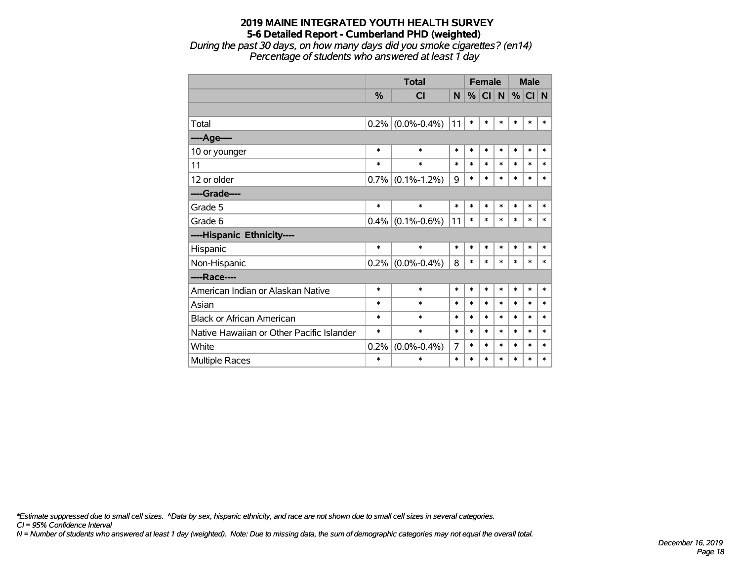*During the past 30 days, on how many days did you smoke cigarettes? (en14) Percentage of students who answered at least 1 day*

|                                           |               | <b>Total</b>      |        | <b>Female</b> |           |        | <b>Male</b> |        |        |
|-------------------------------------------|---------------|-------------------|--------|---------------|-----------|--------|-------------|--------|--------|
|                                           | $\frac{9}{6}$ | <b>CI</b>         | N      | %             | <b>CI</b> | N      | $\%$        | CI N   |        |
|                                           |               |                   |        |               |           |        |             |        |        |
| Total                                     | 0.2%          | $(0.0\% - 0.4\%)$ | 11     | $\ast$        | $\ast$    | $\ast$ | $\ast$      | $\ast$ | $\ast$ |
| ----Age----                               |               |                   |        |               |           |        |             |        |        |
| 10 or younger                             | *             | $\ast$            | $\ast$ | $\ast$        | $\ast$    | $\ast$ | $\ast$      | $\ast$ | $\ast$ |
| 11                                        | *             | $\ast$            | $\ast$ | $\ast$        | $\ast$    | $\ast$ | $\ast$      | $\ast$ | $\ast$ |
| 12 or older                               | 0.7%          | $(0.1\% - 1.2\%)$ | 9      | $\ast$        | $\ast$    | $\ast$ | $\ast$      | $\ast$ | $\ast$ |
| ----Grade----                             |               |                   |        |               |           |        |             |        |        |
| Grade 5                                   | $\ast$        | $\ast$            | $\ast$ | $\ast$        | $\ast$    | $\ast$ | $\ast$      | $\ast$ | $\ast$ |
| Grade 6                                   | 0.4%          | $(0.1\% - 0.6\%)$ | 11     | $\ast$        | $\ast$    | $\ast$ | $\ast$      | $\ast$ | $\ast$ |
| ----Hispanic Ethnicity----                |               |                   |        |               |           |        |             |        |        |
| Hispanic                                  | $\ast$        | $\ast$            | $\ast$ | $\ast$        | $\ast$    | $\ast$ | *           | *      | *      |
| Non-Hispanic                              | 0.2%          | $(0.0\% - 0.4\%)$ | 8      | $\ast$        | $\ast$    | $\ast$ | $\ast$      | $\ast$ | $\ast$ |
| ----Race----                              |               |                   |        |               |           |        |             |        |        |
| American Indian or Alaskan Native         | $\ast$        | $\ast$            | $\ast$ | $\ast$        | $\ast$    | $\ast$ | $\ast$      | $\ast$ | $\ast$ |
| Asian                                     | *             | $\ast$            | $\ast$ | $\ast$        | $\ast$    | $\ast$ | $\ast$      | $\ast$ | $\ast$ |
| <b>Black or African American</b>          | *             | $\ast$            | $\ast$ | $\ast$        | $\ast$    | $\ast$ | $\ast$      | $\ast$ | $\ast$ |
| Native Hawaiian or Other Pacific Islander | *             | $\ast$            | *      | *             | $\ast$    | $\ast$ | $\ast$      | *      | $\ast$ |
| White                                     | 0.2%          | $(0.0\% - 0.4\%)$ | 7      | $\ast$        | $\ast$    | $\ast$ | $\ast$      | *      | $\ast$ |
| Multiple Races                            | $\ast$        | $\ast$            | $\ast$ | $\ast$        | $\ast$    | $\ast$ | $\ast$      | *      | $\ast$ |

*\*Estimate suppressed due to small cell sizes. ^Data by sex, hispanic ethnicity, and race are not shown due to small cell sizes in several categories.*

*CI = 95% Confidence Interval*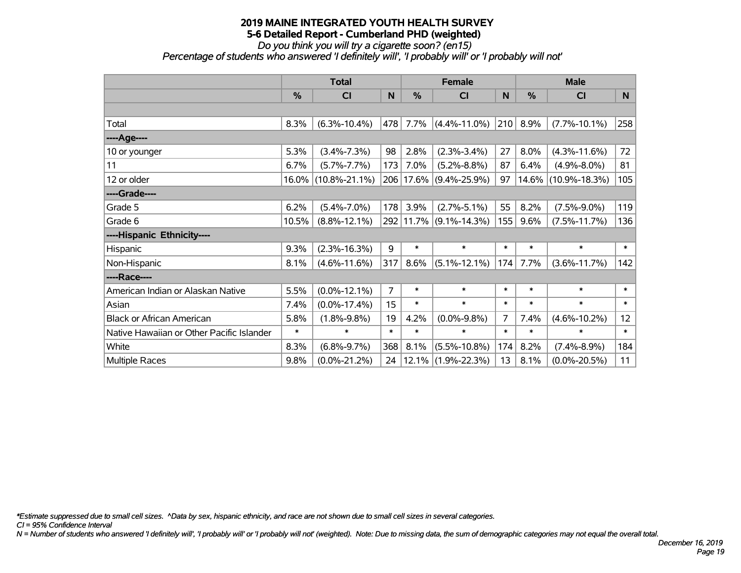#### *Do you think you will try a cigarette soon? (en15)*

*Percentage of students who answered 'I definitely will', 'I probably will' or 'I probably will not'*

|                                           | <b>Total</b>  |                     |                |           | <b>Female</b>          |        | <b>Male</b> |                     |        |  |
|-------------------------------------------|---------------|---------------------|----------------|-----------|------------------------|--------|-------------|---------------------|--------|--|
|                                           | $\frac{0}{0}$ | <b>CI</b>           | N              | %         | <b>CI</b>              | N      | %           | <b>CI</b>           | N      |  |
|                                           |               |                     |                |           |                        |        |             |                     |        |  |
| Total                                     | 8.3%          | $(6.3\% - 10.4\%)$  | 478            | 7.7%      | $(4.4\% - 11.0\%)$     | 210    | 8.9%        | $(7.7\% - 10.1\%)$  | 258    |  |
| ----Age----                               |               |                     |                |           |                        |        |             |                     |        |  |
| 10 or younger                             | 5.3%          | $(3.4\% - 7.3\%)$   | 98             | 2.8%      | $(2.3\% - 3.4\%)$      | 27     | 8.0%        | $(4.3\% - 11.6\%)$  | 72     |  |
| 11                                        | 6.7%          | $(5.7\% - 7.7\%)$   | 173            | 7.0%      | $(5.2\% - 8.8\%)$      | 87     | 6.4%        | $(4.9\% - 8.0\%)$   | 81     |  |
| 12 or older                               |               | 16.0% (10.8%-21.1%) |                | 206 17.6% | $(9.4\% - 25.9\%)$     | 97     | 14.6%       | $(10.9\% - 18.3\%)$ | 105    |  |
| ----Grade----                             |               |                     |                |           |                        |        |             |                     |        |  |
| Grade 5                                   | 6.2%          | $(5.4\% - 7.0\%)$   | 178            | 3.9%      | $(2.7\% - 5.1\%)$      | 55     | 8.2%        | $(7.5\% - 9.0\%)$   | 119    |  |
| Grade 6                                   | 10.5%         | $(8.8\% - 12.1\%)$  |                |           | 292 11.7% (9.1%-14.3%) | 155    | 9.6%        | $(7.5\% - 11.7\%)$  | 136    |  |
| ----Hispanic Ethnicity----                |               |                     |                |           |                        |        |             |                     |        |  |
| Hispanic                                  | 9.3%          | $(2.3\% - 16.3\%)$  | 9              | $\ast$    | $\ast$                 | $\ast$ | $\ast$      | $\ast$              | $\ast$ |  |
| Non-Hispanic                              | 8.1%          | $(4.6\% - 11.6\%)$  | 317            | 8.6%      | $(5.1\% - 12.1\%)$     | 174    | 7.7%        | $(3.6\% - 11.7\%)$  | 142    |  |
| ----Race----                              |               |                     |                |           |                        |        |             |                     |        |  |
| American Indian or Alaskan Native         | 5.5%          | $(0.0\% - 12.1\%)$  | $\overline{7}$ | $\ast$    | $\ast$                 | $\ast$ | $\ast$      | $\ast$              | $\ast$ |  |
| Asian                                     | 7.4%          | $(0.0\% - 17.4\%)$  | 15             | $\ast$    | $\ast$                 | $\ast$ | $\ast$      | $\ast$              | $\ast$ |  |
| <b>Black or African American</b>          | 5.8%          | $(1.8\% - 9.8\%)$   | 19             | 4.2%      | $(0.0\% - 9.8\%)$      | 7      | 7.4%        | $(4.6\% - 10.2\%)$  | 12     |  |
| Native Hawaiian or Other Pacific Islander | $\ast$        | $\ast$              | $\ast$         | $\ast$    | $\ast$                 | $\ast$ | $\ast$      | $\ast$              | $\ast$ |  |
| White                                     | 8.3%          | $(6.8\% - 9.7\%)$   | 368            | 8.1%      | $(5.5\% - 10.8\%)$     | 174    | 8.2%        | $(7.4\% - 8.9\%)$   | 184    |  |
| Multiple Races                            | 9.8%          | $(0.0\% - 21.2\%)$  | 24             | 12.1%     | $(1.9\% - 22.3\%)$     | 13     | 8.1%        | $(0.0\% - 20.5\%)$  | 11     |  |

*\*Estimate suppressed due to small cell sizes. ^Data by sex, hispanic ethnicity, and race are not shown due to small cell sizes in several categories.*

*CI = 95% Confidence Interval*

*N = Number of students who answered 'I definitely will', 'I probably will' or 'I probably will not' (weighted). Note: Due to missing data, the sum of demographic categories may not equal the overall total.*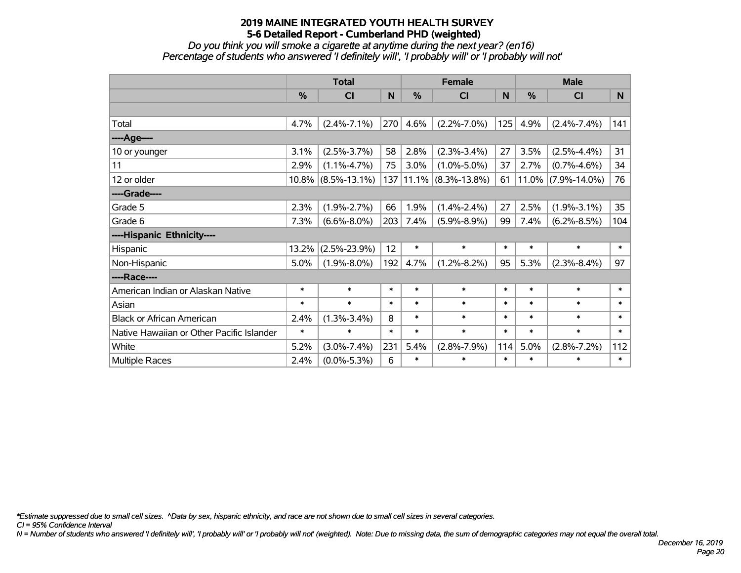*Do you think you will smoke a cigarette at anytime during the next year? (en16) Percentage of students who answered 'I definitely will', 'I probably will' or 'I probably will not'*

|                                           | <b>Total</b> |                       |        |        | <b>Female</b>         |        | <b>Male</b> |                    |        |  |
|-------------------------------------------|--------------|-----------------------|--------|--------|-----------------------|--------|-------------|--------------------|--------|--|
|                                           | %            | <b>CI</b>             | N      | %      | <b>CI</b>             | N      | %           | <b>CI</b>          | N      |  |
|                                           |              |                       |        |        |                       |        |             |                    |        |  |
| Total                                     | 4.7%         | $(2.4\% - 7.1\%)$     | 270    | 4.6%   | $(2.2\% - 7.0\%)$     | 125    | 4.9%        | $(2.4\% - 7.4\%)$  | 141    |  |
| ---- Age----                              |              |                       |        |        |                       |        |             |                    |        |  |
| 10 or younger                             | 3.1%         | $(2.5\% - 3.7\%)$     | 58     | 2.8%   | $(2.3\% - 3.4\%)$     | 27     | 3.5%        | $(2.5\% - 4.4\%)$  | 31     |  |
| 11                                        | 2.9%         | $(1.1\% - 4.7\%)$     | 75     | 3.0%   | $(1.0\% - 5.0\%)$     | 37     | 2.7%        | $(0.7\% - 4.6\%)$  | 34     |  |
| 12 or older                               |              | $10.8\%$ (8.5%-13.1%) | 137    |        | $11.1\%$ (8.3%-13.8%) | 61     | $11.0\%$    | $(7.9\% - 14.0\%)$ | 76     |  |
| ----Grade----                             |              |                       |        |        |                       |        |             |                    |        |  |
| Grade 5                                   | 2.3%         | $(1.9\% - 2.7\%)$     | 66     | 1.9%   | $(1.4\% - 2.4\%)$     | 27     | 2.5%        | $(1.9\% - 3.1\%)$  | 35     |  |
| Grade 6                                   | 7.3%         | $(6.6\% - 8.0\%)$     | 203    | 7.4%   | $(5.9\% - 8.9\%)$     | 99     | 7.4%        | $(6.2\% - 8.5\%)$  | 104    |  |
| ----Hispanic Ethnicity----                |              |                       |        |        |                       |        |             |                    |        |  |
| Hispanic                                  | 13.2%        | $(2.5\% - 23.9\%)$    | 12     | $\ast$ | $\ast$                | $\ast$ | $\ast$      | $\ast$             | $\ast$ |  |
| Non-Hispanic                              | 5.0%         | $(1.9\% - 8.0\%)$     | 192    | 4.7%   | $(1.2\% - 8.2\%)$     | 95     | 5.3%        | $(2.3\% - 8.4\%)$  | 97     |  |
| ----Race----                              |              |                       |        |        |                       |        |             |                    |        |  |
| American Indian or Alaskan Native         | $\ast$       | $\ast$                | $\ast$ | $\ast$ | $\ast$                | $\ast$ | $\ast$      | $\ast$             | $\ast$ |  |
| Asian                                     | $\ast$       | $\ast$                | $\ast$ | $\ast$ | $\ast$                | $\ast$ | $\ast$      | $\ast$             | $\ast$ |  |
| <b>Black or African American</b>          | 2.4%         | $(1.3\% - 3.4\%)$     | 8      | $\ast$ | $\ast$                | $\ast$ | $\ast$      | $\ast$             | $\ast$ |  |
| Native Hawaiian or Other Pacific Islander | $\ast$       | $\ast$                | $\ast$ | $\ast$ | $\ast$                | $\ast$ | $\ast$      | $\ast$             | $\ast$ |  |
| White                                     | 5.2%         | $(3.0\% - 7.4\%)$     | 231    | 5.4%   | $(2.8\% - 7.9\%)$     | 114    | 5.0%        | $(2.8\% - 7.2\%)$  | 112    |  |
| <b>Multiple Races</b>                     | 2.4%         | $(0.0\% - 5.3\%)$     | 6      | $\ast$ | $\ast$                | $\ast$ | $\ast$      | $\ast$             | $\ast$ |  |

*\*Estimate suppressed due to small cell sizes. ^Data by sex, hispanic ethnicity, and race are not shown due to small cell sizes in several categories.*

*CI = 95% Confidence Interval*

*N = Number of students who answered 'I definitely will', 'I probably will' or 'I probably will not' (weighted). Note: Due to missing data, the sum of demographic categories may not equal the overall total.*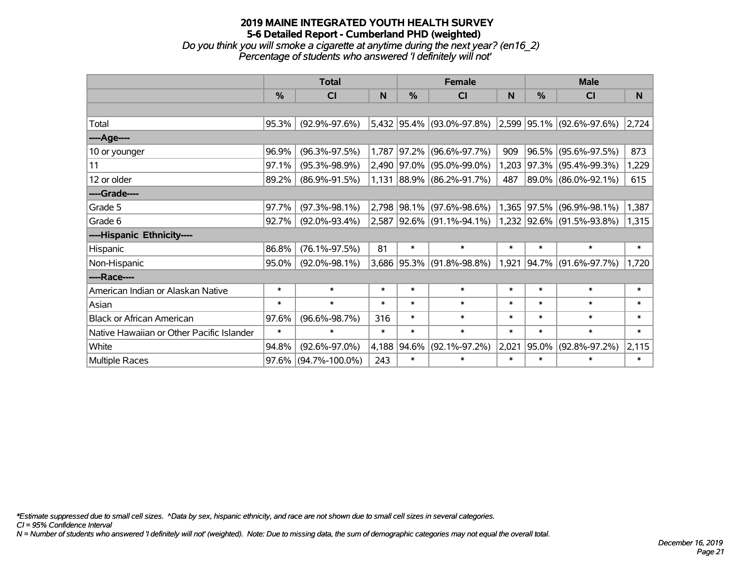# **2019 MAINE INTEGRATED YOUTH HEALTH SURVEY 5-6 Detailed Report - Cumberland PHD (weighted)** *Do you think you will smoke a cigarette at anytime during the next year? (en16\_2)*

|                                           |        | <b>Total</b>        |        |             | <b>Female</b>               |        |        | <b>Male</b>                        |        |
|-------------------------------------------|--------|---------------------|--------|-------------|-----------------------------|--------|--------|------------------------------------|--------|
|                                           | %      | <b>CI</b>           | N      | %           | <b>CI</b>                   | N      | %      | C <sub>l</sub>                     | N      |
|                                           |        |                     |        |             |                             |        |        |                                    |        |
| Total                                     | 95.3%  | $(92.9\% - 97.6\%)$ |        |             | 5,432 95.4% (93.0%-97.8%)   |        |        | $ 2,599 95.1\%  (92.6\% - 97.6\%)$ | 2,724  |
| ----Age----                               |        |                     |        |             |                             |        |        |                                    |        |
| 10 or younger                             | 96.9%  | $(96.3\% - 97.5\%)$ |        | 1,787 97.2% | $(96.6\% - 97.7\%)$         | 909    | 96.5%  | $(95.6\% - 97.5\%)$                | 873    |
| 11                                        | 97.1%  | $(95.3\% - 98.9\%)$ |        |             | 2,490 97.0% (95.0%-99.0%)   | 1,203  |        | $97.3\%$ (95.4%-99.3%)             | 1,229  |
| 12 or older                               | 89.2%  | $(86.9\% - 91.5\%)$ |        |             | $1,131$ 88.9% (86.2%-91.7%) | 487    |        | 89.0% (86.0%-92.1%)                | 615    |
| ----Grade----                             |        |                     |        |             |                             |        |        |                                    |        |
| Grade 5                                   | 97.7%  | $(97.3\% - 98.1\%)$ |        | 2,798 98.1% | $(97.6\% - 98.6\%)$         | 1,365  | 97.5%  | $(96.9\% - 98.1\%)$                | 1,387  |
| Grade 6                                   | 92.7%  | $(92.0\% - 93.4\%)$ |        |             | 2,587 92.6% (91.1%-94.1%)   |        |        | 1,232 92.6% (91.5%-93.8%)          | 1,315  |
| ----Hispanic Ethnicity----                |        |                     |        |             |                             |        |        |                                    |        |
| Hispanic                                  | 86.8%  | $(76.1\% - 97.5\%)$ | 81     | $\ast$      | $\ast$                      | $\ast$ | $\ast$ | $\ast$                             | $\ast$ |
| Non-Hispanic                              | 95.0%  | $(92.0\% - 98.1\%)$ |        |             | 3,686 95.3% (91.8%-98.8%)   | 1,921  |        | 94.7% (91.6%-97.7%)                | 1,720  |
| ----Race----                              |        |                     |        |             |                             |        |        |                                    |        |
| American Indian or Alaskan Native         | $\ast$ | $\ast$              | $\ast$ | $\ast$      | $\ast$                      | $\ast$ | $\ast$ | $\ast$                             | $\ast$ |
| Asian                                     | $\ast$ | $\ast$              | $\ast$ | $\ast$      | $\ast$                      | $\ast$ | $\ast$ | $\ast$                             | $\ast$ |
| <b>Black or African American</b>          | 97.6%  | $(96.6\% - 98.7\%)$ | 316    | $\ast$      | $\ast$                      | $\ast$ | $\ast$ | $\ast$                             | $\ast$ |
| Native Hawaiian or Other Pacific Islander | $\ast$ | $\ast$              | $\ast$ | $\ast$      | $\ast$                      | $\ast$ | $\ast$ | $\ast$                             | $\ast$ |
| White                                     | 94.8%  | $(92.6\% - 97.0\%)$ |        |             | 4,188 94.6% (92.1%-97.2%)   | 2,021  | 95.0%  | $(92.8\% - 97.2\%)$                | 2,115  |

Multiple Races 97.6% (94.7%-100.0%) 243 \* \* \* \* \* \*

*Percentage of students who answered 'I definitely will not'*

*\*Estimate suppressed due to small cell sizes. ^Data by sex, hispanic ethnicity, and race are not shown due to small cell sizes in several categories.*

*CI = 95% Confidence Interval*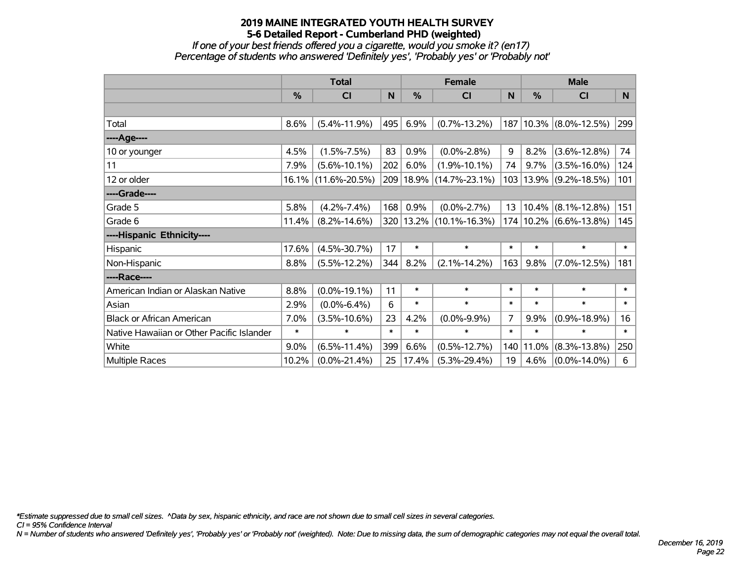*If one of your best friends offered you a cigarette, would you smoke it? (en17) Percentage of students who answered 'Definitely yes', 'Probably yes' or 'Probably not'*

|                                           | <b>Total</b>  |                     |        |        | <b>Female</b>               |        | <b>Male</b> |                            |        |  |
|-------------------------------------------|---------------|---------------------|--------|--------|-----------------------------|--------|-------------|----------------------------|--------|--|
|                                           | $\frac{0}{0}$ | <b>CI</b>           | N      | %      | <b>CI</b>                   | N      | $\%$        | <b>CI</b>                  | N      |  |
|                                           |               |                     |        |        |                             |        |             |                            |        |  |
| Total                                     | 8.6%          | $(5.4\% - 11.9\%)$  | 495    | 6.9%   | $(0.7\% - 13.2\%)$          |        |             | 187   10.3%   (8.0%-12.5%) | 299    |  |
| ----Age----                               |               |                     |        |        |                             |        |             |                            |        |  |
| 10 or younger                             | 4.5%          | $(1.5\% - 7.5\%)$   | 83     | 0.9%   | $(0.0\% - 2.8\%)$           | 9      | 8.2%        | $(3.6\% - 12.8\%)$         | 74     |  |
| 11                                        | 7.9%          | $(5.6\% - 10.1\%)$  | 202    | 6.0%   | $(1.9\% - 10.1\%)$          | 74     | 9.7%        | $(3.5\% - 16.0\%)$         | 124    |  |
| 12 or older                               | 16.1%         | $(11.6\% - 20.5\%)$ |        |        | 209   18.9%   (14.7%-23.1%) |        | 103   13.9% | $(9.2\% - 18.5\%)$         | 101    |  |
| ----Grade----                             |               |                     |        |        |                             |        |             |                            |        |  |
| Grade 5                                   | 5.8%          | $(4.2\% - 7.4\%)$   | 168    | 0.9%   | $(0.0\% - 2.7\%)$           | 13     | $ 10.4\% $  | $(8.1\% - 12.8\%)$         | 151    |  |
| Grade 6                                   | 11.4%         | $(8.2\% - 14.6\%)$  |        |        | 320   13.2%   (10.1%-16.3%) |        |             | 174 10.2% (6.6%-13.8%)     | 145    |  |
| ----Hispanic Ethnicity----                |               |                     |        |        |                             |        |             |                            |        |  |
| Hispanic                                  | 17.6%         | $(4.5\% - 30.7\%)$  | 17     | $\ast$ | $\ast$                      | $\ast$ | $\ast$      | $\ast$                     | $\ast$ |  |
| Non-Hispanic                              | 8.8%          | $(5.5\% - 12.2\%)$  | 344    | 8.2%   | $(2.1\% - 14.2\%)$          | 163    | 9.8%        | $(7.0\% - 12.5\%)$         | 181    |  |
| ----Race----                              |               |                     |        |        |                             |        |             |                            |        |  |
| American Indian or Alaskan Native         | 8.8%          | $(0.0\% - 19.1\%)$  | 11     | $\ast$ | $\ast$                      | $\ast$ | $\ast$      | $\ast$                     | $\ast$ |  |
| Asian                                     | 2.9%          | $(0.0\% - 6.4\%)$   | 6      | $\ast$ | $\ast$                      | $\ast$ | $\ast$      | $\ast$                     | $\ast$ |  |
| <b>Black or African American</b>          | 7.0%          | $(3.5\% - 10.6\%)$  | 23     | 4.2%   | $(0.0\% - 9.9\%)$           | 7      | 9.9%        | $(0.9\% - 18.9\%)$         | 16     |  |
| Native Hawaiian or Other Pacific Islander | $\ast$        | $\ast$              | $\ast$ | $\ast$ | $\ast$                      | $\ast$ | $\ast$      | $\ast$                     | $\ast$ |  |
| White                                     | 9.0%          | $(6.5\% - 11.4\%)$  | 399    | 6.6%   | $(0.5\% - 12.7\%)$          | 140    | 11.0%       | $(8.3\% - 13.8\%)$         | 250    |  |
| Multiple Races                            | 10.2%         | $(0.0\% - 21.4\%)$  | 25     | 17.4%  | $(5.3\% - 29.4\%)$          | 19     | 4.6%        | $(0.0\% - 14.0\%)$         | 6      |  |

*\*Estimate suppressed due to small cell sizes. ^Data by sex, hispanic ethnicity, and race are not shown due to small cell sizes in several categories.*

*CI = 95% Confidence Interval*

*N = Number of students who answered 'Definitely yes', 'Probably yes' or 'Probably not' (weighted). Note: Due to missing data, the sum of demographic categories may not equal the overall total.*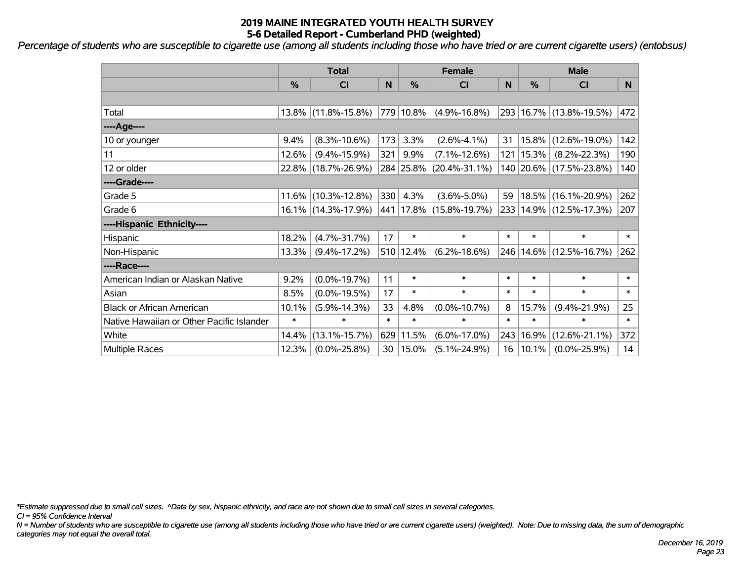*Percentage of students who are susceptible to cigarette use (among all students including those who have tried or are current cigarette users) (entobsus)*

|                                           | <b>Total</b> |                        |        |           | <b>Female</b>             | <b>Male</b> |               |                             |        |
|-------------------------------------------|--------------|------------------------|--------|-----------|---------------------------|-------------|---------------|-----------------------------|--------|
|                                           | %            | <b>CI</b>              | N      | %         | <b>CI</b>                 | N           | $\frac{0}{0}$ | <b>CI</b>                   | N.     |
|                                           |              |                        |        |           |                           |             |               |                             |        |
| Total                                     |              | 13.8% (11.8%-15.8%)    |        | 779 10.8% | $(4.9\% - 16.8\%)$        |             |               | 293 16.7% (13.8%-19.5%)     | 472    |
| ----Age----                               |              |                        |        |           |                           |             |               |                             |        |
| 10 or younger                             | 9.4%         | $(8.3\% - 10.6\%)$     | 173    | 3.3%      | $(2.6\% - 4.1\%)$         | 31          | 15.8%         | $(12.6\% - 19.0\%)$         | 142    |
| 11                                        | 12.6%        | $(9.4\% - 15.9\%)$     | 321    | 9.9%      | $(7.1\% - 12.6\%)$        |             | 121 15.3%     | $(8.2\% - 22.3\%)$          | 190    |
| 12 or older                               |              | 22.8% (18.7%-26.9%)    |        |           | 284 25.8% (20.4%-31.1%)   |             |               | 140 20.6% (17.5%-23.8%)     | 140    |
| ----Grade----                             |              |                        |        |           |                           |             |               |                             |        |
| Grade 5                                   |              | $11.6\%$ (10.3%-12.8%) | 330    | 4.3%      | $(3.6\% - 5.0\%)$         | 59          |               | 18.5% (16.1%-20.9%)         | 262    |
| Grade 6                                   |              | 16.1% (14.3%-17.9%)    |        |           | 441  17.8%  (15.8%-19.7%) |             |               | 233 14.9% (12.5%-17.3%)     | 207    |
| ----Hispanic Ethnicity----                |              |                        |        |           |                           |             |               |                             |        |
| Hispanic                                  | 18.2%        | $(4.7\% - 31.7\%)$     | 17     | $\ast$    | $\ast$                    | $\ast$      | $\ast$        | $\ast$                      | $\ast$ |
| Non-Hispanic                              | 13.3%        | $(9.4\% - 17.2\%)$     |        | 510 12.4% | $(6.2\% - 18.6\%)$        |             |               | 246   14.6%   (12.5%-16.7%) | 262    |
| ----Race----                              |              |                        |        |           |                           |             |               |                             |        |
| American Indian or Alaskan Native         | 9.2%         | $(0.0\% - 19.7\%)$     | 11     | $\ast$    | $\ast$                    | $\ast$      | $\ast$        | $\ast$                      | $\ast$ |
| Asian                                     | 8.5%         | $(0.0\% - 19.5\%)$     | 17     | $\ast$    | $\ast$                    | $\ast$      | $\ast$        | $\ast$                      | $\ast$ |
| <b>Black or African American</b>          | 10.1%        | $(5.9\% - 14.3\%)$     | 33     | 4.8%      | $(0.0\% - 10.7\%)$        | 8           | 15.7%         | $(9.4\% - 21.9\%)$          | 25     |
| Native Hawaiian or Other Pacific Islander | $\ast$       | $\ast$                 | $\ast$ | $\ast$    | $\ast$                    | $\ast$      | $\ast$        | $\ast$                      | $\ast$ |
| White                                     | 14.4%        | $(13.1\% - 15.7\%)$    | 629    | 11.5%     | $(6.0\% - 17.0\%)$        | 243         | 16.9%         | $(12.6\% - 21.1\%)$         | 372    |
| <b>Multiple Races</b>                     | 12.3%        | $(0.0\% - 25.8\%)$     | 30     | 15.0%     | $(5.1\% - 24.9\%)$        |             | $16 10.1\%$   | $(0.0\% - 25.9\%)$          | 14     |

*\*Estimate suppressed due to small cell sizes. ^Data by sex, hispanic ethnicity, and race are not shown due to small cell sizes in several categories.*

*CI = 95% Confidence Interval*

*N = Number of students who are susceptible to cigarette use (among all students including those who have tried or are current cigarette users) (weighted). Note: Due to missing data, the sum of demographic categories may not equal the overall total.*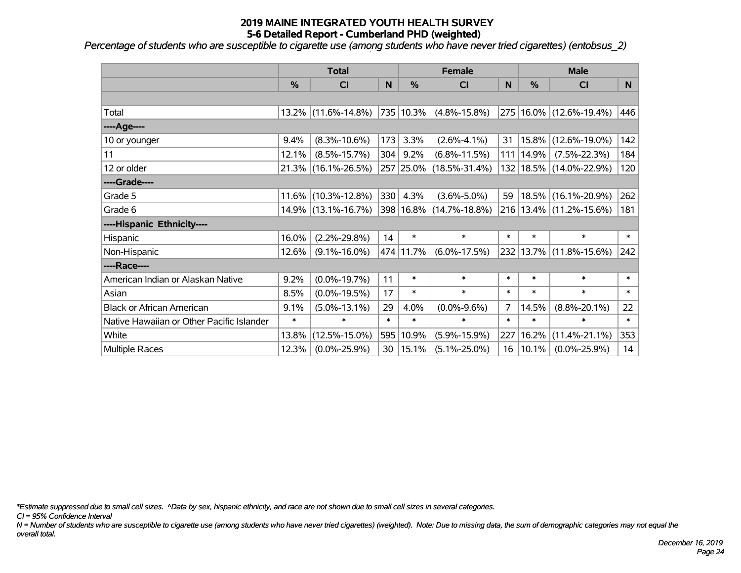*Percentage of students who are susceptible to cigarette use (among students who have never tried cigarettes) (entobsus\_2)*

|                                           | <b>Total</b>  |                        |        |           | <b>Female</b>               |        | <b>Male</b> |                             |        |  |
|-------------------------------------------|---------------|------------------------|--------|-----------|-----------------------------|--------|-------------|-----------------------------|--------|--|
|                                           | $\frac{0}{0}$ | CI                     | N      | %         | <b>CI</b>                   | N      | %           | <b>CI</b>                   | N      |  |
|                                           |               |                        |        |           |                             |        |             |                             |        |  |
| Total                                     |               | $13.2\%$ (11.6%-14.8%) |        | 735 10.3% | $(4.8\% - 15.8\%)$          |        |             | 275   16.0%   (12.6%-19.4%) | 446    |  |
| ----Age----                               |               |                        |        |           |                             |        |             |                             |        |  |
| 10 or younger                             | 9.4%          | $(8.3\% - 10.6\%)$     | 173    | 3.3%      | $(2.6\% - 4.1\%)$           | 31     | 15.8%       | $(12.6\% - 19.0\%)$         | 142    |  |
| 11                                        | 12.1%         | $(8.5\% - 15.7\%)$     | 304    | 9.2%      | $(6.8\% - 11.5\%)$          | 111    | 14.9%       | $(7.5\% - 22.3\%)$          | 184    |  |
| 12 or older                               |               | 21.3% (16.1%-26.5%)    |        |           | 257 25.0% (18.5%-31.4%)     |        |             | 132   18.5%   (14.0%-22.9%) | 120    |  |
| ----Grade----                             |               |                        |        |           |                             |        |             |                             |        |  |
| Grade 5                                   |               | $11.6\%$ (10.3%-12.8%) | 330    | 4.3%      | $(3.6\% - 5.0\%)$           | 59     | 18.5%       | $(16.1\% - 20.9\%)$         | 262    |  |
| Grade 6                                   |               | 14.9% (13.1%-16.7%)    |        |           | 398   16.8%   (14.7%-18.8%) |        |             | 216 13.4% (11.2%-15.6%)     | 181    |  |
| ----Hispanic Ethnicity----                |               |                        |        |           |                             |        |             |                             |        |  |
| Hispanic                                  | 16.0%         | $(2.2\% - 29.8\%)$     | 14     | $\ast$    | $\ast$                      | $\ast$ | $\ast$      | $\ast$                      | $\ast$ |  |
| Non-Hispanic                              | 12.6%         | $(9.1\% - 16.0\%)$     |        | 474 11.7% | $(6.0\% - 17.5\%)$          |        | 232 13.7%   | $(11.8\% - 15.6\%)$         | 242    |  |
| ----Race----                              |               |                        |        |           |                             |        |             |                             |        |  |
| American Indian or Alaskan Native         | 9.2%          | $(0.0\% - 19.7\%)$     | 11     | $\ast$    | $\ast$                      | $\ast$ | $\ast$      | $\ast$                      | $\ast$ |  |
| Asian                                     | 8.5%          | $(0.0\% - 19.5\%)$     | 17     | $\ast$    | $\ast$                      | $\ast$ | $\ast$      | $\ast$                      | $\ast$ |  |
| <b>Black or African American</b>          | 9.1%          | $(5.0\% - 13.1\%)$     | 29     | 4.0%      | $(0.0\% - 9.6\%)$           | 7      | 14.5%       | $(8.8\% - 20.1\%)$          | 22     |  |
| Native Hawaiian or Other Pacific Islander | $\ast$        | $\ast$                 | $\ast$ | $\ast$    | $\ast$                      | $\ast$ | $\ast$      | $\ast$                      | $\ast$ |  |
| White                                     | 13.8%         | $(12.5\% - 15.0\%)$    |        | 595 10.9% | $(5.9\% - 15.9\%)$          | 227    | 16.2%       | $(11.4\% - 21.1\%)$         | 353    |  |
| Multiple Races                            | 12.3%         | $(0.0\% - 25.9\%)$     | 30     | 15.1%     | $(5.1\% - 25.0\%)$          | 16     | 10.1%       | $(0.0\% - 25.9\%)$          | 14     |  |

*\*Estimate suppressed due to small cell sizes. ^Data by sex, hispanic ethnicity, and race are not shown due to small cell sizes in several categories.*

*CI = 95% Confidence Interval*

*N = Number of students who are susceptible to cigarette use (among students who have never tried cigarettes) (weighted). Note: Due to missing data, the sum of demographic categories may not equal the overall total.*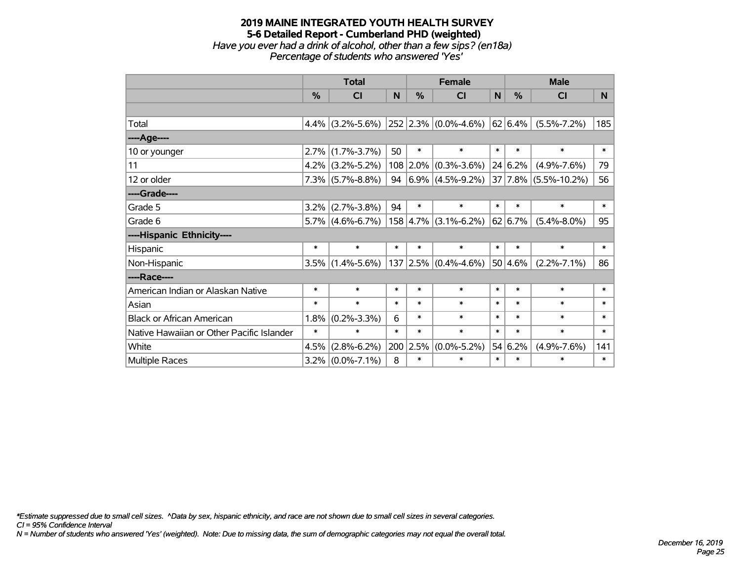#### **2019 MAINE INTEGRATED YOUTH HEALTH SURVEY 5-6 Detailed Report - Cumberland PHD (weighted)** *Have you ever had a drink of alcohol, other than a few sips? (en18a) Percentage of students who answered 'Yes'*

|                                           | <b>Total</b> |                                       |        |               | <b>Female</b>                             |        | <b>Male</b> |                           |        |  |
|-------------------------------------------|--------------|---------------------------------------|--------|---------------|-------------------------------------------|--------|-------------|---------------------------|--------|--|
|                                           | %            | <b>CI</b>                             | N      | $\frac{0}{0}$ | <b>CI</b>                                 | N      | %           | <b>CI</b>                 | N.     |  |
|                                           |              |                                       |        |               |                                           |        |             |                           |        |  |
| Total                                     |              | 4.4% (3.2%-5.6%) 252 2.3% (0.0%-4.6%) |        |               |                                           |        | 62 6.4%     | $(5.5\% - 7.2\%)$         | 185    |  |
| ---- Age----                              |              |                                       |        |               |                                           |        |             |                           |        |  |
| 10 or younger                             | 2.7%         | $(1.7\% - 3.7\%)$                     | 50     | $\ast$        | $\ast$                                    | $\ast$ | $\ast$      | $\ast$                    | $\ast$ |  |
| 11                                        | $4.2\%$      | $(3.2\% - 5.2\%)$                     |        |               | $108$ 2.0% (0.3%-3.6%)                    |        | 24 6.2%     | $(4.9\% - 7.6\%)$         | 79     |  |
| 12 or older                               |              | $7.3\%$ (5.7%-8.8%)                   |        |               | 94 $\left  6.9\% \right  (4.5\% - 9.2\%)$ |        |             | $ 37 7.8\% $ (5.5%-10.2%) | 56     |  |
| ----Grade----                             |              |                                       |        |               |                                           |        |             |                           |        |  |
| Grade 5                                   | 3.2%         | $(2.7\% - 3.8\%)$                     | 94     | $\ast$        | $\ast$                                    | $\ast$ | $\ast$      | $\ast$                    | $\ast$ |  |
| Grade 6                                   |              | $5.7\%$ (4.6%-6.7%)                   |        |               | $158 \mid 4.7\% \mid (3.1\% - 6.2\%)$     |        | 62 6.7%     | $(5.4\% - 8.0\%)$         | 95     |  |
| ----Hispanic Ethnicity----                |              |                                       |        |               |                                           |        |             |                           |        |  |
| Hispanic                                  | $\ast$       | $\ast$                                | $\ast$ | $\ast$        | $\ast$                                    | $\ast$ | $\ast$      | $\ast$                    | $\ast$ |  |
| Non-Hispanic                              |              | $3.5\%$ (1.4%-5.6%)                   |        |               | $137 2.5\% $ (0.4%-4.6%)                  |        | 50 4.6%     | $(2.2\% - 7.1\%)$         | 86     |  |
| ----Race----                              |              |                                       |        |               |                                           |        |             |                           |        |  |
| American Indian or Alaskan Native         | $\ast$       | $\ast$                                | $\ast$ | $\ast$        | $\ast$                                    | $\ast$ | $\ast$      | $\ast$                    | $\ast$ |  |
| Asian                                     | $\ast$       | $\ast$                                | $\ast$ | $\ast$        | $\ast$                                    | $\ast$ | $\ast$      | $\ast$                    | $\ast$ |  |
| <b>Black or African American</b>          | 1.8%         | $(0.2\% - 3.3\%)$                     | 6      | $\ast$        | $\ast$                                    | $\ast$ | $\ast$      | $\ast$                    | $\ast$ |  |
| Native Hawaiian or Other Pacific Islander | $\ast$       | $\ast$                                | $\ast$ | $\ast$        | $\ast$                                    | $\ast$ | $\ast$      | $\ast$                    | $\ast$ |  |
| White                                     | 4.5%         | $(2.8\% - 6.2\%)$                     |        | 200 2.5%      | $(0.0\% - 5.2\%)$                         |        | 54 6.2%     | $(4.9\% - 7.6\%)$         | 141    |  |
| Multiple Races                            | $3.2\%$      | $(0.0\% - 7.1\%)$                     | 8      | $\ast$        | $\ast$                                    | $\ast$ | $\ast$      | $\ast$                    | $\ast$ |  |

*\*Estimate suppressed due to small cell sizes. ^Data by sex, hispanic ethnicity, and race are not shown due to small cell sizes in several categories.*

*CI = 95% Confidence Interval*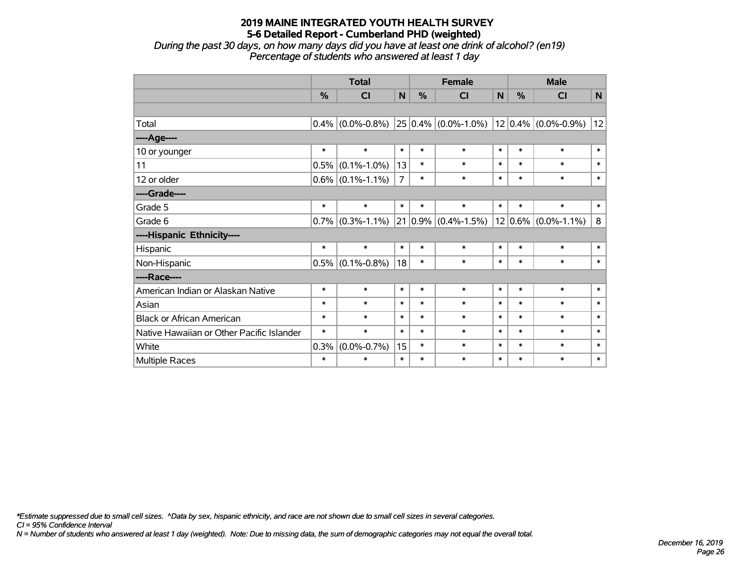*During the past 30 days, on how many days did you have at least one drink of alcohol? (en19) Percentage of students who answered at least 1 day*

|                                           | <b>Total</b> |                   |                | <b>Female</b> |                           |        | <b>Male</b>  |                   |              |
|-------------------------------------------|--------------|-------------------|----------------|---------------|---------------------------|--------|--------------|-------------------|--------------|
|                                           | %            | CI                | $\mathsf{N}$   | %             | <b>CI</b>                 | N      | %            | CI                | $\mathsf{N}$ |
|                                           |              |                   |                |               |                           |        |              |                   |              |
| Total                                     | 0.4%         | $(0.0\% - 0.8\%)$ |                |               | $25 0.4\% $ (0.0%-1.0%)   |        | $ 12 0.4\% $ | $(0.0\% - 0.9\%)$ | 12           |
| ----Age----                               |              |                   |                |               |                           |        |              |                   |              |
| 10 or younger                             | $\ast$       | $\ast$            | $\ast$         | $\ast$        | $\ast$                    | $\ast$ | $\ast$       | $\ast$            | $\ast$       |
| 11                                        | 0.5%         | $(0.1\% - 1.0\%)$ | 13             | $\ast$        | $\ast$                    | $\ast$ | $\ast$       | $\ast$            | $\ast$       |
| 12 or older                               | $0.6\%$      | $(0.1\% - 1.1\%)$ | $\overline{7}$ | $\ast$        | $\ast$                    | $\ast$ | $\ast$       | $\ast$            | $\ast$       |
| ----Grade----                             |              |                   |                |               |                           |        |              |                   |              |
| Grade 5                                   | $\ast$       | $\ast$            | $\ast$         | $\ast$        | $\ast$                    | $\ast$ | $\ast$       | $\ast$            | $\ast$       |
| Grade 6                                   | 0.7%         | $(0.3\% - 1.1\%)$ | 21             |               | $ 0.9\% $ $(0.4\%$ -1.5%) |        | $12 0.6\% $  | $(0.0\% - 1.1\%)$ | 8            |
| ----Hispanic Ethnicity----                |              |                   |                |               |                           |        |              |                   |              |
| Hispanic                                  | $\ast$       | $\ast$            | $\ast$         | $\ast$        | $\ast$                    | $\ast$ | $\ast$       | $\ast$            | $\ast$       |
| Non-Hispanic                              | 0.5%         | $(0.1\% - 0.8\%)$ | 18             | $\ast$        | $\ast$                    | $\ast$ | $\ast$       | $\ast$            | $\ast$       |
| ----Race----                              |              |                   |                |               |                           |        |              |                   |              |
| American Indian or Alaskan Native         | $\ast$       | $\ast$            | $\ast$         | $\ast$        | $\ast$                    | $\ast$ | $\ast$       | $\ast$            | $\ast$       |
| Asian                                     | $\ast$       | $\ast$            | $\ast$         | $\ast$        | $\ast$                    | $\ast$ | $\ast$       | $\ast$            | $\ast$       |
| <b>Black or African American</b>          | $\ast$       | $\ast$            | $\ast$         | $\ast$        | $\ast$                    | $\ast$ | $\ast$       | $\ast$            | $\ast$       |
| Native Hawaiian or Other Pacific Islander | $\ast$       | $\ast$            | $\ast$         | $\ast$        | $\ast$                    | $\ast$ | $\ast$       | $\ast$            | $\ast$       |
| White                                     | 0.3%         | $(0.0\% - 0.7\%)$ | 15             | *             | $\ast$                    | $\ast$ | $\ast$       | $\ast$            | $\ast$       |
| Multiple Races                            | $\ast$       | $\ast$            | $\ast$         | $\ast$        | $\ast$                    | $\ast$ | $\ast$       | $\ast$            | $\ast$       |

*\*Estimate suppressed due to small cell sizes. ^Data by sex, hispanic ethnicity, and race are not shown due to small cell sizes in several categories.*

*CI = 95% Confidence Interval*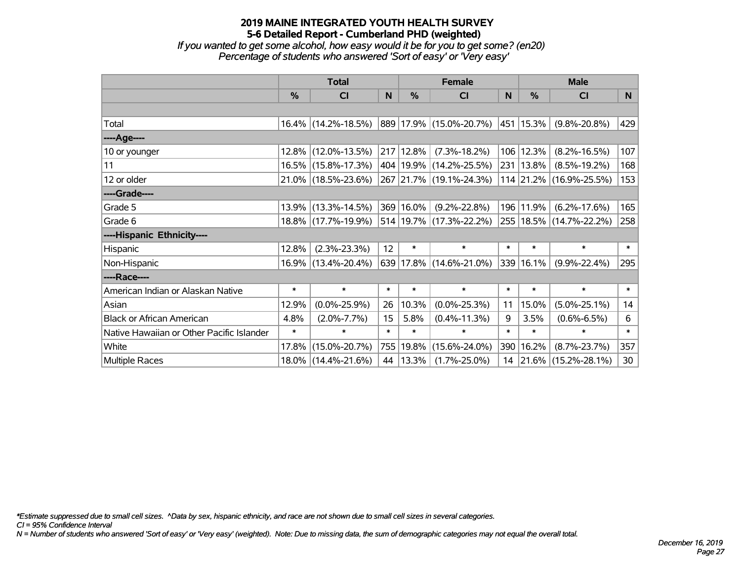*If you wanted to get some alcohol, how easy would it be for you to get some? (en20) Percentage of students who answered 'Sort of easy' or 'Very easy'*

|                                           | <b>Total</b>  |                        |        | <b>Female</b> | <b>Male</b>                 |          |           |                             |              |
|-------------------------------------------|---------------|------------------------|--------|---------------|-----------------------------|----------|-----------|-----------------------------|--------------|
|                                           | $\frac{0}{0}$ | CI                     | N      | $\frac{0}{0}$ | <b>CI</b>                   | <b>N</b> | %         | <b>CI</b>                   | N            |
|                                           |               |                        |        |               |                             |          |           |                             |              |
| Total                                     |               | $16.4\%$ (14.2%-18.5%) |        |               | 889 17.9% (15.0%-20.7%)     |          | 451 15.3% | $(9.8\% - 20.8\%)$          | 429          |
| ----Age----                               |               |                        |        |               |                             |          |           |                             |              |
| 10 or younger                             |               | 12.8% (12.0%-13.5%)    |        | 217 12.8%     | $(7.3\% - 18.2\%)$          | 106      | 12.3%     | $(8.2\% - 16.5\%)$          | 107          |
| 11                                        |               | 16.5% (15.8%-17.3%)    |        |               | 404   19.9%   (14.2%-25.5%) | 231      | 13.8%     | $(8.5\% - 19.2\%)$          | 168          |
| 12 or older                               |               | 21.0% (18.5%-23.6%)    |        |               | 267 21.7% (19.1%-24.3%)     |          |           | 114 21.2% (16.9%-25.5%)     | 153          |
| ----Grade----                             |               |                        |        |               |                             |          |           |                             |              |
| Grade 5                                   |               | 13.9% (13.3%-14.5%)    |        | 369 16.0%     | $(9.2\% - 22.8\%)$          | 196      | 11.9%     | $(6.2\% - 17.6\%)$          | 165          |
| Grade 6                                   |               | 18.8% (17.7%-19.9%)    |        |               | 514 19.7% (17.3%-22.2%)     |          |           | 255   18.5%   (14.7%-22.2%) | 258          |
| ----Hispanic Ethnicity----                |               |                        |        |               |                             |          |           |                             |              |
| Hispanic                                  | 12.8%         | $(2.3\% - 23.3\%)$     | 12     | $\ast$        | $\ast$                      | $\ast$   | $\ast$    | $\ast$                      | $\ast$       |
| Non-Hispanic                              |               | 16.9% (13.4%-20.4%)    |        |               | 639 17.8% (14.6%-21.0%)     | 339      | 16.1%     | $(9.9\% - 22.4\%)$          | 295          |
| ----Race----                              |               |                        |        |               |                             |          |           |                             |              |
| American Indian or Alaskan Native         | $\ast$        | $\ast$                 | $\ast$ | $\ast$        | $\ast$                      | $\ast$   | $\ast$    | $\ast$                      | $\pmb{\ast}$ |
| Asian                                     | 12.9%         | $(0.0\% - 25.9\%)$     | 26     | 10.3%         | $(0.0\% - 25.3\%)$          | 11       | 15.0%     | $(5.0\% - 25.1\%)$          | 14           |
| <b>Black or African American</b>          | 4.8%          | $(2.0\% - 7.7\%)$      | 15     | 5.8%          | $(0.4\% - 11.3\%)$          | 9        | 3.5%      | $(0.6\% - 6.5\%)$           | 6            |
| Native Hawaiian or Other Pacific Islander | $\ast$        | $\ast$                 | $\ast$ | $\ast$        | $\ast$                      | $\ast$   | $\ast$    | $\ast$                      | $\ast$       |
| White                                     | $17.8\%$      | $(15.0\% - 20.7\%)$    |        | 755 19.8%     | $(15.6\% - 24.0\%)$         | 390      | 16.2%     | $(8.7\% - 23.7\%)$          | 357          |
| <b>Multiple Races</b>                     |               | 18.0% (14.4%-21.6%)    |        | 44   13.3%    | $(1.7\% - 25.0\%)$          |          |           | 14 21.6% (15.2%-28.1%)      | 30           |

*\*Estimate suppressed due to small cell sizes. ^Data by sex, hispanic ethnicity, and race are not shown due to small cell sizes in several categories.*

*CI = 95% Confidence Interval*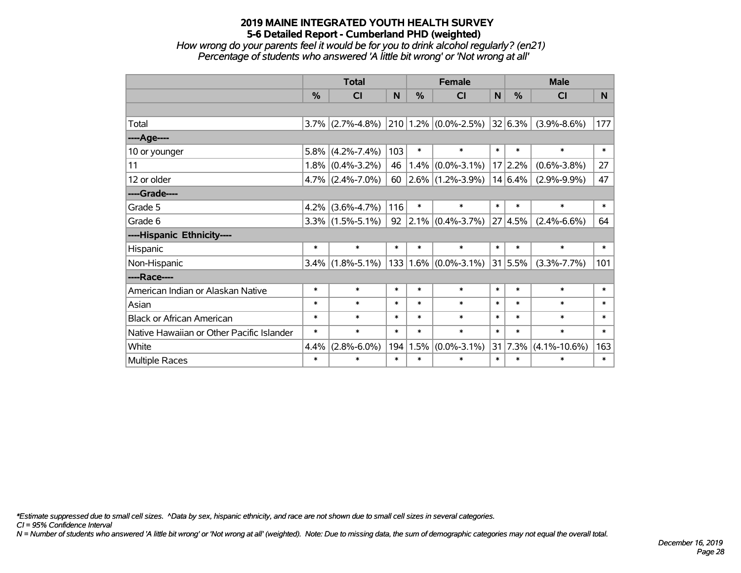*How wrong do your parents feel it would be for you to drink alcohol regularly? (en21) Percentage of students who answered 'A little bit wrong' or 'Not wrong at all'*

|                                           | <b>Total</b>  |                                          |        | <b>Female</b> |                                       |        | <b>Male</b>   |                    |          |  |
|-------------------------------------------|---------------|------------------------------------------|--------|---------------|---------------------------------------|--------|---------------|--------------------|----------|--|
|                                           | $\frac{9}{6}$ | CI                                       | N      | $\frac{0}{2}$ | <b>CI</b>                             | N      | $\frac{0}{2}$ | <b>CI</b>          | <b>N</b> |  |
|                                           |               |                                          |        |               |                                       |        |               |                    |          |  |
| Total                                     |               | $3.7\%$ (2.7%-4.8%) 210 1.2% (0.0%-2.5%) |        |               |                                       |        | 32 6.3%       | $(3.9\% - 8.6\%)$  | 177      |  |
| ----Age----                               |               |                                          |        |               |                                       |        |               |                    |          |  |
| 10 or younger                             | 5.8%          | $(4.2\% - 7.4\%)$                        | 103    | $\ast$        | $\ast$                                | $\ast$ | $\ast$        | $\ast$             | $\ast$   |  |
| 11                                        |               | $1.8\%$ (0.4%-3.2%)                      | 46     |               | $1.4\%$ (0.0%-3.1%)                   |        | 17 2.2%       | $(0.6\% - 3.8\%)$  | 27       |  |
| 12 or older                               |               | $4.7\%$ (2.4%-7.0%)                      |        |               | 60 $\left  2.6\% \right $ (1.2%-3.9%) |        | 14 6.4%       | $(2.9\% - 9.9\%)$  | 47       |  |
| ----Grade----                             |               |                                          |        |               |                                       |        |               |                    |          |  |
| Grade 5                                   | 4.2%          | $(3.6\% - 4.7\%)$                        | 116    | $\ast$        | $\ast$                                | $\ast$ | $\ast$        | $\ast$             | $\ast$   |  |
| Grade 6                                   |               | $3.3\%$ (1.5%-5.1%)                      |        |               | 92   $2.1\%$   $(0.4\% - 3.7\%)$      |        | 27 4.5%       | $(2.4\% - 6.6\%)$  | 64       |  |
| ----Hispanic Ethnicity----                |               |                                          |        |               |                                       |        |               |                    |          |  |
| Hispanic                                  | $\ast$        | $\ast$                                   | $\ast$ | $\ast$        | $\ast$                                | $\ast$ | $\ast$        | $\ast$             | $\ast$   |  |
| Non-Hispanic                              |               | $3.4\%$ (1.8%-5.1%)                      |        |               | $133   1.6\%   (0.0\% - 3.1\%)$       |        | 31 5.5%       | $(3.3\% - 7.7\%)$  | 101      |  |
| ----Race----                              |               |                                          |        |               |                                       |        |               |                    |          |  |
| American Indian or Alaskan Native         | $\ast$        | $\ast$                                   | $\ast$ | $\ast$        | $\ast$                                | $\ast$ | $\ast$        | $\ast$             | $\ast$   |  |
| Asian                                     | $\ast$        | $\ast$                                   | $\ast$ | $\ast$        | $\ast$                                | $\ast$ | $\ast$        | $\ast$             | $\ast$   |  |
| <b>Black or African American</b>          | $\ast$        | $\ast$                                   | $\ast$ | $\ast$        | $\ast$                                | $\ast$ | $\ast$        | $\ast$             | $\ast$   |  |
| Native Hawaiian or Other Pacific Islander | $\ast$        | $\ast$                                   | $\ast$ | $\ast$        | $\ast$                                | $\ast$ | $\ast$        | $\ast$             | $\ast$   |  |
| White                                     | 4.4%          | $(2.8\% - 6.0\%)$                        | 194    | 1.5%          | $(0.0\% - 3.1\%)$                     | 31     | 7.3%          | $(4.1\% - 10.6\%)$ | 163      |  |
| Multiple Races                            | $\ast$        | $\ast$                                   | $\ast$ | $\ast$        | $\ast$                                | $\ast$ | $\ast$        | $\ast$             | $\ast$   |  |

*\*Estimate suppressed due to small cell sizes. ^Data by sex, hispanic ethnicity, and race are not shown due to small cell sizes in several categories.*

*CI = 95% Confidence Interval*

*N = Number of students who answered 'A little bit wrong' or 'Not wrong at all' (weighted). Note: Due to missing data, the sum of demographic categories may not equal the overall total.*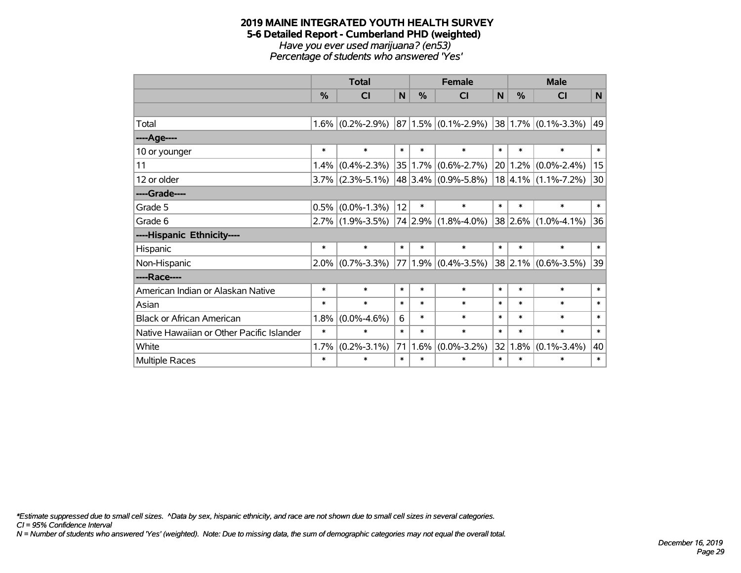#### **2019 MAINE INTEGRATED YOUTH HEALTH SURVEY 5-6 Detailed Report - Cumberland PHD (weighted)** *Have you ever used marijuana? (en53) Percentage of students who answered 'Yes'*

|                                           | <b>Total</b> |                     |        |        | <b>Female</b>            |        | <b>Male</b>  |                              |        |  |
|-------------------------------------------|--------------|---------------------|--------|--------|--------------------------|--------|--------------|------------------------------|--------|--|
|                                           | $\%$         | CI                  | N      | $\%$   | <b>CI</b>                | N      | $\%$         | <b>CI</b>                    | N      |  |
|                                           |              |                     |        |        |                          |        |              |                              |        |  |
| Total                                     | 1.6%         | $(0.2\% - 2.9\%)$   |        |        | $ 87 1.5\% $ (0.1%-2.9%) |        |              | $ 38 1.7\%  (0.1\% - 3.3\%)$ | 49     |  |
| ----Age----                               |              |                     |        |        |                          |        |              |                              |        |  |
| 10 or younger                             | $\ast$       | $\ast$              | $\ast$ | $\ast$ | $\ast$                   | $\ast$ | $\ast$       | $\ast$                       | $\ast$ |  |
| 11                                        | 1.4%         | $(0.4\% - 2.3\%)$   | 35     |        | $1.7\%$ (0.6%-2.7%)      |        | 20 1.2%      | $(0.0\% - 2.4\%)$            | 15     |  |
| 12 or older                               | 3.7%         | $(2.3\% - 5.1\%)$   |        |        | $48 3.4\% $ (0.9%-5.8%)  |        |              | $18 4.1\% $ (1.1%-7.2%)      | 30     |  |
| ----Grade----                             |              |                     |        |        |                          |        |              |                              |        |  |
| Grade 5                                   | 0.5%         | $(0.0\% - 1.3\%)$   | 12     | $\ast$ | $\ast$                   | $\ast$ | $\ast$       | $\ast$                       | $\ast$ |  |
| Grade 6                                   |              | $2.7\%$ (1.9%-3.5%) |        |        | 74 2.9% (1.8%-4.0%)      |        | 38 2.6%      | $(1.0\% - 4.1\%)$            | 36     |  |
| ----Hispanic Ethnicity----                |              |                     |        |        |                          |        |              |                              |        |  |
| Hispanic                                  | $\ast$       | $\ast$              | $\ast$ | $\ast$ | $\ast$                   | $\ast$ | $\ast$       | $\ast$                       | $\ast$ |  |
| Non-Hispanic                              | $2.0\%$      | $(0.7\% - 3.3\%)$   | 77     |        | $1.9\%$ (0.4%-3.5%)      |        | $ 38 2.1\% $ | $(0.6\% - 3.5\%)$            | 39     |  |
| ----Race----                              |              |                     |        |        |                          |        |              |                              |        |  |
| American Indian or Alaskan Native         | $\ast$       | $\ast$              | $\ast$ | $\ast$ | $\ast$                   | $\ast$ | $\ast$       | $\ast$                       | $\ast$ |  |
| Asian                                     | $\ast$       | $\ast$              | $\ast$ | $\ast$ | $\ast$                   | $\ast$ | $\ast$       | $\ast$                       | $\ast$ |  |
| <b>Black or African American</b>          | 1.8%         | $(0.0\% - 4.6\%)$   | 6      | $\ast$ | $\ast$                   | $\ast$ | $\ast$       | $\ast$                       | $\ast$ |  |
| Native Hawaiian or Other Pacific Islander | $\ast$       | $\ast$              | $\ast$ | $\ast$ | $\ast$                   | $\ast$ | $\ast$       | $\ast$                       | $\ast$ |  |
| White                                     | 1.7%         | $(0.2\% - 3.1\%)$   | 71     | 1.6%   | $(0.0\% - 3.2\%)$        | 32     | 1.8%         | $(0.1\% - 3.4\%)$            | 40     |  |
| <b>Multiple Races</b>                     | $\ast$       | $\ast$              | $\ast$ | $\ast$ | *                        | $\ast$ | $\ast$       | ∗                            | $\ast$ |  |

*\*Estimate suppressed due to small cell sizes. ^Data by sex, hispanic ethnicity, and race are not shown due to small cell sizes in several categories.*

*CI = 95% Confidence Interval*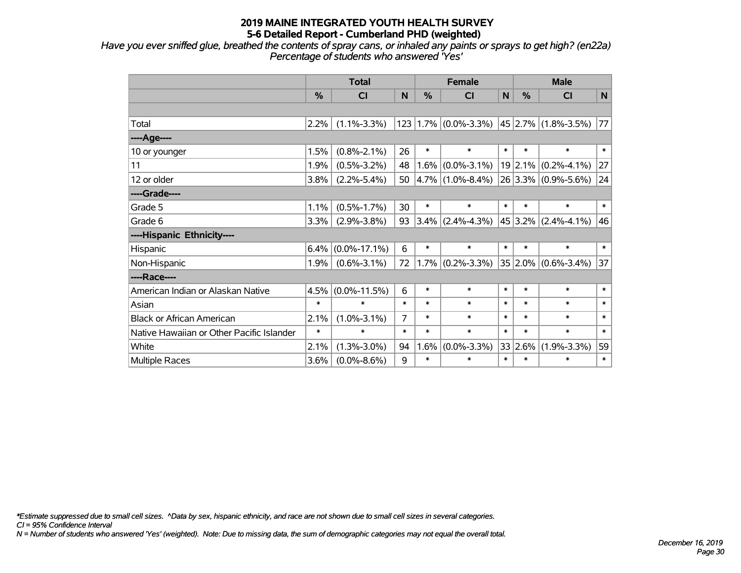*Have you ever sniffed glue, breathed the contents of spray cans, or inhaled any paints or sprays to get high? (en22a) Percentage of students who answered 'Yes'*

|                                           | <b>Total</b> |                    |                | <b>Female</b> |                                 |              | <b>Male</b>   |                         |        |  |
|-------------------------------------------|--------------|--------------------|----------------|---------------|---------------------------------|--------------|---------------|-------------------------|--------|--|
|                                           | %            | <b>CI</b>          | N              | %             | <b>CI</b>                       | $\mathsf{N}$ | $\frac{0}{0}$ | <b>CI</b>               | N      |  |
|                                           |              |                    |                |               |                                 |              |               |                         |        |  |
| Total                                     | 2.2%         | $(1.1\% - 3.3\%)$  |                |               | $123   1.7\%   (0.0\% - 3.3\%)$ |              |               | 45 2.7% (1.8%-3.5%)     | 77     |  |
| ----Age----                               |              |                    |                |               |                                 |              |               |                         |        |  |
| 10 or younger                             | 1.5%         | $(0.8\% - 2.1\%)$  | 26             | $\ast$        | $\ast$                          | $\ast$       | $\ast$        | $\ast$                  | $\ast$ |  |
| 11                                        | 1.9%         | $(0.5\% - 3.2\%)$  | 48             |               | $1.6\%$ (0.0%-3.1%)             |              | 19 2.1%       | $(0.2\% - 4.1\%)$       | 27     |  |
| 12 or older                               | 3.8%         | $(2.2\% - 5.4\%)$  | 50             |               | $ 4.7\% $ (1.0%-8.4%)           |              |               | 26 3.3% (0.9%-5.6%)     | 24     |  |
| ----Grade----                             |              |                    |                |               |                                 |              |               |                         |        |  |
| Grade 5                                   | 1.1%         | $(0.5\% - 1.7\%)$  | 30             | $\ast$        | $\ast$                          | $\ast$       | $\ast$        | $\ast$                  | $\ast$ |  |
| Grade 6                                   | 3.3%         | $(2.9\% - 3.8\%)$  | 93             |               | $3.4\%$ (2.4%-4.3%)             |              |               | $45 3.2\% $ (2.4%-4.1%) | 46     |  |
| ----Hispanic Ethnicity----                |              |                    |                |               |                                 |              |               |                         |        |  |
| Hispanic                                  | 6.4%         | $(0.0\% - 17.1\%)$ | 6              | $\ast$        | $\ast$                          | $\ast$       | $\ast$        | $\ast$                  | $\ast$ |  |
| Non-Hispanic                              | 1.9%         | $(0.6\% - 3.1\%)$  | 72             |               | $1.7\%$ (0.2%-3.3%)             |              | 35 2.0%       | $(0.6\% - 3.4\%)$       | 37     |  |
| ----Race----                              |              |                    |                |               |                                 |              |               |                         |        |  |
| American Indian or Alaskan Native         | 4.5%         | $(0.0\% - 11.5\%)$ | 6              | $\ast$        | $\ast$                          | $\ast$       | $\ast$        | $\ast$                  | $\ast$ |  |
| Asian                                     | $\ast$       | $\ast$             | $\ast$         | $\ast$        | $\ast$                          | $\ast$       | $\ast$        | $\ast$                  | $\ast$ |  |
| <b>Black or African American</b>          | 2.1%         | $(1.0\% - 3.1\%)$  | $\overline{7}$ | $\ast$        | $\ast$                          | $\ast$       | $\ast$        | $\ast$                  | $\ast$ |  |
| Native Hawaiian or Other Pacific Islander | $\ast$       | $\ast$             | $\ast$         | $\ast$        | $\ast$                          | $\ast$       | $\ast$        | $\ast$                  | $\ast$ |  |
| White                                     | 2.1%         | $(1.3\% - 3.0\%)$  | 94             | 1.6%          | $(0.0\% - 3.3\%)$               | 33           | 2.6%          | $(1.9\% - 3.3\%)$       | 59     |  |
| Multiple Races                            | 3.6%         | $(0.0\% - 8.6\%)$  | 9              | $\ast$        | $\ast$                          | $\ast$       | $\ast$        | $\ast$                  | $\ast$ |  |

*\*Estimate suppressed due to small cell sizes. ^Data by sex, hispanic ethnicity, and race are not shown due to small cell sizes in several categories.*

*CI = 95% Confidence Interval*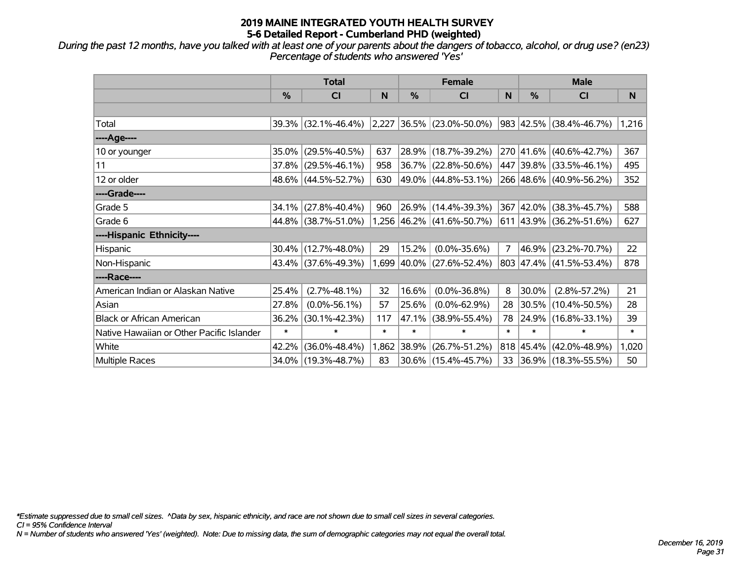*During the past 12 months, have you talked with at least one of your parents about the dangers of tobacco, alcohol, or drug use? (en23) Percentage of students who answered 'Yes'*

|                                           | <b>Total</b> |                     |        | <b>Female</b> |                                | <b>Male</b>    |               |                                  |        |
|-------------------------------------------|--------------|---------------------|--------|---------------|--------------------------------|----------------|---------------|----------------------------------|--------|
|                                           | %            | CI                  | N      | $\frac{9}{6}$ | <b>CI</b>                      | ${\sf N}$      | $\frac{0}{0}$ | CI                               | N      |
|                                           |              |                     |        |               |                                |                |               |                                  |        |
| Total                                     | 39.3%        | $(32.1\% - 46.4\%)$ |        |               | 2,227 36.5% (23.0%-50.0%)      |                |               | 983 42.5% (38.4%-46.7%)          | 1,216  |
| ----Age----                               |              |                     |        |               |                                |                |               |                                  |        |
| 10 or younger                             | 35.0%        | $(29.5\% - 40.5\%)$ | 637    |               | 28.9% (18.7%-39.2%)            |                |               | 270 41.6% (40.6%-42.7%)          | 367    |
| 11                                        | 37.8%        | $(29.5\% - 46.1\%)$ | 958    |               | 36.7% (22.8%-50.6%)            |                |               | 447 39.8% (33.5%-46.1%)          | 495    |
| 12 or older                               | 48.6%        | $(44.5\% - 52.7\%)$ | 630    |               | 49.0% (44.8%-53.1%)            |                |               | 266 48.6% (40.9%-56.2%)          | 352    |
| ----Grade----                             |              |                     |        |               |                                |                |               |                                  |        |
| Grade 5                                   | 34.1%        | $(27.8\% - 40.4\%)$ | 960    |               | 26.9% (14.4%-39.3%)            |                |               | 367 42.0% (38.3%-45.7%)          | 588    |
| Grade 6                                   |              | 44.8% (38.7%-51.0%) |        |               | $1,256$  46.2%   (41.6%-50.7%) |                |               | $ 611 43.9\%  (36.2\% - 51.6\%)$ | 627    |
| ----Hispanic Ethnicity----                |              |                     |        |               |                                |                |               |                                  |        |
| <b>Hispanic</b>                           | 30.4%        | $(12.7\% - 48.0\%)$ | 29     | 15.2%         | $(0.0\% - 35.6\%)$             | $\overline{7}$ |               | 46.9% (23.2%-70.7%)              | 22     |
| Non-Hispanic                              | 43.4%        | $(37.6\% - 49.3\%)$ | 1,699  |               | $ 40.0\% $ (27.6%-52.4%)       |                |               | 803 47.4% (41.5%-53.4%)          | 878    |
| ----Race----                              |              |                     |        |               |                                |                |               |                                  |        |
| American Indian or Alaskan Native         | 25.4%        | $(2.7\% - 48.1\%)$  | 32     | 16.6%         | $(0.0\% - 36.8\%)$             | 8              | $30.0\%$      | $(2.8\% - 57.2\%)$               | 21     |
| Asian                                     | 27.8%        | $(0.0\% - 56.1\%)$  | 57     | 25.6%         | $(0.0\% - 62.9\%)$             | 28             |               | 30.5% (10.4%-50.5%)              | 28     |
| <b>Black or African American</b>          | 36.2%        | $(30.1\% - 42.3\%)$ | 117    | 47.1%         | $(38.9\% - 55.4\%)$            | 78             |               | 24.9% (16.8%-33.1%)              | 39     |
| Native Hawaiian or Other Pacific Islander | $\ast$       | $\ast$              | $\ast$ | $\ast$        | $\ast$                         | $\ast$         | $\ast$        | $\ast$                           | $\ast$ |
| White                                     | 42.2%        | $(36.0\% - 48.4\%)$ | 1,862  | 38.9%         | $(26.7\% - 51.2\%)$            |                |               | 818 45.4% (42.0%-48.9%)          | 1,020  |
| Multiple Races                            | 34.0%        | $(19.3\% - 48.7\%)$ | 83     |               | 30.6% (15.4%-45.7%)            |                |               | 33 36.9% (18.3%-55.5%)           | 50     |

*\*Estimate suppressed due to small cell sizes. ^Data by sex, hispanic ethnicity, and race are not shown due to small cell sizes in several categories.*

*CI = 95% Confidence Interval*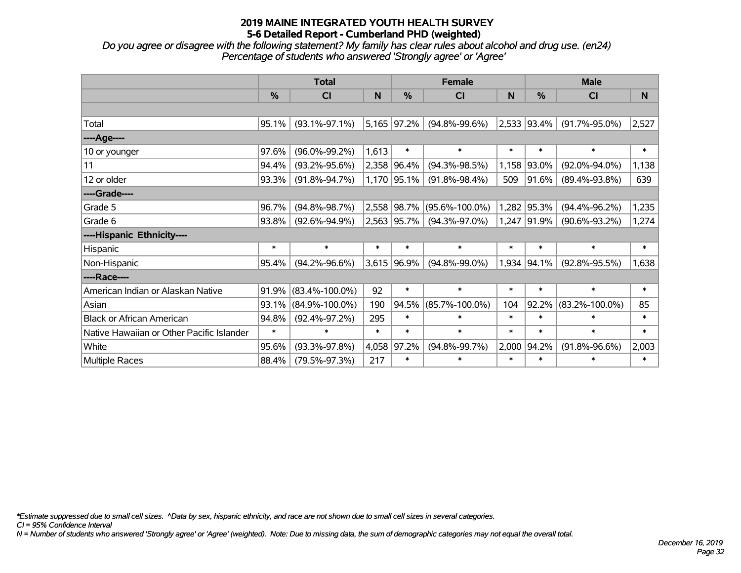*Do you agree or disagree with the following statement? My family has clear rules about alcohol and drug use. (en24) Percentage of students who answered 'Strongly agree' or 'Agree'*

|                                           |               | <b>Total</b>         |        |             | <b>Female</b>        |        | <b>Male</b> |                      |              |  |
|-------------------------------------------|---------------|----------------------|--------|-------------|----------------------|--------|-------------|----------------------|--------------|--|
|                                           | $\frac{0}{0}$ | <b>CI</b>            | N      | %           | <b>CI</b>            | N      | %           | <b>CI</b>            | <sub>N</sub> |  |
|                                           |               |                      |        |             |                      |        |             |                      |              |  |
| Total                                     | 95.1%         | $(93.1\% - 97.1\%)$  |        | 5,165 97.2% | $(94.8\% - 99.6\%)$  |        | 2,533 93.4% | $(91.7\% - 95.0\%)$  | 2,527        |  |
| ----Age----                               |               |                      |        |             |                      |        |             |                      |              |  |
| 10 or younger                             | 97.6%         | $(96.0\% - 99.2\%)$  | 1,613  | $\ast$      | $\ast$               | $\ast$ | $\ast$      | $\ast$               | $\ast$       |  |
| 11                                        | 94.4%         | $(93.2\% - 95.6\%)$  |        | 2,358 96.4% | $(94.3\% - 98.5\%)$  | 1,158  | 93.0%       | $(92.0\% - 94.0\%)$  | 1,138        |  |
| 12 or older                               | 93.3%         | $(91.8\% - 94.7\%)$  |        | 1,170 95.1% | $(91.8\% - 98.4\%)$  | 509    | 91.6%       | $(89.4\% - 93.8\%)$  | 639          |  |
| ----Grade----                             |               |                      |        |             |                      |        |             |                      |              |  |
| Grade 5                                   | 96.7%         | $(94.8\% - 98.7\%)$  |        | 2,558 98.7% | $(95.6\% - 100.0\%)$ | 1,282  | 95.3%       | $(94.4\% - 96.2\%)$  | 1,235        |  |
| Grade 6                                   | 93.8%         | $(92.6\% - 94.9\%)$  |        | 2,563 95.7% | $(94.3\% - 97.0\%)$  | 1,247  | $ 91.9\% $  | $(90.6\% - 93.2\%)$  | 1,274        |  |
| ----Hispanic Ethnicity----                |               |                      |        |             |                      |        |             |                      |              |  |
| Hispanic                                  | $\ast$        | $\ast$               | $\ast$ | $\ast$      | $\ast$               | $\ast$ | $\ast$      | $\ast$               | $\ast$       |  |
| Non-Hispanic                              | 95.4%         | $(94.2\% - 96.6\%)$  |        | 3,615 96.9% | $(94.8\% - 99.0\%)$  |        | 1,934 94.1% | $(92.8\% - 95.5\%)$  | 1,638        |  |
| ----Race----                              |               |                      |        |             |                      |        |             |                      |              |  |
| American Indian or Alaskan Native         | 91.9%         | $(83.4\% - 100.0\%)$ | 92     | $\ast$      | $\ast$               | $\ast$ | $\ast$      | $\ast$               | $\ast$       |  |
| Asian                                     | 93.1%         | $(84.9\% - 100.0\%)$ | 190    | 94.5%       | $(85.7\% - 100.0\%)$ | 104    | 92.2%       | $(83.2\% - 100.0\%)$ | 85           |  |
| <b>Black or African American</b>          | 94.8%         | $(92.4\% - 97.2\%)$  | 295    | $\ast$      | $\ast$               | $\ast$ | $\ast$      | $\ast$               | $\ast$       |  |
| Native Hawaiian or Other Pacific Islander | $\ast$        | $\ast$               | $\ast$ | $\ast$      | $\ast$               | $\ast$ | $\ast$      | $\ast$               | $\ast$       |  |
| White                                     | 95.6%         | $(93.3\% - 97.8\%)$  | 4,058  | 97.2%       | $(94.8\% - 99.7\%)$  | 2,000  | 94.2%       | $(91.8\% - 96.6\%)$  | 2,003        |  |
| <b>Multiple Races</b>                     | 88.4%         | $(79.5\% - 97.3\%)$  | 217    | $\ast$      | $\ast$               | $\ast$ | $\ast$      | $\ast$               | $\ast$       |  |

*\*Estimate suppressed due to small cell sizes. ^Data by sex, hispanic ethnicity, and race are not shown due to small cell sizes in several categories.*

*CI = 95% Confidence Interval*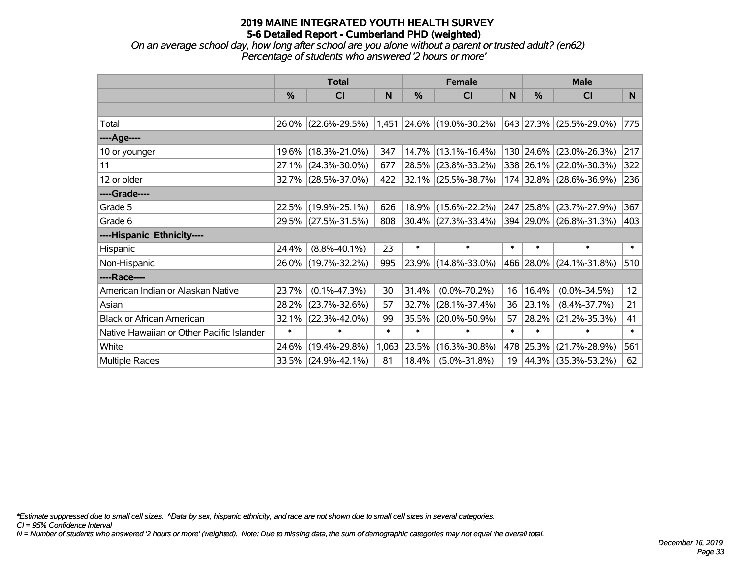*On an average school day, how long after school are you alone without a parent or trusted adult? (en62) Percentage of students who answered '2 hours or more'*

|                                           | <b>Total</b> |                     |        |        | <b>Female</b>               | <b>Male</b> |           |                          |                 |
|-------------------------------------------|--------------|---------------------|--------|--------|-----------------------------|-------------|-----------|--------------------------|-----------------|
|                                           | %            | CI                  | N      | %      | <b>CI</b>                   | N           | %         | <b>CI</b>                | N.              |
|                                           |              |                     |        |        |                             |             |           |                          |                 |
| Total                                     |              | 26.0% (22.6%-29.5%) |        |        | $1,451$ 24.6% (19.0%-30.2%) |             |           | 643 27.3% (25.5%-29.0%)  | 775             |
| ----Age----                               |              |                     |        |        |                             |             |           |                          |                 |
| 10 or younger                             |              | 19.6% (18.3%-21.0%) | 347    |        | 14.7% (13.1%-16.4%)         |             |           | 130 24.6% (23.0%-26.3%)  | 217             |
| 11                                        |              | 27.1% (24.3%-30.0%) | 677    |        | 28.5% (23.8%-33.2%)         |             |           | 338 26.1% (22.0%-30.3%)  | 322             |
| 12 or older                               |              | 32.7% (28.5%-37.0%) | 422    |        | $ 32.1\% $ (25.5%-38.7%)    |             |           | 174 32.8% (28.6%-36.9%)  | 236             |
| ----Grade----                             |              |                     |        |        |                             |             |           |                          |                 |
| Grade 5                                   |              | 22.5% (19.9%-25.1%) | 626    |        | 18.9% (15.6%-22.2%)         |             |           | 247 25.8% (23.7%-27.9%)  | 367             |
| Grade 6                                   |              | 29.5% (27.5%-31.5%) | 808    |        | $30.4\%$ (27.3%-33.4%)      |             |           | 394 29.0% (26.8%-31.3%)  | 403             |
| ----Hispanic Ethnicity----                |              |                     |        |        |                             |             |           |                          |                 |
| Hispanic                                  | 24.4%        | $(8.8\% - 40.1\%)$  | 23     | $\ast$ | $\ast$                      | $\ast$      | $\ast$    | $\ast$                   | $\ast$          |
| Non-Hispanic                              |              | 26.0% (19.7%-32.2%) | 995    |        | 23.9% (14.8%-33.0%)         |             |           | 466 28.0% (24.1%-31.8%)  | 510             |
| ----Race----                              |              |                     |        |        |                             |             |           |                          |                 |
| American Indian or Alaskan Native         | 23.7%        | $(0.1\% - 47.3\%)$  | 30     | 31.4%  | $(0.0\% - 70.2\%)$          | 16          | 16.4%     | $(0.0\% - 34.5\%)$       | 12 <sub>2</sub> |
| Asian                                     | 28.2%        | $(23.7\% - 32.6\%)$ | 57     | 32.7%  | $(28.1\% - 37.4\%)$         | 36          | 23.1%     | $(8.4\% - 37.7\%)$       | 21              |
| <b>Black or African American</b>          | 32.1%        | $(22.3\% - 42.0\%)$ | 99     | 35.5%  | $(20.0\% - 50.9\%)$         | 57          | 28.2%     | $(21.2\% - 35.3\%)$      | 41              |
| Native Hawaiian or Other Pacific Islander | $\ast$       | $\ast$              | $\ast$ | $\ast$ | $\ast$                      | $\ast$      | $\ast$    | $\ast$                   | $\ast$          |
| White                                     | 24.6%        | $(19.4\% - 29.8\%)$ | 1,063  | 23.5%  | $(16.3\% - 30.8\%)$         |             | 478 25.3% | $(21.7\% - 28.9\%)$      | 561             |
| Multiple Races                            |              | 33.5% (24.9%-42.1%) | 81     | 18.4%  | $(5.0\% - 31.8\%)$          | 19          |           | $ 44.3\% $ (35.3%-53.2%) | 62              |

*\*Estimate suppressed due to small cell sizes. ^Data by sex, hispanic ethnicity, and race are not shown due to small cell sizes in several categories.*

*CI = 95% Confidence Interval*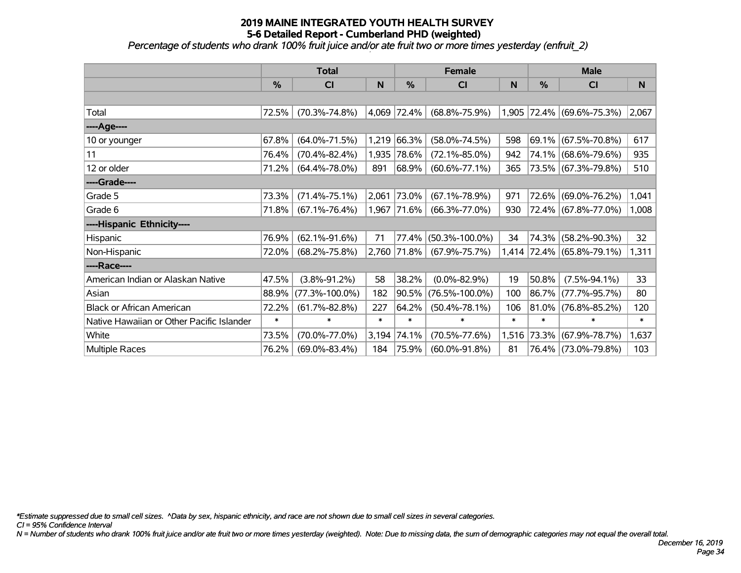*Percentage of students who drank 100% fruit juice and/or ate fruit two or more times yesterday (enfruit\_2)*

|                                           | <b>Total</b>  |                      |        |             | <b>Female</b>        |        | <b>Male</b> |                           |        |  |
|-------------------------------------------|---------------|----------------------|--------|-------------|----------------------|--------|-------------|---------------------------|--------|--|
|                                           | $\frac{0}{0}$ | CI                   | N      | %           | <b>CI</b>            | N      | %           | <b>CI</b>                 | N      |  |
|                                           |               |                      |        |             |                      |        |             |                           |        |  |
| Total                                     | 72.5%         | $(70.3\% - 74.8\%)$  |        | 4,069 72.4% | $(68.8\% - 75.9\%)$  |        |             | 1,905 72.4% (69.6%-75.3%) | 2,067  |  |
| ----Age----                               |               |                      |        |             |                      |        |             |                           |        |  |
| 10 or younger                             | 67.8%         | $(64.0\% - 71.5\%)$  | 1,219  | 66.3%       | $(58.0\% - 74.5\%)$  | 598    |             | 69.1% (67.5%-70.8%)       | 617    |  |
| 11                                        | 76.4%         | $(70.4\% - 82.4\%)$  | 1,935  | 78.6%       | $(72.1\% - 85.0\%)$  | 942    |             | 74.1% (68.6%-79.6%)       | 935    |  |
| 12 or older                               | 71.2%         | $(64.4\% - 78.0\%)$  | 891    | 68.9%       | $(60.6\% - 77.1\%)$  | 365    |             | 73.5% (67.3%-79.8%)       | 510    |  |
| ----Grade----                             |               |                      |        |             |                      |        |             |                           |        |  |
| Grade 5                                   | 73.3%         | $(71.4\% - 75.1\%)$  | 2,061  | 73.0%       | $(67.1\% - 78.9\%)$  | 971    |             | 72.6% (69.0%-76.2%)       | 1,041  |  |
| Grade 6                                   | 71.8%         | $(67.1\% - 76.4\%)$  | 1,967  | $ 71.6\% $  | $(66.3\% - 77.0\%)$  | 930    |             | 72.4% (67.8%-77.0%)       | 1,008  |  |
| ----Hispanic Ethnicity----                |               |                      |        |             |                      |        |             |                           |        |  |
| Hispanic                                  | 76.9%         | $(62.1\% - 91.6\%)$  | 71     | 77.4%       | $(50.3\% - 100.0\%)$ | 34     | 74.3%       | $(58.2\% - 90.3\%)$       | 32     |  |
| Non-Hispanic                              | 72.0%         | $(68.2\% - 75.8\%)$  |        | 2,760 71.8% | $(67.9\% - 75.7\%)$  |        |             | 1,414 72.4% (65.8%-79.1%) | 1,311  |  |
| ----Race----                              |               |                      |        |             |                      |        |             |                           |        |  |
| American Indian or Alaskan Native         | 47.5%         | $(3.8\% - 91.2\%)$   | 58     | 38.2%       | $(0.0\% - 82.9\%)$   | 19     | 50.8%       | $(7.5\% - 94.1\%)$        | 33     |  |
| Asian                                     | 88.9%         | $(77.3\% - 100.0\%)$ | 182    | 90.5%       | $(76.5\% - 100.0\%)$ | 100    |             | 86.7% (77.7%-95.7%)       | 80     |  |
| <b>Black or African American</b>          | 72.2%         | $(61.7\% - 82.8\%)$  | 227    | 64.2%       | $(50.4\% - 78.1\%)$  | 106    |             | $81.0\%$ (76.8%-85.2%)    | 120    |  |
| Native Hawaiian or Other Pacific Islander | $\ast$        | $\ast$               | $\ast$ | $\ast$      | $\ast$               | $\ast$ | $\ast$      | $\ast$                    | $\ast$ |  |
| White                                     | 73.5%         | $(70.0\% - 77.0\%)$  | 3,194  | 74.1%       | $(70.5\% - 77.6\%)$  | 1,516  | 73.3%       | $(67.9\% - 78.7\%)$       | 1,637  |  |
| Multiple Races                            | 76.2%         | $(69.0\% - 83.4\%)$  | 184    | 75.9%       | $(60.0\% - 91.8\%)$  | 81     |             | 76.4% (73.0%-79.8%)       | 103    |  |

*\*Estimate suppressed due to small cell sizes. ^Data by sex, hispanic ethnicity, and race are not shown due to small cell sizes in several categories.*

*CI = 95% Confidence Interval*

*N = Number of students who drank 100% fruit juice and/or ate fruit two or more times yesterday (weighted). Note: Due to missing data, the sum of demographic categories may not equal the overall total.*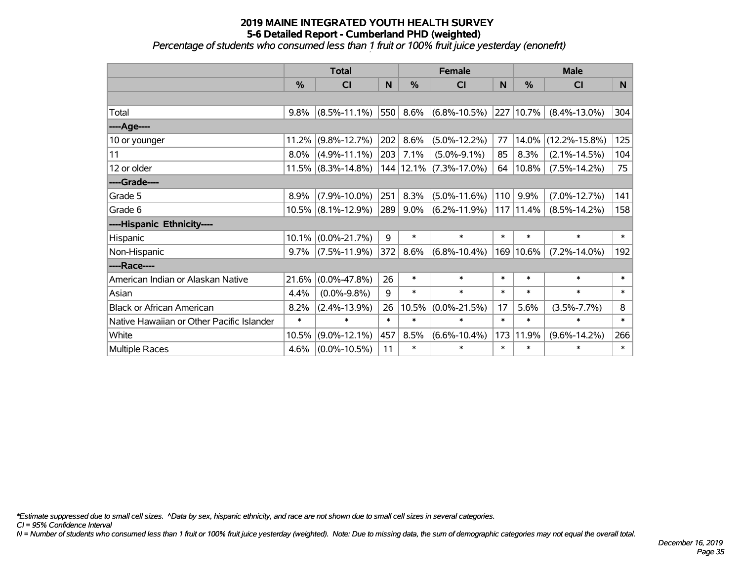#### **2019 MAINE INTEGRATED YOUTH HEALTH SURVEY 5-6 Detailed Report - Cumberland PHD (weighted)** *Percentage of students who consumed less than 1 fruit or 100% fruit juice yesterday (enonefrt)*

|                                           | <b>Total</b>  |                       |        |         | <b>Female</b>              |        | <b>Male</b> |                     |        |  |
|-------------------------------------------|---------------|-----------------------|--------|---------|----------------------------|--------|-------------|---------------------|--------|--|
|                                           | $\frac{0}{0}$ | <b>CI</b>             | N      | %       | <b>CI</b>                  | N      | %           | <b>CI</b>           | N      |  |
|                                           |               |                       |        |         |                            |        |             |                     |        |  |
| Total                                     | 9.8%          | $(8.5\% - 11.1\%)$    | 550    |         | $8.6\%$ (6.8%-10.5%)       |        | 227 10.7%   | $(8.4\% - 13.0\%)$  | 304    |  |
| ----Age----                               |               |                       |        |         |                            |        |             |                     |        |  |
| 10 or younger                             | 11.2%         | $(9.8\% - 12.7\%)$    | 202    | 8.6%    | $(5.0\% - 12.2\%)$         | 77     | 14.0%       | $(12.2\% - 15.8\%)$ | 125    |  |
| 11                                        | 8.0%          | $(4.9\% - 11.1\%)$    | 203    | 7.1%    | $(5.0\% - 9.1\%)$          | 85     | 8.3%        | $(2.1\% - 14.5\%)$  | 104    |  |
| 12 or older                               |               | $11.5\%$ (8.3%-14.8%) |        |         | 144   12.1%   (7.3%-17.0%) | 64     | 10.8%       | $(7.5\% - 14.2\%)$  | 75     |  |
| ----Grade----                             |               |                       |        |         |                            |        |             |                     |        |  |
| Grade 5                                   | 8.9%          | $(7.9\% - 10.0\%)$    | 251    | 8.3%    | $(5.0\% - 11.6\%)$         | 110    | 9.9%        | $(7.0\% - 12.7\%)$  | 141    |  |
| Grade 6                                   |               | $10.5\%$ (8.1%-12.9%) | 289    | $9.0\%$ | $(6.2\% - 11.9\%)$         |        | 117 11.4%   | $(8.5\% - 14.2\%)$  | 158    |  |
| ----Hispanic Ethnicity----                |               |                       |        |         |                            |        |             |                     |        |  |
| Hispanic                                  | 10.1%         | $(0.0\% - 21.7\%)$    | 9      | $\ast$  | $\ast$                     | $\ast$ | $\ast$      | $\ast$              | $\ast$ |  |
| Non-Hispanic                              | 9.7%          | $(7.5\% - 11.9\%)$    | 372    | 8.6%    | $(6.8\% - 10.4\%)$         |        | 169 10.6%   | $(7.2\% - 14.0\%)$  | 192    |  |
| ----Race----                              |               |                       |        |         |                            |        |             |                     |        |  |
| American Indian or Alaskan Native         | 21.6%         | $(0.0\% - 47.8\%)$    | 26     | $\ast$  | $\ast$                     | $\ast$ | $\ast$      | $\ast$              | $\ast$ |  |
| Asian                                     | 4.4%          | $(0.0\% - 9.8\%)$     | 9      | $\ast$  | $\ast$                     | $\ast$ | $\ast$      | $\ast$              | $\ast$ |  |
| <b>Black or African American</b>          | 8.2%          | $(2.4\% - 13.9\%)$    | 26     | 10.5%   | $(0.0\% - 21.5\%)$         | 17     | 5.6%        | $(3.5\% - 7.7\%)$   | 8      |  |
| Native Hawaiian or Other Pacific Islander | $\ast$        | $\ast$                | $\ast$ | $\ast$  | $\ast$                     | $\ast$ | $\ast$      | $\ast$              | $\ast$ |  |
| White                                     | 10.5%         | $(9.0\% - 12.1\%)$    | 457    | 8.5%    | $(6.6\% - 10.4\%)$         | 173    | 11.9%       | $(9.6\% - 14.2\%)$  | 266    |  |
| <b>Multiple Races</b>                     | 4.6%          | $(0.0\% - 10.5\%)$    | 11     | $\ast$  | $\ast$                     | $\ast$ | $\ast$      | $\ast$              | $\ast$ |  |

*\*Estimate suppressed due to small cell sizes. ^Data by sex, hispanic ethnicity, and race are not shown due to small cell sizes in several categories.*

*CI = 95% Confidence Interval*

*N = Number of students who consumed less than 1 fruit or 100% fruit juice yesterday (weighted). Note: Due to missing data, the sum of demographic categories may not equal the overall total.*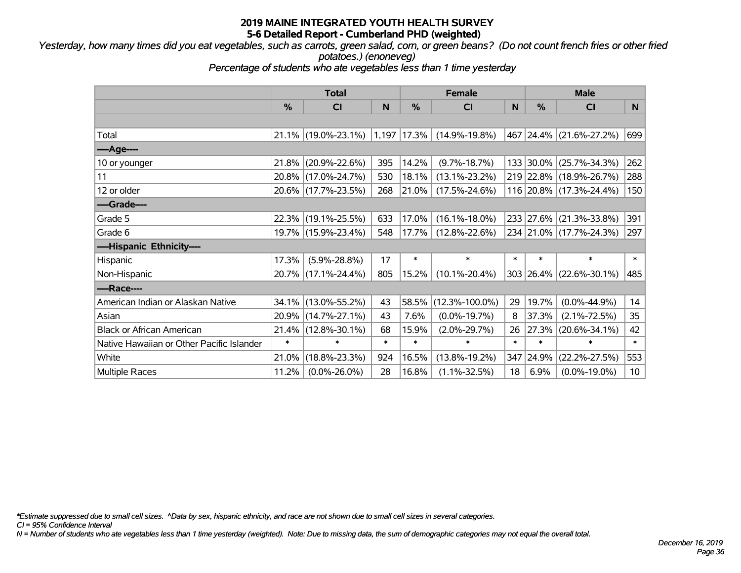*Yesterday, how many times did you eat vegetables, such as carrots, green salad, corn, or green beans? (Do not count french fries or other fried potatoes.) (enoneveg)*

*Percentage of students who ate vegetables less than 1 time yesterday*

|                                           | <b>Total</b> |                     |        | <b>Female</b>   | <b>Male</b>          |        |        |                         |        |
|-------------------------------------------|--------------|---------------------|--------|-----------------|----------------------|--------|--------|-------------------------|--------|
|                                           | %            | CI                  | N      | $\frac{9}{6}$   | <b>CI</b>            | N      | %      | <b>CI</b>               | N.     |
|                                           |              |                     |        |                 |                      |        |        |                         |        |
| Total                                     | 21.1%        | $(19.0\% - 23.1\%)$ |        | $1,197$ $17.3%$ | $(14.9\% - 19.8\%)$  |        |        | 467 24.4% (21.6%-27.2%) | 699    |
| ----Age----                               |              |                     |        |                 |                      |        |        |                         |        |
| 10 or younger                             | 21.8%        | $(20.9\% - 22.6\%)$ | 395    | 14.2%           | $(9.7\% - 18.7\%)$   |        |        | 133 30.0% (25.7%-34.3%) | 262    |
| 11                                        | 20.8%        | $(17.0\% - 24.7\%)$ | 530    | 18.1%           | $(13.1\% - 23.2\%)$  |        |        | 219 22.8% (18.9%-26.7%) | 288    |
| 12 or older                               |              | 20.6% (17.7%-23.5%) | 268    | 21.0%           | $(17.5\% - 24.6\%)$  |        |        | 116 20.8% (17.3%-24.4%) | 150    |
| ----Grade----                             |              |                     |        |                 |                      |        |        |                         |        |
| Grade 5                                   | 22.3%        | $(19.1\% - 25.5\%)$ | 633    | 17.0%           | $(16.1\% - 18.0\%)$  |        |        | 233 27.6% (21.3%-33.8%) | 391    |
| Grade 6                                   |              | 19.7% (15.9%-23.4%) | 548    | 17.7%           | $(12.8\% - 22.6\%)$  |        |        | 234 21.0% (17.7%-24.3%) | 297    |
| ----Hispanic Ethnicity----                |              |                     |        |                 |                      |        |        |                         |        |
| Hispanic                                  | 17.3%        | $(5.9\% - 28.8\%)$  | 17     | $\ast$          | $\ast$               | $\ast$ | $\ast$ | $\ast$                  | $\ast$ |
| Non-Hispanic                              | 20.7%        | $(17.1\% - 24.4\%)$ | 805    | 15.2%           | $(10.1\% - 20.4\%)$  |        |        | 303 26.4% (22.6%-30.1%) | 485    |
| ----Race----                              |              |                     |        |                 |                      |        |        |                         |        |
| American Indian or Alaskan Native         | 34.1%        | $(13.0\% - 55.2\%)$ | 43     | 58.5%           | $(12.3\% - 100.0\%)$ | 29     | 19.7%  | $(0.0\% - 44.9\%)$      | 14     |
| Asian                                     | 20.9%        | $(14.7\% - 27.1\%)$ | 43     | 7.6%            | $(0.0\% - 19.7\%)$   | 8      | 37.3%  | $(2.1\% - 72.5\%)$      | 35     |
| <b>Black or African American</b>          | 21.4%        | $(12.8\% - 30.1\%)$ | 68     | 15.9%           | $(2.0\% - 29.7\%)$   | 26     | 27.3%  | $(20.6\% - 34.1\%)$     | 42     |
| Native Hawaiian or Other Pacific Islander | $\ast$       | $\ast$              | $\ast$ | $\ast$          | $\ast$               | $\ast$ | $\ast$ | $\ast$                  | $\ast$ |
| White                                     | 21.0%        | $(18.8\% - 23.3\%)$ | 924    | 16.5%           | $(13.8\% - 19.2\%)$  | 347    | 24.9%  | $(22.2\% - 27.5\%)$     | 553    |
| <b>Multiple Races</b>                     | 11.2%        | $(0.0\% - 26.0\%)$  | 28     | 16.8%           | $(1.1\% - 32.5\%)$   | 18     | 6.9%   | $(0.0\% - 19.0\%)$      | 10     |

*\*Estimate suppressed due to small cell sizes. ^Data by sex, hispanic ethnicity, and race are not shown due to small cell sizes in several categories.*

*CI = 95% Confidence Interval*

*N = Number of students who ate vegetables less than 1 time yesterday (weighted). Note: Due to missing data, the sum of demographic categories may not equal the overall total.*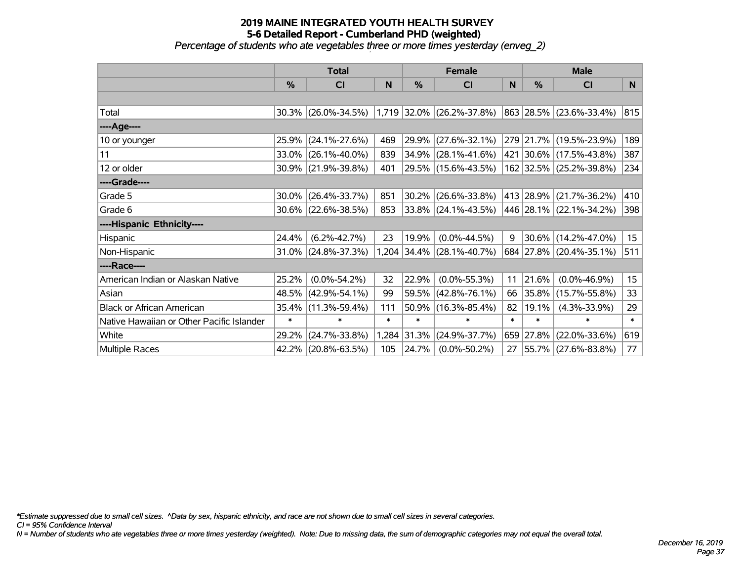*Percentage of students who ate vegetables three or more times yesterday (enveg\_2)*

|                                           | <b>Total</b>  |                        |        | <b>Female</b> |                             | <b>Male</b> |               |                         |                  |
|-------------------------------------------|---------------|------------------------|--------|---------------|-----------------------------|-------------|---------------|-------------------------|------------------|
|                                           | $\frac{0}{0}$ | CI                     | N      | %             | CI                          | N           | $\frac{0}{0}$ | <b>CI</b>               | N                |
|                                           |               |                        |        |               |                             |             |               |                         |                  |
| Total                                     |               | 30.3% (26.0%-34.5%)    |        |               | $1,719$ 32.0% (26.2%-37.8%) |             |               | 863 28.5% (23.6%-33.4%) | 815              |
| ----Age----                               |               |                        |        |               |                             |             |               |                         |                  |
| 10 or younger                             | 25.9%         | $(24.1\% - 27.6\%)$    | 469    | 29.9%         | $(27.6\% - 32.1\%)$         |             |               | 279 21.7% (19.5%-23.9%) | 189              |
| 11                                        |               | $33.0\%$ (26.1%-40.0%) | 839    | 34.9%         | $(28.1\% - 41.6\%)$         |             |               | 421 30.6% (17.5%-43.8%) | 387              |
| 12 or older                               |               | 30.9% (21.9%-39.8%)    | 401    |               | 29.5% (15.6%-43.5%)         |             |               | 162 32.5% (25.2%-39.8%) | 234              |
| ----Grade----                             |               |                        |        |               |                             |             |               |                         |                  |
| Grade 5                                   |               | $30.0\%$ (26.4%-33.7%) | 851    | 30.2%         | $(26.6\% - 33.8\%)$         |             |               | 413 28.9% (21.7%-36.2%) | 410              |
| Grade 6                                   |               | $30.6\%$ (22.6%-38.5%) | 853    |               | 33.8% (24.1%-43.5%)         |             |               | 446 28.1% (22.1%-34.2%) | 398              |
| ----Hispanic Ethnicity----                |               |                        |        |               |                             |             |               |                         |                  |
| Hispanic                                  | 24.4%         | $(6.2\% - 42.7\%)$     | 23     | 19.9%         | $(0.0\% - 44.5\%)$          | 9           |               | $30.6\%$ (14.2%-47.0%)  | 15 <sub>15</sub> |
| Non-Hispanic                              |               | $31.0\%$ (24.8%-37.3%) | 1,204  | 34.4%         | $(28.1\% - 40.7\%)$         |             |               | 684 27.8% (20.4%-35.1%) | 511              |
| ----Race----                              |               |                        |        |               |                             |             |               |                         |                  |
| American Indian or Alaskan Native         | 25.2%         | $(0.0\% - 54.2\%)$     | 32     | 22.9%         | $(0.0\% - 55.3\%)$          | 11          | 21.6%         | $(0.0\% - 46.9\%)$      | 15 <sub>1</sub>  |
| Asian                                     | 48.5%         | $(42.9\% - 54.1\%)$    | 99     | 59.5%         | $(42.8\% - 76.1\%)$         | 66          | $ 35.8\% $    | $(15.7\% - 55.8\%)$     | 33               |
| <b>Black or African American</b>          | 35.4%         | $(11.3\% - 59.4\%)$    | 111    | 50.9%         | $(16.3\% - 85.4\%)$         | 82          | 19.1%         | $(4.3\% - 33.9\%)$      | 29               |
| Native Hawaiian or Other Pacific Islander | $\ast$        | $\ast$                 | $\ast$ | $\ast$        | $\ast$                      | $\ast$      | $\ast$        | $\ast$                  | $\ast$           |
| White                                     | 29.2%         | $(24.7\% - 33.8\%)$    | 1,284  | 31.3%         | $(24.9\% - 37.7\%)$         |             | 659 27.8%     | $(22.0\% - 33.6\%)$     | 619              |
| Multiple Races                            |               | 42.2% (20.8%-63.5%)    | 105    | 24.7%         | $(0.0\% - 50.2\%)$          | 27          |               | 55.7% (27.6%-83.8%)     | 77               |

*\*Estimate suppressed due to small cell sizes. ^Data by sex, hispanic ethnicity, and race are not shown due to small cell sizes in several categories.*

*CI = 95% Confidence Interval*

*N = Number of students who ate vegetables three or more times yesterday (weighted). Note: Due to missing data, the sum of demographic categories may not equal the overall total.*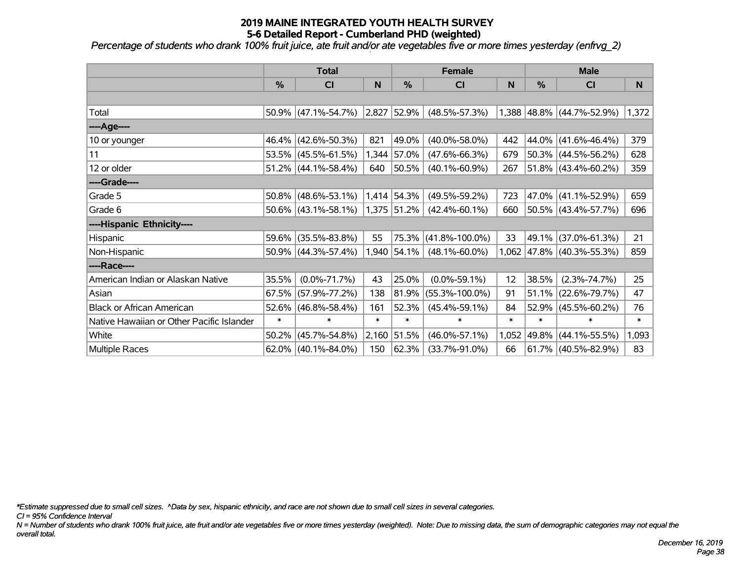*Percentage of students who drank 100% fruit juice, ate fruit and/or ate vegetables five or more times yesterday (enfrvg\_2)*

|                                           | <b>Total</b> |                        |              |                  | <b>Female</b>        |        | <b>Male</b> |                                 |        |  |
|-------------------------------------------|--------------|------------------------|--------------|------------------|----------------------|--------|-------------|---------------------------------|--------|--|
|                                           | %            | CI                     | $\mathsf{N}$ | %                | C <sub>1</sub>       | N      | %           | CI                              | N      |  |
|                                           |              |                        |              |                  |                      |        |             |                                 |        |  |
| Total                                     |              | $50.9\%$ (47.1%-54.7%) | 2,827        | 52.9%            | $(48.5\% - 57.3\%)$  |        |             | 1,388 48.8% (44.7%-52.9%)       | 1,372  |  |
| ----Age----                               |              |                        |              |                  |                      |        |             |                                 |        |  |
| 10 or younger                             |              | 46.4% (42.6%-50.3%)    | 821          | 49.0%            | $(40.0\% - 58.0\%)$  | 442    | 44.0%       | $(41.6\% - 46.4\%)$             | 379    |  |
| 11                                        |              | 53.5% (45.5%-61.5%)    |              | 1,344 57.0%      | $(47.6\% - 66.3\%)$  | 679    |             | $50.3\%$ (44.5%-56.2%)          | 628    |  |
| 12 or older                               |              | $51.2\%$ (44.1%-58.4%) | 640          | 50.5%            | $(40.1\% - 60.9\%)$  | 267    |             | $51.8\%$ (43.4%-60.2%)          | 359    |  |
| ----Grade----                             |              |                        |              |                  |                      |        |             |                                 |        |  |
| Grade 5                                   | 50.8%        | $(48.6\% - 53.1\%)$    |              | 1,414 54.3%      | $(49.5\% - 59.2\%)$  | 723    | 47.0%       | $(41.1\% - 52.9\%)$             | 659    |  |
| Grade 6                                   |              | $50.6\%$ (43.1%-58.1%) |              | $ 1,375 51.2\% $ | $(42.4\% - 60.1\%)$  | 660    |             | 50.5% (43.4%-57.7%)             | 696    |  |
| ----Hispanic Ethnicity----                |              |                        |              |                  |                      |        |             |                                 |        |  |
| Hispanic                                  | 59.6%        | $(35.5\% - 83.8\%)$    | 55           | 75.3%            | $(41.8\% - 100.0\%)$ | 33     | 49.1%       | $(37.0\% - 61.3\%)$             | 21     |  |
| Non-Hispanic                              |              | $50.9\%$ (44.3%-57.4%) |              | 1,940 54.1%      | $(48.1\% - 60.0\%)$  |        |             | $1,062$   47.8%   (40.3%-55.3%) | 859    |  |
| ----Race----                              |              |                        |              |                  |                      |        |             |                                 |        |  |
| American Indian or Alaskan Native         | 35.5%        | $(0.0\% - 71.7\%)$     | 43           | 25.0%            | $(0.0\% - 59.1\%)$   | 12     | 38.5%       | $(2.3\% - 74.7\%)$              | 25     |  |
| Asian                                     | 67.5%        | $(57.9\% - 77.2\%)$    | 138          | 81.9%            | $(55.3\% - 100.0\%)$ | 91     | 51.1%       | $(22.6\% - 79.7\%)$             | 47     |  |
| <b>Black or African American</b>          | 52.6%        | $(46.8\% - 58.4\%)$    | 161          | 52.3%            | $(45.4\% - 59.1\%)$  | 84     | 52.9%       | $(45.5\% - 60.2\%)$             | 76     |  |
| Native Hawaiian or Other Pacific Islander | $\ast$       | $\ast$                 | $\ast$       | $\ast$           | $\ast$               | $\ast$ | $\ast$      | $\ast$                          | $\ast$ |  |
| White                                     | 50.2%        | $(45.7\% - 54.8\%)$    | 2,160        | 51.5%            | $(46.0\% - 57.1\%)$  | 1,052  | 49.8%       | $(44.1\% - 55.5\%)$             | 1,093  |  |
| Multiple Races                            |              | $62.0\%$ (40.1%-84.0%) | 150          | 62.3%            | $(33.7\% - 91.0\%)$  | 66     |             | $61.7\%$ (40.5%-82.9%)          | 83     |  |

*\*Estimate suppressed due to small cell sizes. ^Data by sex, hispanic ethnicity, and race are not shown due to small cell sizes in several categories.*

*CI = 95% Confidence Interval*

*N = Number of students who drank 100% fruit juice, ate fruit and/or ate vegetables five or more times yesterday (weighted). Note: Due to missing data, the sum of demographic categories may not equal the overall total.*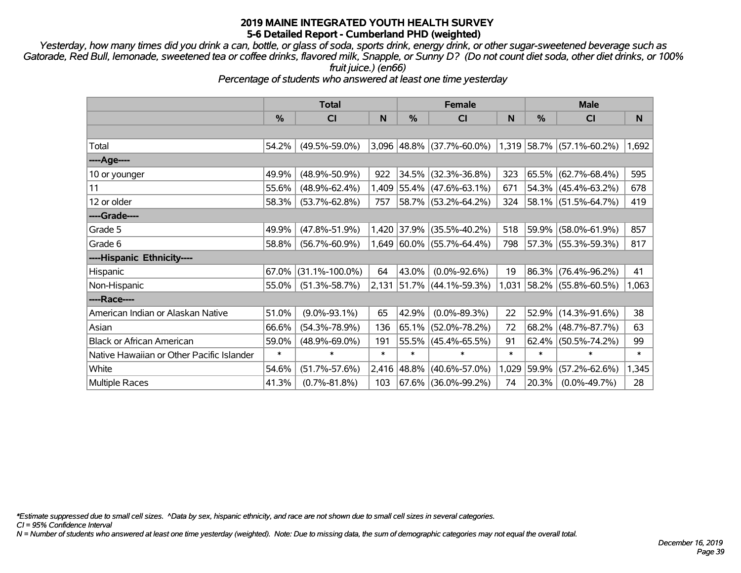*Yesterday, how many times did you drink a can, bottle, or glass of soda, sports drink, energy drink, or other sugar-sweetened beverage such as Gatorade, Red Bull, lemonade, sweetened tea or coffee drinks, flavored milk, Snapple, or Sunny D? (Do not count diet soda, other diet drinks, or 100% fruit juice.) (en66)*

*Percentage of students who answered at least one time yesterday*

|                                           | <b>Total</b>  |                      |        |               | <b>Female</b>               |        | <b>Male</b> |                           |        |  |
|-------------------------------------------|---------------|----------------------|--------|---------------|-----------------------------|--------|-------------|---------------------------|--------|--|
|                                           | $\frac{0}{0}$ | C <sub>l</sub>       | N      | %             | <b>CI</b>                   | N      | %           | CI                        | N      |  |
|                                           |               |                      |        |               |                             |        |             |                           |        |  |
| Total                                     | 54.2%         | $(49.5\% - 59.0\%)$  |        |               | $3,096$ 48.8% (37.7%-60.0%) |        |             | 1,319 58.7% (57.1%-60.2%) | 1,692  |  |
| ----Age----                               |               |                      |        |               |                             |        |             |                           |        |  |
| 10 or younger                             | 49.9%         | $(48.9\% - 50.9\%)$  | 922    |               | 34.5% (32.3%-36.8%)         | 323    |             | 65.5% (62.7%-68.4%)       | 595    |  |
| 11                                        | 55.6%         | $(48.9\% - 62.4\%)$  |        |               | $1,409$ 55.4% (47.6%-63.1%) | 671    |             | $54.3\%$ (45.4%-63.2%)    | 678    |  |
| 12 or older                               | 58.3%         | $(53.7\% - 62.8\%)$  | 757    |               | 58.7% (53.2%-64.2%)         | 324    |             | 58.1% (51.5%-64.7%)       | 419    |  |
| ----Grade----                             |               |                      |        |               |                             |        |             |                           |        |  |
| Grade 5                                   | 49.9%         | $(47.8\% - 51.9\%)$  |        |               | 1,420 37.9% (35.5%-40.2%)   | 518    | 59.9%       | $(58.0\% - 61.9\%)$       | 857    |  |
| Grade 6                                   | 58.8%         | $(56.7\% - 60.9\%)$  |        |               | 1,649 60.0% (55.7%-64.4%)   | 798    |             | 57.3% (55.3%-59.3%)       | 817    |  |
| ----Hispanic Ethnicity----                |               |                      |        |               |                             |        |             |                           |        |  |
| Hispanic                                  | 67.0%         | $(31.1\% - 100.0\%)$ | 64     | 43.0%         | $(0.0\% - 92.6\%)$          | 19     | 86.3%       | $(76.4\% - 96.2\%)$       | 41     |  |
| Non-Hispanic                              | 55.0%         | $(51.3\% - 58.7\%)$  |        |               | $2,131$ 51.7% (44.1%-59.3%) | 1,031  |             | $ 58.2\% $ (55.8%-60.5%)  | 1,063  |  |
| ----Race----                              |               |                      |        |               |                             |        |             |                           |        |  |
| American Indian or Alaskan Native         | 51.0%         | $(9.0\% - 93.1\%)$   | 65     | 42.9%         | $(0.0\% - 89.3\%)$          | 22     | 52.9%       | $(14.3\% - 91.6\%)$       | 38     |  |
| Asian                                     | 66.6%         | $(54.3\% - 78.9\%)$  | 136    |               | $65.1\%$ (52.0%-78.2%)      | 72     |             | 68.2% (48.7%-87.7%)       | 63     |  |
| <b>Black or African American</b>          | 59.0%         | $(48.9\% - 69.0\%)$  | 191    |               | 55.5% (45.4%-65.5%)         | 91     | 62.4%       | $(50.5\% - 74.2\%)$       | 99     |  |
| Native Hawaiian or Other Pacific Islander | $\ast$        | $\ast$               | $\ast$ | $\ast$        | $\ast$                      | $\ast$ | $\ast$      | $\ast$                    | $\ast$ |  |
| White                                     | 54.6%         | $(51.7\% - 57.6\%)$  |        | $2,416$ 48.8% | $(40.6\% - 57.0\%)$         | 1,029  | 59.9%       | $(57.2\% - 62.6\%)$       | 1,345  |  |
| Multiple Races                            | 41.3%         | $(0.7\% - 81.8\%)$   | 103    |               | 67.6% (36.0%-99.2%)         | 74     | 20.3%       | $(0.0\% - 49.7\%)$        | 28     |  |

*\*Estimate suppressed due to small cell sizes. ^Data by sex, hispanic ethnicity, and race are not shown due to small cell sizes in several categories.*

*CI = 95% Confidence Interval*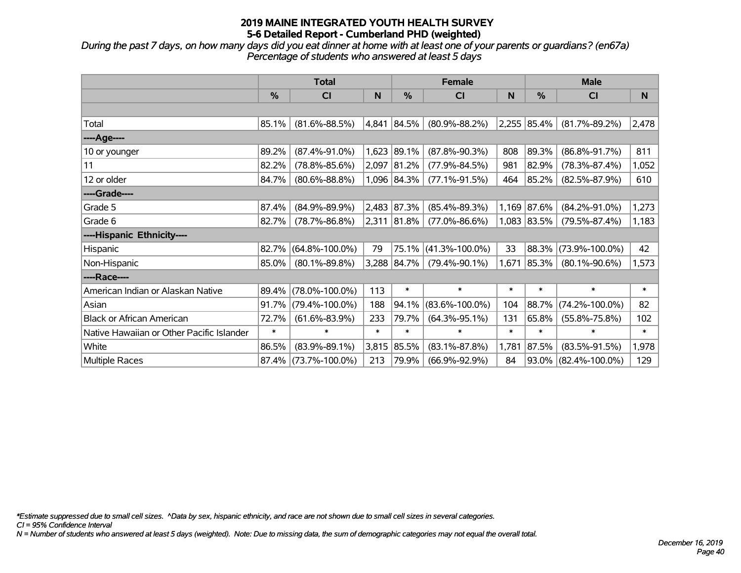*During the past 7 days, on how many days did you eat dinner at home with at least one of your parents or guardians? (en67a) Percentage of students who answered at least 5 days*

|                                           | <b>Total</b> |                      |        |             | <b>Female</b>        |        | <b>Male</b>   |                         |          |  |
|-------------------------------------------|--------------|----------------------|--------|-------------|----------------------|--------|---------------|-------------------------|----------|--|
|                                           | $\%$         | CI                   | N      | %           | <b>CI</b>            | N      | $\frac{0}{0}$ | <b>CI</b>               | <b>N</b> |  |
|                                           |              |                      |        |             |                      |        |               |                         |          |  |
| Total                                     | 85.1%        | $(81.6\% - 88.5\%)$  | 4,841  | $ 84.5\% $  | $(80.9\% - 88.2\%)$  |        | 2,255 85.4%   | $(81.7\% - 89.2\%)$     | 2,478    |  |
| ----Age----                               |              |                      |        |             |                      |        |               |                         |          |  |
| 10 or younger                             | 89.2%        | $(87.4\% - 91.0\%)$  | 1,623  | 89.1%       | $(87.8\% - 90.3\%)$  | 808    | 89.3%         | $(86.8\% - 91.7\%)$     | 811      |  |
| 11                                        | 82.2%        | $(78.8\% - 85.6\%)$  | 2,097  | 81.2%       | $(77.9\% - 84.5\%)$  | 981    | 82.9%         | $(78.3\% - 87.4\%)$     | 1,052    |  |
| 12 or older                               | 84.7%        | $(80.6\% - 88.8\%)$  |        | 1,096 84.3% | $(77.1\% - 91.5\%)$  | 464    | 85.2%         | $(82.5\% - 87.9\%)$     | 610      |  |
| ----Grade----                             |              |                      |        |             |                      |        |               |                         |          |  |
| Grade 5                                   | 87.4%        | $(84.9\% - 89.9\%)$  | 2,483  | 87.3%       | $(85.4\% - 89.3\%)$  | 1,169  | 87.6%         | $(84.2\% - 91.0\%)$     | 1,273    |  |
| Grade 6                                   | 82.7%        | $(78.7\% - 86.8\%)$  | 2,311  | $ 81.8\% $  | $(77.0\% - 86.6\%)$  |        | 1,083 83.5%   | $(79.5\% - 87.4\%)$     | 1,183    |  |
| ----Hispanic Ethnicity----                |              |                      |        |             |                      |        |               |                         |          |  |
| Hispanic                                  | 82.7%        | $(64.8\% - 100.0\%)$ | 79     | 75.1%       | $(41.3\% - 100.0\%)$ | 33     | 88.3%         | $(73.9\% - 100.0\%)$    | 42       |  |
| Non-Hispanic                              | 85.0%        | $(80.1\% - 89.8\%)$  |        | 3,288 84.7% | $(79.4\% - 90.1\%)$  | 1,671  | 85.3%         | $(80.1\% - 90.6\%)$     | 1,573    |  |
| ----Race----                              |              |                      |        |             |                      |        |               |                         |          |  |
| American Indian or Alaskan Native         | 89.4%        | $(78.0\% - 100.0\%)$ | 113    | $\ast$      | $\ast$               | $\ast$ | $\ast$        | $\ast$                  | $\ast$   |  |
| Asian                                     | 91.7%        | $(79.4\% - 100.0\%)$ | 188    | 94.1%       | $(83.6\% - 100.0\%)$ | 104    | 88.7%         | $(74.2\% - 100.0\%)$    | 82       |  |
| <b>Black or African American</b>          | 72.7%        | $(61.6\% - 83.9\%)$  | 233    | 79.7%       | $(64.3\% - 95.1\%)$  | 131    | 65.8%         | $(55.8\% - 75.8\%)$     | 102      |  |
| Native Hawaiian or Other Pacific Islander | $\ast$       | $\ast$               | $\ast$ | $\ast$      | $\ast$               | $\ast$ | $\ast$        | $\ast$                  | $\ast$   |  |
| White                                     | 86.5%        | $(83.9\% - 89.1\%)$  | 3,815  | 85.5%       | $(83.1\% - 87.8\%)$  | 1,781  | 87.5%         | $(83.5\% - 91.5\%)$     | 1,978    |  |
| Multiple Races                            | 87.4%        | $(73.7\% - 100.0\%)$ | 213    | 79.9%       | $(66.9\% - 92.9\%)$  | 84     |               | $93.0\%$ (82.4%-100.0%) | 129      |  |

*\*Estimate suppressed due to small cell sizes. ^Data by sex, hispanic ethnicity, and race are not shown due to small cell sizes in several categories.*

*CI = 95% Confidence Interval*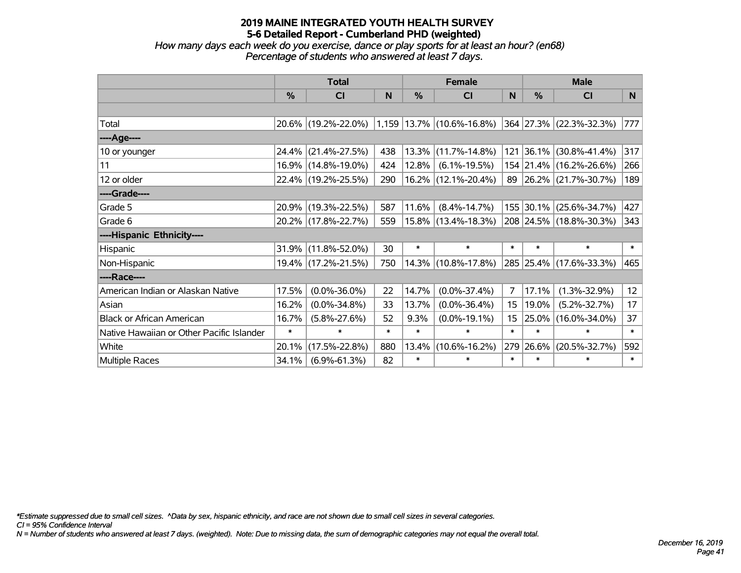*How many days each week do you exercise, dance or play sports for at least an hour? (en68) Percentage of students who answered at least 7 days.*

|                                           | <b>Total</b>  |                                                  |        | <b>Female</b> |                        |                  | <b>Male</b>   |                          |                 |
|-------------------------------------------|---------------|--------------------------------------------------|--------|---------------|------------------------|------------------|---------------|--------------------------|-----------------|
|                                           | $\frac{9}{6}$ | CI                                               | N      | $\frac{0}{0}$ | <b>CI</b>              | N                | $\frac{0}{0}$ | <b>CI</b>                | N.              |
|                                           |               |                                                  |        |               |                        |                  |               |                          |                 |
| Total                                     |               | $20.6\%$ (19.2%-22.0%) 1,159 13.7% (10.6%-16.8%) |        |               |                        |                  |               | 364 27.3% (22.3%-32.3%)  | 777             |
| ----Age----                               |               |                                                  |        |               |                        |                  |               |                          |                 |
| 10 or younger                             | 24.4%         | $(21.4\% - 27.5\%)$                              | 438    | 13.3%         | $(11.7\% - 14.8\%)$    | 121              |               | $ 36.1\% $ (30.8%-41.4%) | 317             |
| 11                                        |               | 16.9% (14.8%-19.0%)                              | 424    | 12.8%         | $(6.1\% - 19.5\%)$     |                  |               | 154 21.4% (16.2%-26.6%)  | 266             |
| 12 or older                               |               | 22.4% (19.2%-25.5%)                              | 290    |               | 16.2% (12.1%-20.4%)    |                  |               | 89 26.2% (21.7%-30.7%)   | 189             |
| ----Grade----                             |               |                                                  |        |               |                        |                  |               |                          |                 |
| Grade 5                                   |               | 20.9% (19.3%-22.5%)                              | 587    | 11.6%         | $(8.4\% - 14.7\%)$     |                  | 155 30.1%     | $(25.6\% - 34.7\%)$      | 427             |
| Grade 6                                   |               | 20.2% (17.8%-22.7%)                              | 559    |               | $15.8\%$ (13.4%-18.3%) |                  |               | 208 24.5% (18.8%-30.3%)  | 343             |
| ----Hispanic Ethnicity----                |               |                                                  |        |               |                        |                  |               |                          |                 |
| Hispanic                                  | 31.9%         | $(11.8\% - 52.0\%)$                              | 30     | $\ast$        | $\ast$                 | $\ast$           | $\ast$        | $\ast$                   | $\ast$          |
| Non-Hispanic                              |               | 19.4% (17.2%-21.5%)                              | 750    |               | 14.3% (10.8%-17.8%)    |                  |               | 285 25.4% (17.6%-33.3%)  | 465             |
| ----Race----                              |               |                                                  |        |               |                        |                  |               |                          |                 |
| American Indian or Alaskan Native         | 17.5%         | $(0.0\% - 36.0\%)$                               | 22     | 14.7%         | $(0.0\% - 37.4\%)$     | 7                | 17.1%         | $(1.3\% - 32.9\%)$       | 12 <sub>2</sub> |
| Asian                                     | 16.2%         | $(0.0\% - 34.8\%)$                               | 33     | 13.7%         | $(0.0\% - 36.4\%)$     | 15               | 19.0%         | $(5.2\% - 32.7\%)$       | 17              |
| <b>Black or African American</b>          | 16.7%         | $(5.8\% - 27.6\%)$                               | 52     | 9.3%          | $(0.0\% - 19.1\%)$     | 15 <sub>15</sub> | 25.0%         | $(16.0\% - 34.0\%)$      | 37              |
| Native Hawaiian or Other Pacific Islander | $\ast$        | $\ast$                                           | $\ast$ | $\ast$        | $\ast$                 | $\ast$           | $\ast$        | $\ast$                   | $\ast$          |
| White                                     | 20.1%         | $(17.5\% - 22.8\%)$                              | 880    | 13.4%         | $(10.6\% - 16.2\%)$    | 279              | 26.6%         | $(20.5\% - 32.7\%)$      | 592             |
| Multiple Races                            | 34.1%         | $(6.9\% - 61.3\%)$                               | 82     | $\ast$        | $\ast$                 | $\ast$           | $\ast$        | $\ast$                   | $\ast$          |

*\*Estimate suppressed due to small cell sizes. ^Data by sex, hispanic ethnicity, and race are not shown due to small cell sizes in several categories.*

*CI = 95% Confidence Interval*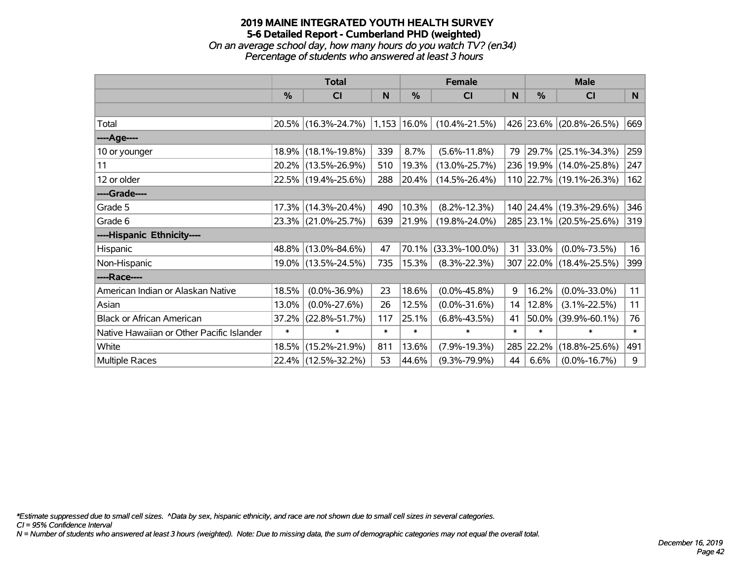### **2019 MAINE INTEGRATED YOUTH HEALTH SURVEY 5-6 Detailed Report - Cumberland PHD (weighted)** *On an average school day, how many hours do you watch TV? (en34)*

*Percentage of students who answered at least 3 hours*

|                                           | <b>Total</b>  |                     |        |            | <b>Female</b>        | <b>Male</b> |        |                             |        |
|-------------------------------------------|---------------|---------------------|--------|------------|----------------------|-------------|--------|-----------------------------|--------|
|                                           | $\frac{0}{0}$ | <b>CI</b>           | N      | $\%$       | <b>CI</b>            | N           | %      | <b>CI</b>                   | N      |
|                                           |               |                     |        |            |                      |             |        |                             |        |
| Total                                     |               | 20.5% (16.3%-24.7%) | 1,153  | $16.0\%$   | $(10.4\% - 21.5\%)$  |             |        | 426 23.6% (20.8%-26.5%)     | 669    |
| ---- Age----                              |               |                     |        |            |                      |             |        |                             |        |
| 10 or younger                             | 18.9%         | $(18.1\% - 19.8\%)$ | 339    | 8.7%       | $(5.6\% - 11.8\%)$   | 79          |        | 29.7% (25.1%-34.3%)         | 259    |
| 11                                        | 20.2%         | $(13.5\% - 26.9\%)$ | 510    | 19.3%      | $(13.0\% - 25.7\%)$  |             |        | 236   19.9%   (14.0%-25.8%) | 247    |
| 12 or older                               |               | 22.5% (19.4%-25.6%) | 288    | 20.4%      | $(14.5\% - 26.4\%)$  |             |        | 110 22.7% (19.1%-26.3%)     | 162    |
| ----Grade----                             |               |                     |        |            |                      |             |        |                             |        |
| Grade 5                                   | 17.3%         | $(14.3\% - 20.4\%)$ | 490    | 10.3%      | $(8.2\% - 12.3\%)$   |             |        | 140 24.4% (19.3%-29.6%)     | 346    |
| Grade 6                                   |               | 23.3% (21.0%-25.7%) | 639    | $ 21.9\% $ | $(19.8\% - 24.0\%)$  |             |        | 285 23.1% (20.5%-25.6%)     | 319    |
| ----Hispanic Ethnicity----                |               |                     |        |            |                      |             |        |                             |        |
| Hispanic                                  | 48.8%         | $(13.0\% - 84.6\%)$ | 47     | 70.1%      | $(33.3\% - 100.0\%)$ | 31          | 33.0%  | $(0.0\% - 73.5\%)$          | 16     |
| Non-Hispanic                              | 19.0%         | $(13.5\% - 24.5\%)$ | 735    | 15.3%      | $(8.3\% - 22.3\%)$   |             |        | 307 22.0% (18.4%-25.5%)     | 399    |
| ----Race----                              |               |                     |        |            |                      |             |        |                             |        |
| American Indian or Alaskan Native         | 18.5%         | $(0.0\% - 36.9\%)$  | 23     | 18.6%      | $(0.0\% - 45.8\%)$   | 9           | 16.2%  | $(0.0\% - 33.0\%)$          | 11     |
| Asian                                     | 13.0%         | $(0.0\% - 27.6\%)$  | 26     | 12.5%      | $(0.0\% - 31.6\%)$   | 14          | 12.8%  | $(3.1\% - 22.5\%)$          | 11     |
| <b>Black or African American</b>          | 37.2%         | $(22.8\% - 51.7\%)$ | 117    | 25.1%      | $(6.8\% - 43.5\%)$   | 41          | 50.0%  | $(39.9\% - 60.1\%)$         | 76     |
| Native Hawaiian or Other Pacific Islander | $\ast$        | $\ast$              | $\ast$ | $\ast$     | $\ast$               | $\ast$      | $\ast$ | $\ast$                      | $\ast$ |
| White                                     | 18.5%         | $(15.2\% - 21.9\%)$ | 811    | 13.6%      | $(7.9\% - 19.3\%)$   | 285         | 22.2%  | $(18.8\% - 25.6\%)$         | 491    |
| Multiple Races                            | 22.4%         | $(12.5\% - 32.2\%)$ | 53     | 44.6%      | $(9.3\% - 79.9\%)$   | 44          | 6.6%   | $(0.0\% - 16.7\%)$          | 9      |

*\*Estimate suppressed due to small cell sizes. ^Data by sex, hispanic ethnicity, and race are not shown due to small cell sizes in several categories.*

*CI = 95% Confidence Interval*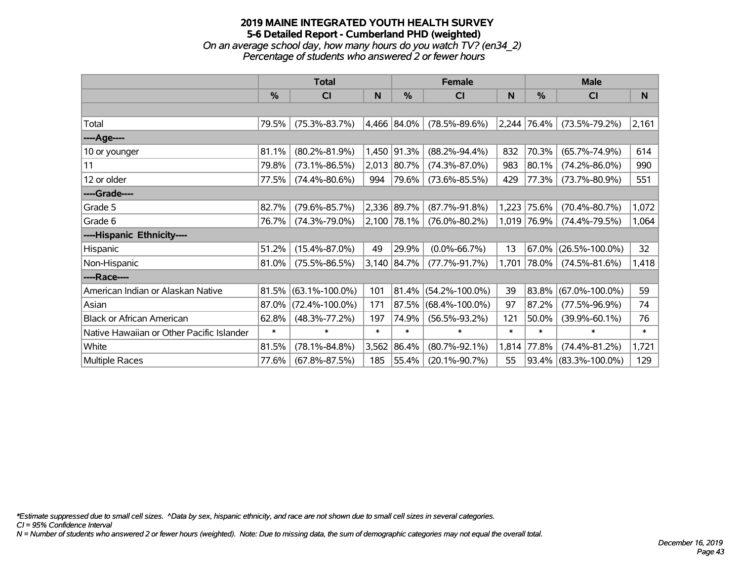*On an average school day, how many hours do you watch TV? (en34\_2) Percentage of students who answered 2 or fewer hours*

|                                           | <b>Total</b>  |                      |        |               | <b>Female</b>        |        | <b>Male</b> |                         |              |  |
|-------------------------------------------|---------------|----------------------|--------|---------------|----------------------|--------|-------------|-------------------------|--------------|--|
|                                           | $\frac{0}{0}$ | CI                   | N      | $\frac{0}{0}$ | CI                   | N      | %           | <b>CI</b>               | <sub>N</sub> |  |
|                                           |               |                      |        |               |                      |        |             |                         |              |  |
| Total                                     | 79.5%         | $(75.3\% - 83.7\%)$  |        | 4,466 84.0%   | $(78.5\% - 89.6\%)$  |        | 2,244 76.4% | $(73.5\% - 79.2\%)$     | 2,161        |  |
| ----Age----                               |               |                      |        |               |                      |        |             |                         |              |  |
| 10 or younger                             | 81.1%         | $(80.2\% - 81.9\%)$  |        | 1,450 91.3%   | $(88.2\% - 94.4\%)$  | 832    | 70.3%       | $(65.7\% - 74.9\%)$     | 614          |  |
| 11                                        | 79.8%         | $(73.1\% - 86.5\%)$  | 2,013  | 80.7%         | $(74.3\% - 87.0\%)$  | 983    | 80.1%       | $(74.2\% - 86.0\%)$     | 990          |  |
| 12 or older                               | 77.5%         | $(74.4\% - 80.6\%)$  | 994    | 79.6%         | $(73.6\% - 85.5\%)$  | 429    | 77.3%       | $(73.7\% - 80.9\%)$     | 551          |  |
| ----Grade----                             |               |                      |        |               |                      |        |             |                         |              |  |
| Grade 5                                   | 82.7%         | $(79.6\% - 85.7\%)$  |        | 2,336 89.7%   | $(87.7\% - 91.8\%)$  | 1,223  | 75.6%       | $(70.4\% - 80.7\%)$     | 1,072        |  |
| Grade 6                                   | 76.7%         | $(74.3\% - 79.0\%)$  |        | 2,100 78.1%   | $(76.0\% - 80.2\%)$  |        | 1,019 76.9% | $(74.4\% - 79.5\%)$     | 1,064        |  |
| ----Hispanic Ethnicity----                |               |                      |        |               |                      |        |             |                         |              |  |
| <b>Hispanic</b>                           | 51.2%         | $(15.4\% - 87.0\%)$  | 49     | 29.9%         | $(0.0\% - 66.7\%)$   | 13     | 67.0%       | $(26.5\% - 100.0\%)$    | 32           |  |
| Non-Hispanic                              | 81.0%         | $(75.5\% - 86.5\%)$  |        | 3,140 84.7%   | $(77.7\% - 91.7\%)$  | 1,701  | 78.0%       | $(74.5\% - 81.6\%)$     | 1,418        |  |
| ----Race----                              |               |                      |        |               |                      |        |             |                         |              |  |
| American Indian or Alaskan Native         | 81.5%         | $(63.1\% - 100.0\%)$ | 101    | 81.4%         | $(54.2\% - 100.0\%)$ | 39     | 83.8%       | $(67.0\% - 100.0\%)$    | 59           |  |
| Asian                                     | 87.0%         | $(72.4\% - 100.0\%)$ | 171    | 87.5%         | $(68.4\% - 100.0\%)$ | 97     | 87.2%       | $(77.5\% - 96.9\%)$     | 74           |  |
| <b>Black or African American</b>          | 62.8%         | $(48.3\% - 77.2\%)$  | 197    | 74.9%         | $(56.5\% - 93.2\%)$  | 121    | 50.0%       | $(39.9\% - 60.1\%)$     | 76           |  |
| Native Hawaiian or Other Pacific Islander | $\ast$        | $\ast$               | $\ast$ | $\ast$        | $\ast$               | $\ast$ | $\ast$      | $\ast$                  | $\ast$       |  |
| White                                     | 81.5%         | $(78.1\% - 84.8\%)$  | 3,562  | 86.4%         | $(80.7\% - 92.1\%)$  | 1,814  | 77.8%       | $(74.4\% - 81.2\%)$     | 1,721        |  |
| Multiple Races                            | 77.6%         | $(67.8\% - 87.5\%)$  | 185    | 55.4%         | $(20.1\% - 90.7\%)$  | 55     |             | $93.4\%$ (83.3%-100.0%) | 129          |  |

*\*Estimate suppressed due to small cell sizes. ^Data by sex, hispanic ethnicity, and race are not shown due to small cell sizes in several categories.*

*CI = 95% Confidence Interval*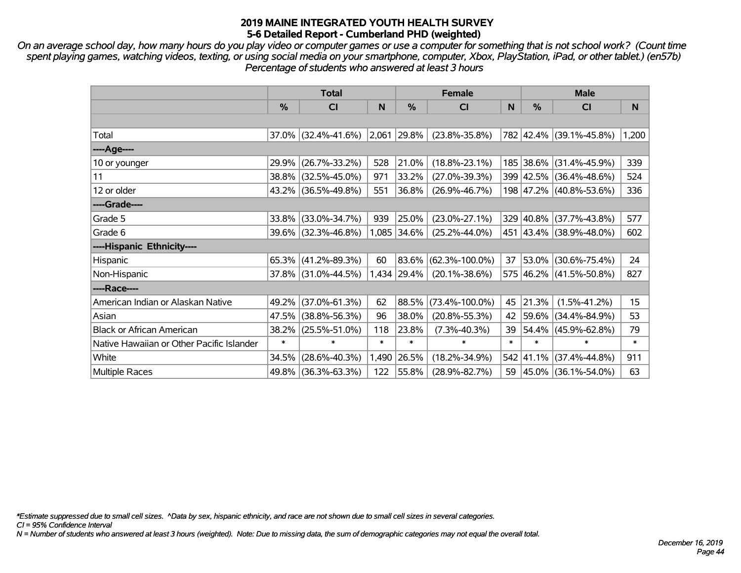*On an average school day, how many hours do you play video or computer games or use a computer for something that is not school work? (Count time spent playing games, watching videos, texting, or using social media on your smartphone, computer, Xbox, PlayStation, iPad, or other tablet.) (en57b) Percentage of students who answered at least 3 hours*

|                                           | <b>Total</b> |                        |        |             | <b>Female</b>        |        | <b>Male</b> |                         |        |  |
|-------------------------------------------|--------------|------------------------|--------|-------------|----------------------|--------|-------------|-------------------------|--------|--|
|                                           | $\%$         | <b>CI</b>              | N      | %           | <b>CI</b>            | N      | %           | <b>CI</b>               | N      |  |
|                                           |              |                        |        |             |                      |        |             |                         |        |  |
| Total                                     |              | $37.0\%$ (32.4%-41.6%) |        | 2,061 29.8% | $(23.8\% - 35.8\%)$  |        |             | 782 42.4% (39.1%-45.8%) | 1,200  |  |
| ----Age----                               |              |                        |        |             |                      |        |             |                         |        |  |
| 10 or younger                             | 29.9%        | $(26.7\% - 33.2\%)$    | 528    | 21.0%       | $(18.8\% - 23.1\%)$  |        | 185 38.6%   | $(31.4\% - 45.9\%)$     | 339    |  |
| 11                                        |              | 38.8% (32.5%-45.0%)    | 971    | 33.2%       | $(27.0\% - 39.3\%)$  |        |             | 399 42.5% (36.4%-48.6%) | 524    |  |
| 12 or older                               |              | 43.2% (36.5%-49.8%)    | 551    | 36.8%       | $(26.9\% - 46.7\%)$  |        |             | 198 47.2% (40.8%-53.6%) | 336    |  |
| ----Grade----                             |              |                        |        |             |                      |        |             |                         |        |  |
| Grade 5                                   | 33.8%        | $(33.0\% - 34.7\%)$    | 939    | 25.0%       | $(23.0\% - 27.1\%)$  |        | 329 40.8%   | $(37.7\% - 43.8\%)$     | 577    |  |
| Grade 6                                   |              | 39.6% (32.3%-46.8%)    |        | 1,085 34.6% | $(25.2\% - 44.0\%)$  |        |             | 451 43.4% (38.9%-48.0%) | 602    |  |
| ----Hispanic Ethnicity----                |              |                        |        |             |                      |        |             |                         |        |  |
| Hispanic                                  | 65.3%        | $(41.2\% - 89.3\%)$    | 60     | 83.6%       | $(62.3\% - 100.0\%)$ | 37     | 53.0%       | $(30.6\% - 75.4\%)$     | 24     |  |
| Non-Hispanic                              |              | 37.8% (31.0%-44.5%)    |        | 1,434 29.4% | $(20.1\% - 38.6\%)$  |        |             | 575 46.2% (41.5%-50.8%) | 827    |  |
| ----Race----                              |              |                        |        |             |                      |        |             |                         |        |  |
| American Indian or Alaskan Native         | 49.2%        | $(37.0\% - 61.3\%)$    | 62     | 88.5%       | $(73.4\% - 100.0\%)$ | 45     | $ 21.3\% $  | $(1.5\% - 41.2\%)$      | 15     |  |
| Asian                                     | 47.5%        | $(38.8\% - 56.3\%)$    | 96     | 38.0%       | $(20.8\% - 55.3\%)$  | 42     | $ 59.6\% $  | $(34.4\% - 84.9\%)$     | 53     |  |
| <b>Black or African American</b>          | 38.2%        | $(25.5\% - 51.0\%)$    | 118    | 23.8%       | $(7.3\% - 40.3\%)$   | 39     | 54.4%       | $(45.9\% - 62.8\%)$     | 79     |  |
| Native Hawaiian or Other Pacific Islander | $\ast$       | $\ast$                 | $\ast$ | $\ast$      | $\ast$               | $\ast$ | $\ast$      | $\ast$                  | $\ast$ |  |
| White                                     | 34.5%        | $(28.6\% - 40.3\%)$    | 1,490  | 26.5%       | $(18.2\% - 34.9\%)$  |        | 542 41.1%   | $(37.4\% - 44.8\%)$     | 911    |  |
| Multiple Races                            |              | 49.8% (36.3%-63.3%)    | 122    | 55.8%       | $(28.9\% - 82.7\%)$  |        | 59 45.0%    | $(36.1\% - 54.0\%)$     | 63     |  |

*\*Estimate suppressed due to small cell sizes. ^Data by sex, hispanic ethnicity, and race are not shown due to small cell sizes in several categories.*

*CI = 95% Confidence Interval*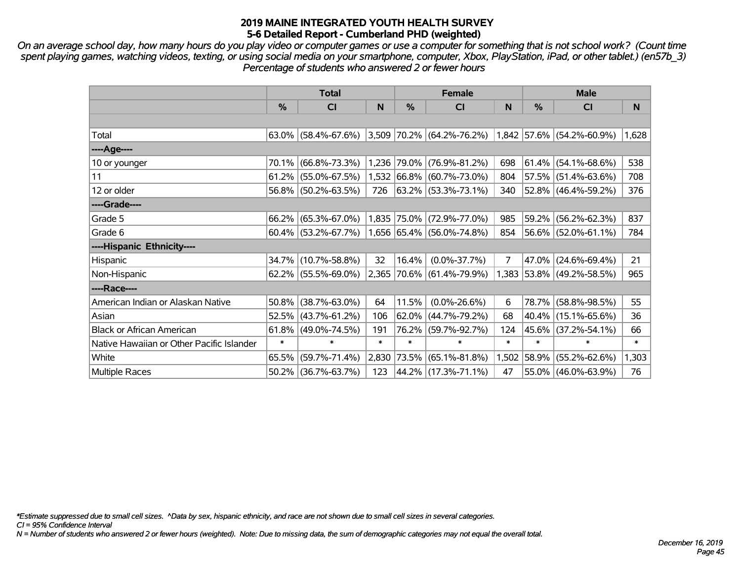*On an average school day, how many hours do you play video or computer games or use a computer for something that is not school work? (Count time spent playing games, watching videos, texting, or using social media on your smartphone, computer, Xbox, PlayStation, iPad, or other tablet.) (en57b\_3) Percentage of students who answered 2 or fewer hours*

|                                           | <b>Total</b> |                        |        |            | <b>Female</b>                      |                | <b>Male</b>   |                             |        |  |
|-------------------------------------------|--------------|------------------------|--------|------------|------------------------------------|----------------|---------------|-----------------------------|--------|--|
|                                           | $\%$         | <b>CI</b>              | N      | %          | <b>CI</b>                          | N              | $\frac{0}{0}$ | <b>CI</b>                   | N      |  |
|                                           |              |                        |        |            |                                    |                |               |                             |        |  |
| Total                                     |              | $63.0\%$ (58.4%-67.6%) |        |            | $3,509$ 70.2% (64.2%-76.2%)        |                |               | $1,842$ 57.6% (54.2%-60.9%) | 1,628  |  |
| ----Age----                               |              |                        |        |            |                                    |                |               |                             |        |  |
| 10 or younger                             | $70.1\%$     | $(66.8\% - 73.3\%)$    |        |            | 1,236 79.0% (76.9%-81.2%)          | 698            |               | $61.4\%$ (54.1%-68.6%)      | 538    |  |
| 11                                        |              | $61.2\%$ (55.0%-67.5%) |        |            | $1,532$ 66.8% (60.7%-73.0%)        | 804            |               | 57.5% (51.4%-63.6%)         | 708    |  |
| 12 or older                               |              | 56.8% (50.2%-63.5%)    | 726    |            | $ 63.2\%  (53.3\% - 73.1\%)$       | 340            |               | 52.8% (46.4%-59.2%)         | 376    |  |
| ----Grade----                             |              |                        |        |            |                                    |                |               |                             |        |  |
| Grade 5                                   | 66.2%        | $(65.3\% - 67.0\%)$    |        |            | 1,835 75.0% (72.9%-77.0%)          | 985            |               | $59.2\%$ (56.2%-62.3%)      | 837    |  |
| Grade 6                                   |              | $60.4\%$ (53.2%-67.7%) |        |            | $ 1,656 65.4\%  (56.0\% - 74.8\%)$ | 854            |               | $56.6\%$ (52.0%-61.1%)      | 784    |  |
| ----Hispanic Ethnicity----                |              |                        |        |            |                                    |                |               |                             |        |  |
| Hispanic                                  | 34.7%        | $(10.7\% - 58.8\%)$    | 32     | 16.4%      | $(0.0\% - 37.7\%)$                 | $\overline{7}$ | 47.0%         | $(24.6\% - 69.4\%)$         | 21     |  |
| Non-Hispanic                              |              | $62.2\%$ (55.5%-69.0%) |        |            | 2,365 70.6% (61.4%-79.9%)          |                |               | 1,383 53.8% (49.2%-58.5%)   | 965    |  |
| ----Race----                              |              |                        |        |            |                                    |                |               |                             |        |  |
| American Indian or Alaskan Native         | $50.8\%$     | $(38.7\% - 63.0\%)$    | 64     | 11.5%      | $(0.0\% - 26.6\%)$                 | 6              |               | 78.7% (58.8%-98.5%)         | 55     |  |
| Asian                                     | 52.5%        | $(43.7\% - 61.2\%)$    | 106    |            | 62.0% (44.7%-79.2%)                | 68             |               | $40.4\%$ (15.1%-65.6%)      | 36     |  |
| <b>Black or African American</b>          | 61.8%        | $(49.0\% - 74.5\%)$    | 191    |            | 76.2% (59.7%-92.7%)                | 124            |               | 45.6% (37.2%-54.1%)         | 66     |  |
| Native Hawaiian or Other Pacific Islander | $\ast$       | $\ast$                 | $\ast$ | $\ast$     | $\ast$                             | $\ast$         | $\ast$        | $\ast$                      | $\ast$ |  |
| White                                     | 65.5%        | $(59.7\% - 71.4\%)$    | 2,830  | $ 73.5\% $ | $(65.1\% - 81.8\%)$                | 1,502          | 58.9%         | $(55.2\% - 62.6\%)$         | 1,303  |  |
| Multiple Races                            |              | 50.2% (36.7%-63.7%)    | 123    |            | 44.2% (17.3%-71.1%)                | 47             |               | 55.0% (46.0%-63.9%)         | 76     |  |

*\*Estimate suppressed due to small cell sizes. ^Data by sex, hispanic ethnicity, and race are not shown due to small cell sizes in several categories.*

*CI = 95% Confidence Interval*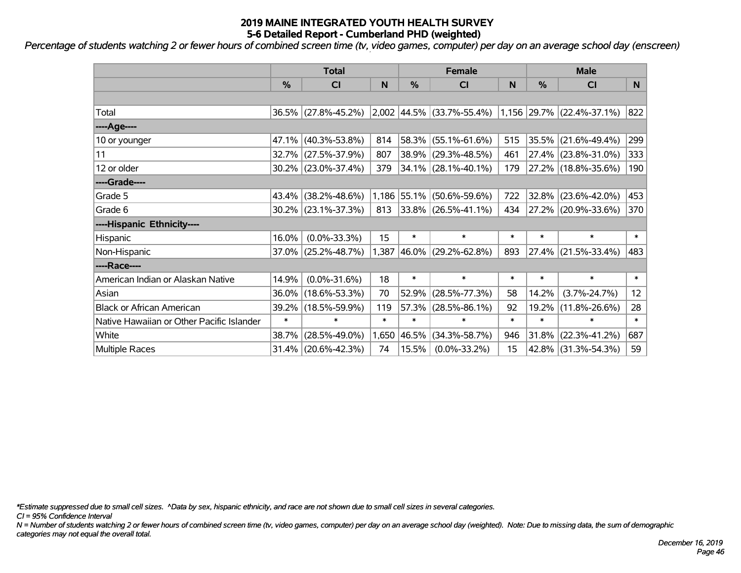*Percentage of students watching 2 or fewer hours of combined screen time (tv, video games, computer) per day on an average school day (enscreen)*

|                                           | <b>Total</b> |                     |        |            | <b>Female</b>                                      | <b>Male</b> |        |                                      |        |
|-------------------------------------------|--------------|---------------------|--------|------------|----------------------------------------------------|-------------|--------|--------------------------------------|--------|
|                                           | %            | CI                  | N      | %          | CI                                                 | N           | %      | <b>CI</b>                            | N.     |
|                                           |              |                     |        |            |                                                    |             |        |                                      |        |
| Total                                     |              | 36.5% (27.8%-45.2%) |        |            | $\vert 2,002 \vert 44.5\% \vert (33.7\% - 55.4\%)$ |             |        | $1,156$ $29.7\%$ $(22.4\% - 37.1\%)$ | 822    |
| ----Age----                               |              |                     |        |            |                                                    |             |        |                                      |        |
| 10 or younger                             | 47.1%        | $(40.3\% - 53.8\%)$ | 814    | 58.3%      | $(55.1\% - 61.6\%)$                                | 515         |        | 35.5% (21.6%-49.4%)                  | 299    |
| 11                                        |              | 32.7% (27.5%-37.9%) | 807    | 38.9%      | $(29.3\% - 48.5\%)$                                | 461         |        | 27.4% (23.8%-31.0%)                  | 333    |
| 12 or older                               |              | 30.2% (23.0%-37.4%) | 379    |            | $34.1\%$ (28.1%-40.1%)                             | 179         |        | 27.2% (18.8%-35.6%)                  | 190    |
| ----Grade----                             |              |                     |        |            |                                                    |             |        |                                      |        |
| Grade 5                                   | 43.4%        | $(38.2\% - 48.6\%)$ | 1,186  | 55.1%      | $(50.6\% - 59.6\%)$                                | 722         |        | $32.8\%$ (23.6%-42.0%)               | 453    |
| Grade 6                                   |              | 30.2% (23.1%-37.3%) | 813    |            | $33.8\%$ (26.5%-41.1%)                             | 434         |        | 27.2% (20.9%-33.6%)                  | 370    |
| ----Hispanic Ethnicity----                |              |                     |        |            |                                                    |             |        |                                      |        |
| Hispanic                                  | 16.0%        | $(0.0\% - 33.3\%)$  | 15     | $\ast$     | $\ast$                                             | $\ast$      | $\ast$ | $\ast$                               | $\ast$ |
| Non-Hispanic                              | 37.0%        | $(25.2\% - 48.7\%)$ | 1,387  | $ 46.0\% $ | $(29.2\% - 62.8\%)$                                | 893         |        | $27.4\%$ (21.5%-33.4%)               | 483    |
| ----Race----                              |              |                     |        |            |                                                    |             |        |                                      |        |
| American Indian or Alaskan Native         | 14.9%        | $(0.0\% - 31.6\%)$  | 18     | $\ast$     | $\ast$                                             | $\ast$      | $\ast$ | $\ast$                               | $\ast$ |
| Asian                                     | 36.0%        | $(18.6\% - 53.3\%)$ | 70     | 52.9%      | $(28.5\% - 77.3\%)$                                | 58          | 14.2%  | $(3.7\% - 24.7\%)$                   | 12     |
| <b>Black or African American</b>          | 39.2%        | $(18.5\% - 59.9\%)$ | 119    | 57.3%      | $(28.5\% - 86.1\%)$                                | 92          | 19.2%  | $(11.8\% - 26.6\%)$                  | 28     |
| Native Hawaiian or Other Pacific Islander | $\ast$       | $\ast$              | $\ast$ | $\ast$     | $\ast$                                             | $\ast$      | $\ast$ | $\ast$                               | $\ast$ |
| White                                     | 38.7%        | $(28.5\% - 49.0\%)$ | 1,650  | 46.5%      | $(34.3\% - 58.7\%)$                                | 946         | 31.8%  | $(22.3\% - 41.2\%)$                  | 687    |
| Multiple Races                            |              | 31.4% (20.6%-42.3%) | 74     | 15.5%      | $(0.0\% - 33.2\%)$                                 | 15          |        | 42.8% (31.3%-54.3%)                  | 59     |

*\*Estimate suppressed due to small cell sizes. ^Data by sex, hispanic ethnicity, and race are not shown due to small cell sizes in several categories.*

*CI = 95% Confidence Interval*

*N = Number of students watching 2 or fewer hours of combined screen time (tv, video games, computer) per day on an average school day (weighted). Note: Due to missing data, the sum of demographic categories may not equal the overall total.*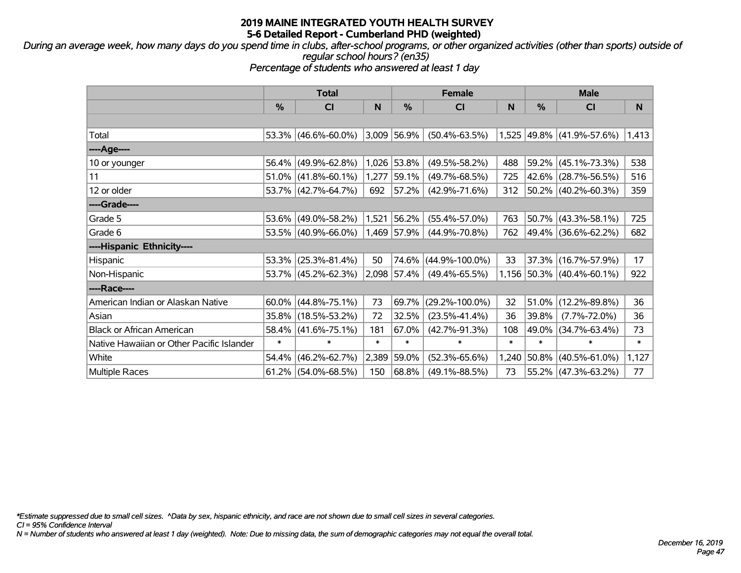*During an average week, how many days do you spend time in clubs, after-school programs, or other organized activities (other than sports) outside of regular school hours? (en35)*

*Percentage of students who answered at least 1 day*

|                                           | <b>Total</b>  |                        |        | <b>Female</b> | <b>Male</b>          |        |               |                           |        |
|-------------------------------------------|---------------|------------------------|--------|---------------|----------------------|--------|---------------|---------------------------|--------|
|                                           | $\frac{0}{0}$ | <b>CI</b>              | N      | %             | <b>CI</b>            | N      | $\frac{0}{0}$ | <b>CI</b>                 | N      |
|                                           |               |                        |        |               |                      |        |               |                           |        |
| Total                                     |               | $53.3\%$ (46.6%-60.0%) | 3,009  | $ 56.9\% $    | $(50.4\% - 63.5\%)$  |        |               | 1,525 49.8% (41.9%-57.6%) | 1,413  |
| ----Age----                               |               |                        |        |               |                      |        |               |                           |        |
| 10 or younger                             |               | 56.4% (49.9%-62.8%)    | 1,026  | 53.8%         | $(49.5\% - 58.2\%)$  | 488    | 59.2%         | $(45.1\% - 73.3\%)$       | 538    |
| 11                                        |               | $51.0\%$ (41.8%-60.1%) | 1,277  | 59.1%         | $(49.7\% - 68.5\%)$  | 725    |               | 42.6% (28.7%-56.5%)       | 516    |
| 12 or older                               |               | 53.7% (42.7%-64.7%)    | 692    | $ 57.2\% $    | $(42.9\% - 71.6\%)$  | 312    |               | 50.2% (40.2%-60.3%)       | 359    |
| ----Grade----                             |               |                        |        |               |                      |        |               |                           |        |
| Grade 5                                   |               | 53.6% (49.0%-58.2%)    | 1,521  | 56.2%         | $(55.4\% - 57.0\%)$  | 763    |               | $50.7\%$ (43.3%-58.1%)    | 725    |
| Grade 6                                   |               | 53.5% (40.9%-66.0%)    |        | 1,469 57.9%   | $(44.9\% - 70.8\%)$  | 762    |               | 49.4% (36.6%-62.2%)       | 682    |
| ----Hispanic Ethnicity----                |               |                        |        |               |                      |        |               |                           |        |
| Hispanic                                  |               | 53.3% (25.3%-81.4%)    | 50     | 74.6%         | $(44.9\% - 100.0\%)$ | 33     |               | 37.3% (16.7%-57.9%)       | 17     |
| Non-Hispanic                              |               | 53.7% (45.2%-62.3%)    |        | $2,098$ 57.4% | $(49.4\% - 65.5\%)$  |        |               | 1,156 50.3% (40.4%-60.1%) | 922    |
| ----Race----                              |               |                        |        |               |                      |        |               |                           |        |
| American Indian or Alaskan Native         |               | $60.0\%$ (44.8%-75.1%) | 73     | 69.7%         | $(29.2\% - 100.0\%)$ | 32     |               | $51.0\%$ (12.2%-89.8%)    | 36     |
| Asian                                     |               | 35.8% (18.5%-53.2%)    | 72     | 32.5%         | $(23.5\% - 41.4\%)$  | 36     | $39.8\%$      | $(7.7\% - 72.0\%)$        | 36     |
| <b>Black or African American</b>          |               | 58.4% (41.6%-75.1%)    | 181    | 67.0%         | $(42.7\% - 91.3\%)$  | 108    | 49.0%         | $(34.7\% - 63.4\%)$       | 73     |
| Native Hawaiian or Other Pacific Islander | $\ast$        | $\ast$                 | $\ast$ | $\ast$        | $\ast$               | $\ast$ | $\ast$        | $\ast$                    | $\ast$ |
| White                                     | 54.4%         | $(46.2\% - 62.7\%)$    | 2,389  | 59.0%         | $(52.3\% - 65.6\%)$  | 1,240  | 50.8%         | $(40.5\% - 61.0\%)$       | 1,127  |
| <b>Multiple Races</b>                     |               | $61.2\%$ (54.0%-68.5%) | 150    | 68.8%         | $(49.1\% - 88.5\%)$  | 73     |               | 55.2% (47.3%-63.2%)       | 77     |

*\*Estimate suppressed due to small cell sizes. ^Data by sex, hispanic ethnicity, and race are not shown due to small cell sizes in several categories.*

*CI = 95% Confidence Interval*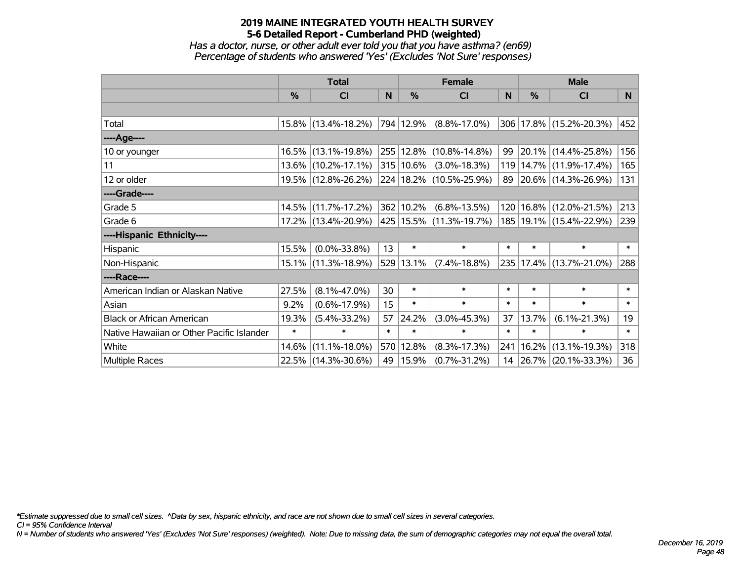*Has a doctor, nurse, or other adult ever told you that you have asthma? (en69) Percentage of students who answered 'Yes' (Excludes 'Not Sure' responses)*

|                                           | <b>Total</b>  |                     | <b>Female</b> |               |                             | <b>Male</b>  |        |                             |        |
|-------------------------------------------|---------------|---------------------|---------------|---------------|-----------------------------|--------------|--------|-----------------------------|--------|
|                                           | $\frac{0}{0}$ | CI                  | N             | $\%$          | <b>CI</b>                   | <sub>N</sub> | $\%$   | <b>CI</b>                   | N      |
|                                           |               |                     |               |               |                             |              |        |                             |        |
| Total                                     |               | 15.8% (13.4%-18.2%) |               | 794 12.9%     | $(8.8\% - 17.0\%)$          |              |        | 306 17.8% (15.2%-20.3%)     | 452    |
| ----Age----                               |               |                     |               |               |                             |              |        |                             |        |
| 10 or younger                             |               | 16.5% (13.1%-19.8%) |               |               | 255 12.8% (10.8%-14.8%)     | 99           |        | 20.1% (14.4%-25.8%)         | 156    |
| 11                                        |               | 13.6% (10.2%-17.1%) |               | $315 10.6\% $ | $(3.0\% - 18.3\%)$          | 119          |        | $14.7\%$ (11.9%-17.4%)      | 165    |
| 12 or older                               |               | 19.5% (12.8%-26.2%) |               |               | 224   18.2%   (10.5%-25.9%) |              |        | 89 20.6% (14.3%-26.9%)      | 131    |
| ----Grade----                             |               |                     |               |               |                             |              |        |                             |        |
| Grade 5                                   |               | 14.5% (11.7%-17.2%) |               | 362 10.2%     | $(6.8\% - 13.5\%)$          | 120          |        | $16.8\%$ (12.0%-21.5%)      | 213    |
| Grade 6                                   |               | 17.2% (13.4%-20.9%) |               |               | 425   15.5%   (11.3%-19.7%) |              |        | 185   19.1%   (15.4%-22.9%) | 239    |
| ----Hispanic Ethnicity----                |               |                     |               |               |                             |              |        |                             |        |
| Hispanic                                  | 15.5%         | $(0.0\% - 33.8\%)$  | 13            | $\ast$        | $\ast$                      | $\ast$       | $\ast$ | $\ast$                      | $\ast$ |
| Non-Hispanic                              |               | 15.1% (11.3%-18.9%) |               | 529 13.1%     | $(7.4\% - 18.8\%)$          |              |        | 235 17.4% (13.7%-21.0%)     | 288    |
| ----Race----                              |               |                     |               |               |                             |              |        |                             |        |
| American Indian or Alaskan Native         | 27.5%         | $(8.1\% - 47.0\%)$  | 30            | $\ast$        | $\ast$                      | $\ast$       | $\ast$ | $\ast$                      | $\ast$ |
| Asian                                     | 9.2%          | $(0.6\% - 17.9\%)$  | 15            | $\ast$        | $\ast$                      | $\ast$       | $\ast$ | $\ast$                      | $\ast$ |
| <b>Black or African American</b>          | 19.3%         | $(5.4\% - 33.2\%)$  | 57            | 24.2%         | $(3.0\% - 45.3\%)$          | 37           | 13.7%  | $(6.1\% - 21.3\%)$          | 19     |
| Native Hawaiian or Other Pacific Islander | $\ast$        | $\ast$              | $\ast$        | $\ast$        | $\ast$                      | $\ast$       | $\ast$ | $\ast$                      | $\ast$ |
| White                                     | 14.6%         | $(11.1\% - 18.0\%)$ |               | 570 12.8%     | $(8.3\% - 17.3\%)$          | 241          | 16.2%  | $(13.1\% - 19.3\%)$         | 318    |
| <b>Multiple Races</b>                     |               | 22.5% (14.3%-30.6%) | 49            | $ 15.9\% $    | $(0.7\% - 31.2\%)$          |              |        | 14 26.7% (20.1%-33.3%)      | 36     |

*\*Estimate suppressed due to small cell sizes. ^Data by sex, hispanic ethnicity, and race are not shown due to small cell sizes in several categories.*

*CI = 95% Confidence Interval*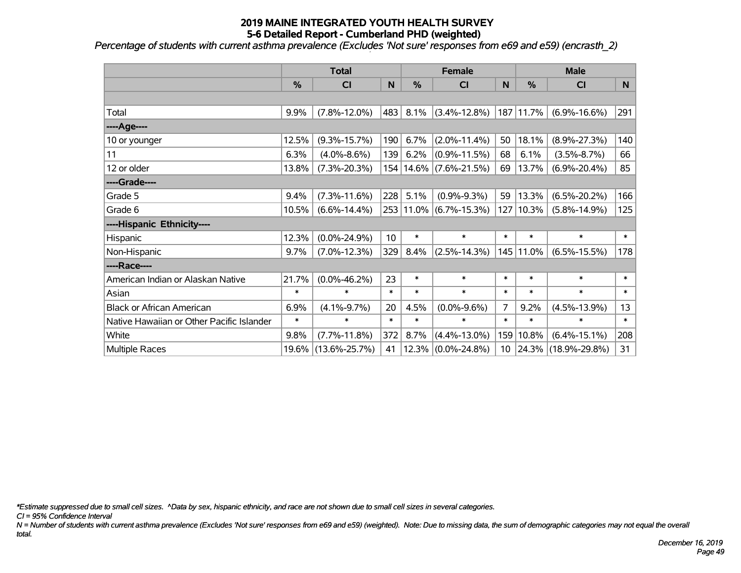*Percentage of students with current asthma prevalence (Excludes 'Not sure' responses from e69 and e59) (encrasth\_2)*

|                                           | <b>Total</b> |                     |                 |        | <b>Female</b>              |                 | <b>Male</b> |                     |        |  |
|-------------------------------------------|--------------|---------------------|-----------------|--------|----------------------------|-----------------|-------------|---------------------|--------|--|
|                                           | %            | CI                  | N               | %      | <b>CI</b>                  | N               | %           | <b>CI</b>           | N      |  |
|                                           |              |                     |                 |        |                            |                 |             |                     |        |  |
| Total                                     | 9.9%         | $(7.8\% - 12.0\%)$  | 483             | 8.1%   | $(3.4\% - 12.8\%)$         |                 | 187 11.7%   | $(6.9\% - 16.6\%)$  | 291    |  |
| ----Age----                               |              |                     |                 |        |                            |                 |             |                     |        |  |
| 10 or younger                             | 12.5%        | $(9.3\% - 15.7\%)$  | 190             | 6.7%   | $(2.0\% - 11.4\%)$         | 50              | 18.1%       | $(8.9\% - 27.3\%)$  | 140    |  |
| 11                                        | 6.3%         | $(4.0\% - 8.6\%)$   | 139             | 6.2%   | $(0.9\% - 11.5\%)$         | 68              | 6.1%        | $(3.5\% - 8.7\%)$   | 66     |  |
| 12 or older                               | 13.8%        | $(7.3\% - 20.3\%)$  |                 |        | 154   14.6%   (7.6%-21.5%) | 69              | 13.7%       | $(6.9\% - 20.4\%)$  | 85     |  |
| ----Grade----                             |              |                     |                 |        |                            |                 |             |                     |        |  |
| Grade 5                                   | 9.4%         | $(7.3\% - 11.6\%)$  | 228             | 5.1%   | $(0.9\% - 9.3\%)$          | 59              | 13.3%       | $(6.5\% - 20.2\%)$  | 166    |  |
| Grade 6                                   | 10.5%        | $(6.6\% - 14.4\%)$  |                 |        | 253 11.0% (6.7%-15.3%)     |                 | 127 10.3%   | $(5.8\% - 14.9\%)$  | 125    |  |
| ----Hispanic Ethnicity----                |              |                     |                 |        |                            |                 |             |                     |        |  |
| Hispanic                                  | 12.3%        | $(0.0\% - 24.9\%)$  | 10 <sup>1</sup> | $\ast$ | $\ast$                     | $\ast$          | $\ast$      | $\ast$              | $\ast$ |  |
| Non-Hispanic                              | 9.7%         | $(7.0\% - 12.3\%)$  | 329             | 8.4%   | $(2.5\% - 14.3\%)$         |                 | 145   11.0% | $(6.5\% - 15.5\%)$  | 178    |  |
| ----Race----                              |              |                     |                 |        |                            |                 |             |                     |        |  |
| American Indian or Alaskan Native         | 21.7%        | $(0.0\% - 46.2\%)$  | 23              | $\ast$ | $\ast$                     | $\ast$          | $\ast$      | $\ast$              | $\ast$ |  |
| Asian                                     | $\ast$       | $\ast$              | $\ast$          | $\ast$ | $\ast$                     | $\ast$          | $\ast$      | $\ast$              | $\ast$ |  |
| <b>Black or African American</b>          | 6.9%         | $(4.1\% - 9.7\%)$   | 20              | 4.5%   | $(0.0\% - 9.6\%)$          | 7               | 9.2%        | $(4.5\% - 13.9\%)$  | 13     |  |
| Native Hawaiian or Other Pacific Islander | $\ast$       | $\ast$              | $\ast$          | $\ast$ | $\ast$                     | $\ast$          | $\ast$      | $\ast$              | $\ast$ |  |
| White                                     | 9.8%         | $(7.7\% - 11.8\%)$  | 372             | 8.7%   | $(4.4\% - 13.0\%)$         | 159             | 10.8%       | $(6.4\% - 15.1\%)$  | 208    |  |
| Multiple Races                            | 19.6%        | $(13.6\% - 25.7\%)$ | 41              | 12.3%  | $(0.0\% - 24.8\%)$         | 10 <sup>°</sup> | 24.3%       | $(18.9\% - 29.8\%)$ | 31     |  |

*\*Estimate suppressed due to small cell sizes. ^Data by sex, hispanic ethnicity, and race are not shown due to small cell sizes in several categories.*

*CI = 95% Confidence Interval*

*N = Number of students with current asthma prevalence (Excludes 'Not sure' responses from e69 and e59) (weighted). Note: Due to missing data, the sum of demographic categories may not equal the overall total.*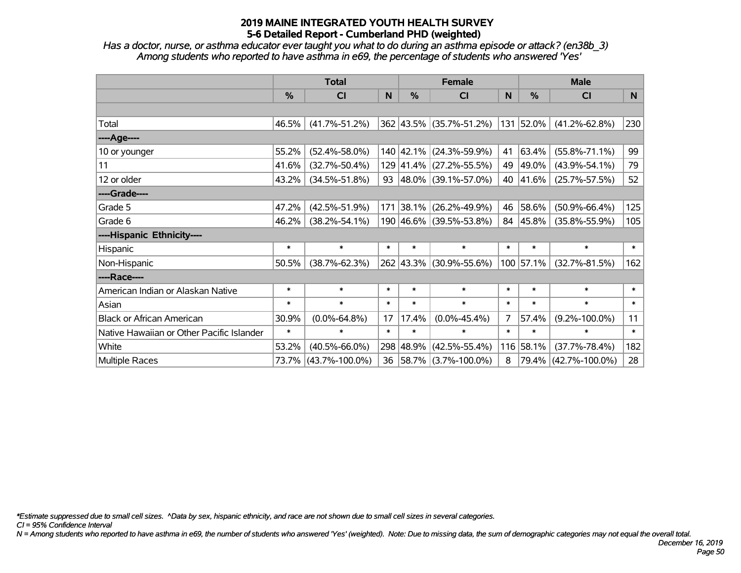*Has a doctor, nurse, or asthma educator ever taught you what to do during an asthma episode or attack? (en38b\_3) Among students who reported to have asthma in e69, the percentage of students who answered 'Yes'*

|                                           | <b>Total</b>  |                      |        |               | <b>Female</b>               |                | <b>Male</b> |                      |        |  |
|-------------------------------------------|---------------|----------------------|--------|---------------|-----------------------------|----------------|-------------|----------------------|--------|--|
|                                           | $\frac{0}{0}$ | CI                   | N      | $\frac{9}{6}$ | <b>CI</b>                   | $\mathsf{N}$   | %           | <b>CI</b>            | N.     |  |
|                                           |               |                      |        |               |                             |                |             |                      |        |  |
| Total                                     | 46.5%         | $(41.7\% - 51.2\%)$  |        |               | 362 43.5% (35.7%-51.2%)     |                | 131 52.0%   | $(41.2\% - 62.8\%)$  | 230    |  |
| ----Age----                               |               |                      |        |               |                             |                |             |                      |        |  |
| 10 or younger                             | 55.2%         | $(52.4\% - 58.0\%)$  |        |               | 140 42.1% (24.3%-59.9%)     | 41             | 63.4%       | $(55.8\% - 71.1\%)$  | 99     |  |
| 11                                        | 41.6%         | $(32.7\% - 50.4\%)$  |        |               | 129 41.4% (27.2%-55.5%)     | 49             | 49.0%       | $(43.9\% - 54.1\%)$  | 79     |  |
| 12 or older                               | 43.2%         | $(34.5\% - 51.8\%)$  |        |               | 93 $ 48.0\% $ (39.1%-57.0%) | 40             | 41.6%       | $(25.7\% - 57.5\%)$  | 52     |  |
| ----Grade----                             |               |                      |        |               |                             |                |             |                      |        |  |
| Grade 5                                   | 47.2%         | $(42.5\% - 51.9\%)$  |        | 171 38.1%     | $(26.2\% - 49.9\%)$         | 46             | 58.6%       | $(50.9\% - 66.4\%)$  | 125    |  |
| Grade 6                                   | 46.2%         | $(38.2\% - 54.1\%)$  |        |               | 190 46.6% (39.5%-53.8%)     | 84             | 45.8%       | $(35.8\% - 55.9\%)$  | 105    |  |
| ----Hispanic Ethnicity----                |               |                      |        |               |                             |                |             |                      |        |  |
| Hispanic                                  | $\ast$        | $\ast$               | $\ast$ | $\ast$        | $\ast$                      | $\ast$         | $\ast$      | $\ast$               | $\ast$ |  |
| Non-Hispanic                              | 50.5%         | $(38.7\% - 62.3\%)$  |        |               | 262 43.3% (30.9%-55.6%)     |                | 100 57.1%   | $(32.7\% - 81.5\%)$  | 162    |  |
| ----Race----                              |               |                      |        |               |                             |                |             |                      |        |  |
| American Indian or Alaskan Native         | $\ast$        | $\ast$               | $\ast$ | $\ast$        | $\ast$                      | $\ast$         | $\ast$      | $\ast$               | $\ast$ |  |
| Asian                                     | $\ast$        | $\ast$               | $\ast$ | $\ast$        | $\ast$                      | $\ast$         | $\ast$      | $\ast$               | $\ast$ |  |
| <b>Black or African American</b>          | 30.9%         | $(0.0\% - 64.8\%)$   | 17     | 17.4%         | $(0.0\% - 45.4\%)$          | $\overline{7}$ | 57.4%       | $(9.2\% - 100.0\%)$  | 11     |  |
| Native Hawaiian or Other Pacific Islander | $\ast$        | $\ast$               | $\ast$ | $\ast$        | $\ast$                      | $\ast$         | $\ast$      | $\ast$               | $\ast$ |  |
| White                                     | 53.2%         | $(40.5\% - 66.0\%)$  | 298    | 48.9%         | $(42.5\% - 55.4\%)$         | 116            | 58.1%       | $(37.7\% - 78.4\%)$  | 182    |  |
| Multiple Races                            |               | 73.7% (43.7%-100.0%) |        |               | 36   58.7%   (3.7%-100.0%)  | 8              | 79.4%       | $(42.7\% - 100.0\%)$ | 28     |  |

*\*Estimate suppressed due to small cell sizes. ^Data by sex, hispanic ethnicity, and race are not shown due to small cell sizes in several categories.*

*CI = 95% Confidence Interval*

*N = Among students who reported to have asthma in e69, the number of students who answered 'Yes' (weighted). Note: Due to missing data, the sum of demographic categories may not equal the overall total.*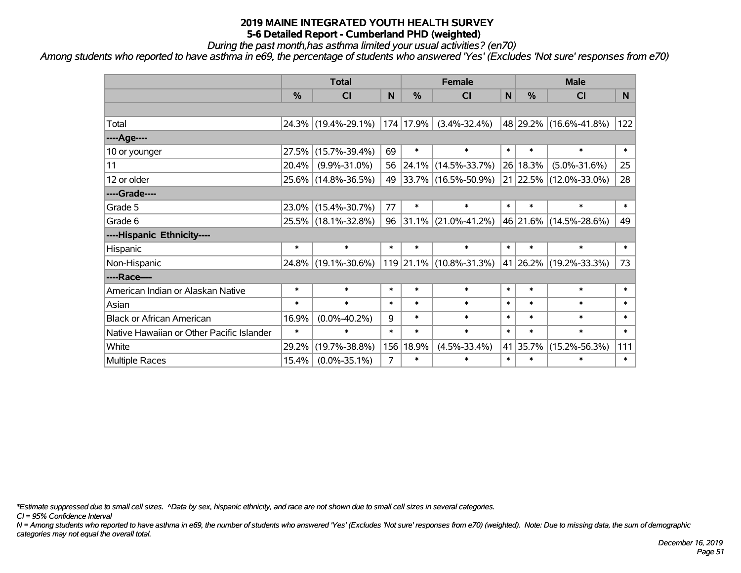*During the past month,has asthma limited your usual activities? (en70)*

*Among students who reported to have asthma in e69, the percentage of students who answered 'Yes' (Excludes 'Not sure' responses from e70)*

|                                           | <b>Total</b> |                     |        | <b>Female</b> |                          |        | <b>Male</b> |                        |        |  |
|-------------------------------------------|--------------|---------------------|--------|---------------|--------------------------|--------|-------------|------------------------|--------|--|
|                                           | %            | <b>CI</b>           | N      | %             | <b>CI</b>                | N      | %           | <b>CI</b>              | N.     |  |
|                                           |              |                     |        |               |                          |        |             |                        |        |  |
| Total                                     |              | 24.3% (19.4%-29.1%) |        | 174 17.9%     | $(3.4\% - 32.4\%)$       |        |             | 48 29.2% (16.6%-41.8%) | 122    |  |
| ----Age----                               |              |                     |        |               |                          |        |             |                        |        |  |
| 10 or younger                             | 27.5%        | $(15.7\% - 39.4\%)$ | 69     | $\ast$        | $\ast$                   | $\ast$ | $\ast$      | $\ast$                 | $\ast$ |  |
| 11                                        | 20.4%        | $(9.9\% - 31.0\%)$  | 56     |               | 24.1% (14.5%-33.7%)      |        | 26 18.3%    | $(5.0\% - 31.6\%)$     | 25     |  |
| 12 or older                               |              | 25.6% (14.8%-36.5%) | 49     |               | $ 33.7\% $ (16.5%-50.9%) |        |             | 21 22.5% (12.0%-33.0%) | 28     |  |
| ----Grade----                             |              |                     |        |               |                          |        |             |                        |        |  |
| Grade 5                                   | 23.0%        | $(15.4\% - 30.7\%)$ | 77     | $\ast$        | $\ast$                   | $\ast$ | $\ast$      | $\ast$                 | $\ast$ |  |
| Grade 6                                   |              | 25.5% (18.1%-32.8%) | 96     |               | $ 31.1\% $ (21.0%-41.2%) |        |             | 46 21.6% (14.5%-28.6%) | 49     |  |
| ----Hispanic Ethnicity----                |              |                     |        |               |                          |        |             |                        |        |  |
| Hispanic                                  | $\ast$       | $\ast$              | $\ast$ | $\ast$        | $\ast$                   | $\ast$ | $\ast$      | $\ast$                 | $\ast$ |  |
| Non-Hispanic                              | 24.8%        | $(19.1\% - 30.6\%)$ |        |               | 119 21.1% (10.8%-31.3%)  |        |             | 41 26.2% (19.2%-33.3%) | 73     |  |
| ----Race----                              |              |                     |        |               |                          |        |             |                        |        |  |
| American Indian or Alaskan Native         | $\ast$       | $\ast$              | $\ast$ | $\ast$        | $\ast$                   | $\ast$ | $\ast$      | $\ast$                 | $\ast$ |  |
| Asian                                     | $\ast$       | $\ast$              | $\ast$ | $\ast$        | $\ast$                   | $\ast$ | $\ast$      | $\ast$                 | $\ast$ |  |
| <b>Black or African American</b>          | 16.9%        | $(0.0\% - 40.2\%)$  | 9      | $\ast$        | $\ast$                   | $\ast$ | $\ast$      | $\ast$                 | $\ast$ |  |
| Native Hawaiian or Other Pacific Islander | $\ast$       | $\ast$              | $\ast$ | $\ast$        | $\ast$                   | $\ast$ | $\ast$      | $\ast$                 | $\ast$ |  |
| White                                     | 29.2%        | $(19.7\% - 38.8\%)$ | 156    | 18.9%         | $(4.5\% - 33.4\%)$       |        | 41 35.7%    | $(15.2\% - 56.3\%)$    | 111    |  |
| <b>Multiple Races</b>                     | 15.4%        | $(0.0\% - 35.1\%)$  | 7      | $\ast$        | $\ast$                   | $\ast$ | $\ast$      | $\ast$                 | $\ast$ |  |

*\*Estimate suppressed due to small cell sizes. ^Data by sex, hispanic ethnicity, and race are not shown due to small cell sizes in several categories.*

*CI = 95% Confidence Interval*

*N = Among students who reported to have asthma in e69, the number of students who answered 'Yes' (Excludes 'Not sure' responses from e70) (weighted). Note: Due to missing data, the sum of demographic categories may not equal the overall total.*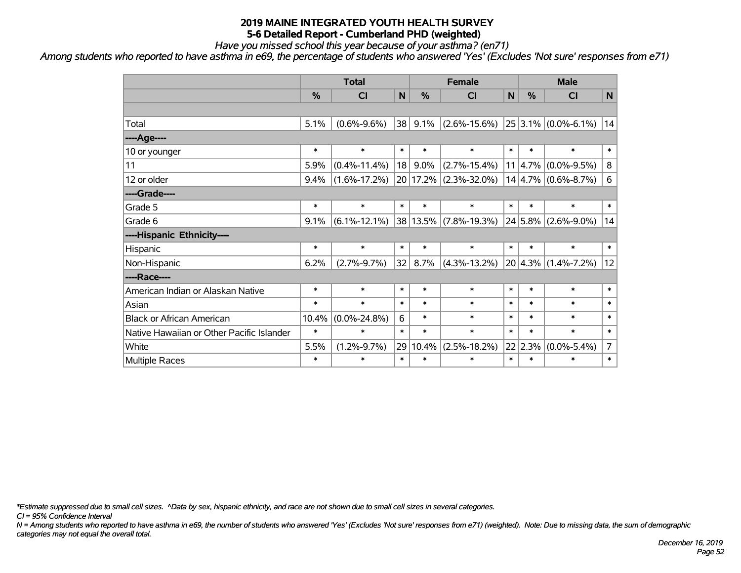*Have you missed school this year because of your asthma? (en71)*

*Among students who reported to have asthma in e69, the percentage of students who answered 'Yes' (Excludes 'Not sure' responses from e71)*

|                                           | <b>Total</b> |                    |        |               | <b>Female</b>      |        | <b>Male</b> |                         |                 |  |
|-------------------------------------------|--------------|--------------------|--------|---------------|--------------------|--------|-------------|-------------------------|-----------------|--|
|                                           | %            | <b>CI</b>          | N      | %             | <b>CI</b>          | N      | %           | <b>CI</b>               | N               |  |
|                                           |              |                    |        |               |                    |        |             |                         |                 |  |
| Total                                     | 5.1%         | $(0.6\% - 9.6\%)$  | 38     | 9.1%          | $(2.6\% - 15.6\%)$ |        |             | $25 3.1\% $ (0.0%-6.1%) | 14              |  |
| ----Age----                               |              |                    |        |               |                    |        |             |                         |                 |  |
| 10 or younger                             | $\ast$       | $\ast$             | $\ast$ | $\ast$        | $\ast$             | $\ast$ | $\ast$      | $\ast$                  | $\ast$          |  |
| 11                                        | 5.9%         | $(0.4\% - 11.4\%)$ | 18     | 9.0%          | $(2.7\% - 15.4\%)$ | 11     | 4.7%        | $(0.0\% - 9.5\%)$       | 8               |  |
| 12 or older                               | 9.4%         | $(1.6\% - 17.2\%)$ |        | 20 17.2%      | $(2.3\% - 32.0\%)$ |        |             | $14 4.7\% $ (0.6%-8.7%) | $6\phantom{1}6$ |  |
| ----Grade----                             |              |                    |        |               |                    |        |             |                         |                 |  |
| Grade 5                                   | $\ast$       | $\ast$             | $\ast$ | $\ast$        | $\ast$             | $\ast$ | $\ast$      | $\ast$                  | $\ast$          |  |
| Grade 6                                   | 9.1%         | $(6.1\% - 12.1\%)$ |        | $ 38 13.5\% $ | $(7.8\% - 19.3\%)$ |        |             | $24 5.8\% $ (2.6%-9.0%) | 14              |  |
| ----Hispanic Ethnicity----                |              |                    |        |               |                    |        |             |                         |                 |  |
| Hispanic                                  | $\ast$       | $\ast$             | $\ast$ | $\ast$        | $\ast$             | $\ast$ | $\ast$      | $\ast$                  | $\ast$          |  |
| Non-Hispanic                              | 6.2%         | $(2.7\% - 9.7\%)$  | 32     | 8.7%          | $(4.3\% - 13.2\%)$ |        | $20 4.3\% $ | $(1.4\% - 7.2\%)$       | 12              |  |
| ----Race----                              |              |                    |        |               |                    |        |             |                         |                 |  |
| American Indian or Alaskan Native         | $\ast$       | $\ast$             | $\ast$ | $\ast$        | $\ast$             | $\ast$ | $\ast$      | $\ast$                  | $\ast$          |  |
| Asian                                     | $\ast$       | $\ast$             | $\ast$ | $\ast$        | $\ast$             | $\ast$ | $\ast$      | $\ast$                  | $\ast$          |  |
| <b>Black or African American</b>          | 10.4%        | $(0.0\% - 24.8\%)$ | 6      | $\ast$        | $\ast$             | $\ast$ | $\ast$      | $\ast$                  | $\ast$          |  |
| Native Hawaiian or Other Pacific Islander | $\ast$       | $\ast$             | $\ast$ | $\ast$        | $\ast$             | $\ast$ | $\ast$      | $\ast$                  | $\ast$          |  |
| White                                     | 5.5%         | $(1.2\% - 9.7\%)$  | 29     | 10.4%         | $(2.5\% - 18.2\%)$ |        | 22 2.3%     | $(0.0\% - 5.4\%)$       | $\overline{7}$  |  |
| Multiple Races                            | $\ast$       | $\ast$             | $\ast$ | $\ast$        | $\ast$             | $\ast$ | $\ast$      | $\ast$                  | $\ast$          |  |

*\*Estimate suppressed due to small cell sizes. ^Data by sex, hispanic ethnicity, and race are not shown due to small cell sizes in several categories.*

*CI = 95% Confidence Interval*

*N = Among students who reported to have asthma in e69, the number of students who answered 'Yes' (Excludes 'Not sure' responses from e71) (weighted). Note: Due to missing data, the sum of demographic categories may not equal the overall total.*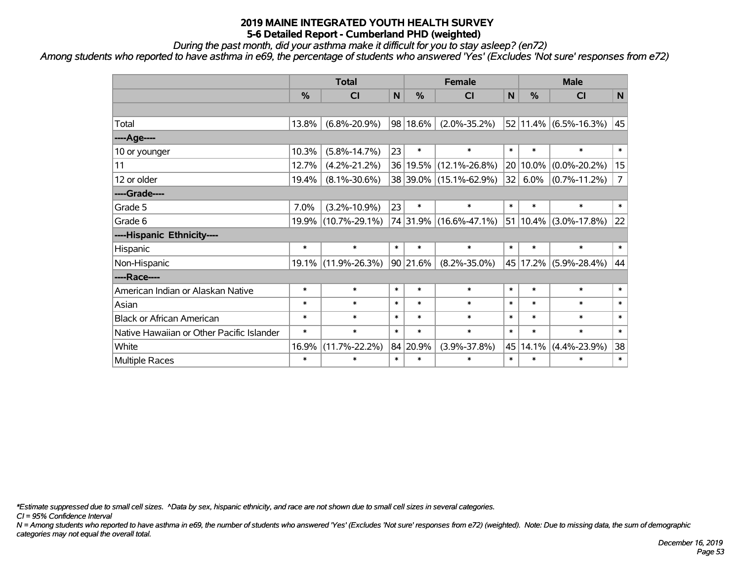*During the past month, did your asthma make it difficult for you to stay asleep? (en72)*

*Among students who reported to have asthma in e69, the percentage of students who answered 'Yes' (Excludes 'Not sure' responses from e72)*

|                                           | <b>Total</b> |                     |        |          | <b>Female</b>          |        |               | <b>Male</b>                |                |  |
|-------------------------------------------|--------------|---------------------|--------|----------|------------------------|--------|---------------|----------------------------|----------------|--|
|                                           | %            | <b>CI</b>           | N      | %        | <b>CI</b>              | N      | %             | <b>CI</b>                  | $\mathsf{N}$   |  |
|                                           |              |                     |        |          |                        |        |               |                            |                |  |
| Total                                     | 13.8%        | $(6.8\% - 20.9\%)$  |        | 98 18.6% | $(2.0\% - 35.2\%)$     |        |               | $ 52 11.4\% $ (6.5%-16.3%) | 45             |  |
| ----Age----                               |              |                     |        |          |                        |        |               |                            |                |  |
| 10 or younger                             | 10.3%        | $(5.8\% - 14.7\%)$  | 23     | $\ast$   | $\ast$                 | $\ast$ | $\ast$        | $\ast$                     | $\ast$         |  |
| 11                                        | 12.7%        | $(4.2\% - 21.2\%)$  |        |          | 36 19.5% (12.1%-26.8%) |        | 20 10.0%      | $(0.0\% - 20.2\%)$         | 15             |  |
| 12 or older                               | 19.4%        | $(8.1\% - 30.6\%)$  |        |          | 38 39.0% (15.1%-62.9%) | 32     | 6.0%          | $(0.7\% - 11.2\%)$         | $\overline{7}$ |  |
| ----Grade----                             |              |                     |        |          |                        |        |               |                            |                |  |
| Grade 5                                   | 7.0%         | $(3.2\% - 10.9\%)$  | 23     | $\ast$   | $\ast$                 | $\ast$ | $\ast$        | *                          | $\ast$         |  |
| Grade 6                                   | 19.9%        | $(10.7\% - 29.1\%)$ |        |          | 74 31.9% (16.6%-47.1%) |        | $ 51 10.4\% $ | $(3.0\% - 17.8\%)$         | 22             |  |
| ----Hispanic Ethnicity----                |              |                     |        |          |                        |        |               |                            |                |  |
| Hispanic                                  | $\ast$       | $\ast$              | $\ast$ | $\ast$   | $\ast$                 | $\ast$ | $\ast$        | $\ast$                     | $\ast$         |  |
| Non-Hispanic                              | 19.1%        | $(11.9\% - 26.3\%)$ |        | 90 21.6% | $(8.2\% - 35.0\%)$     |        | 45 17.2%      | $(5.9\% - 28.4\%)$         | 44             |  |
| ----Race----                              |              |                     |        |          |                        |        |               |                            |                |  |
| American Indian or Alaskan Native         | $\ast$       | $\ast$              | $\ast$ | $\ast$   | $\ast$                 | $\ast$ | $\ast$        | $\ast$                     | $\ast$         |  |
| Asian                                     | $\ast$       | $\ast$              | $\ast$ | $\ast$   | $\ast$                 | $\ast$ | $\ast$        | $\ast$                     | $\ast$         |  |
| <b>Black or African American</b>          | *            | $\ast$              | $\ast$ | $\ast$   | $\ast$                 | $\ast$ | $\ast$        | $\ast$                     | $\ast$         |  |
| Native Hawaiian or Other Pacific Islander | $\ast$       | $\ast$              | $\ast$ | $\ast$   | $\ast$                 | $\ast$ | $\ast$        | $\ast$                     | $\ast$         |  |
| White                                     | 16.9%        | $(11.7\% - 22.2\%)$ |        | 84 20.9% | $(3.9\% - 37.8\%)$     | 45     | 14.1%         | $(4.4\% - 23.9\%)$         | 38             |  |
| Multiple Races                            | $\ast$       | $\ast$              | $\ast$ | $\ast$   | $\ast$                 | $\ast$ | $\ast$        | *                          | $\ast$         |  |

*\*Estimate suppressed due to small cell sizes. ^Data by sex, hispanic ethnicity, and race are not shown due to small cell sizes in several categories.*

*CI = 95% Confidence Interval*

*N = Among students who reported to have asthma in e69, the number of students who answered 'Yes' (Excludes 'Not sure' responses from e72) (weighted). Note: Due to missing data, the sum of demographic categories may not equal the overall total.*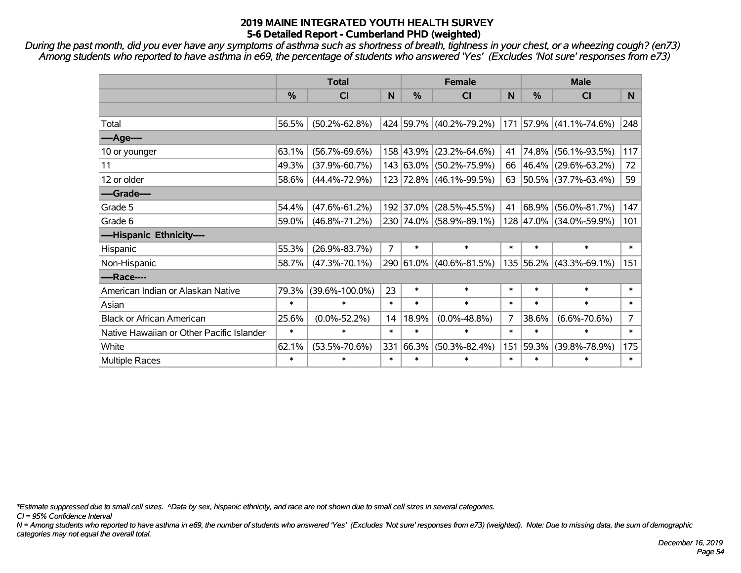*During the past month, did you ever have any symptoms of asthma such as shortness of breath, tightness in your chest, or a wheezing cough? (en73) Among students who reported to have asthma in e69, the percentage of students who answered 'Yes' (Excludes 'Not sure' responses from e73)*

|                                           | <b>Total</b>  |                      |                | <b>Female</b> |                         |        |           | <b>Male</b>             |                |  |  |
|-------------------------------------------|---------------|----------------------|----------------|---------------|-------------------------|--------|-----------|-------------------------|----------------|--|--|
|                                           | $\frac{0}{0}$ | <b>CI</b>            | N              | $\frac{0}{0}$ | <b>CI</b>               | N      | %         | <b>CI</b>               | N.             |  |  |
|                                           |               |                      |                |               |                         |        |           |                         |                |  |  |
| Total                                     | 56.5%         | $(50.2\% - 62.8\%)$  |                |               | 424 59.7% (40.2%-79.2%) |        |           | 171 57.9% (41.1%-74.6%) | 248            |  |  |
| ----Age----                               |               |                      |                |               |                         |        |           |                         |                |  |  |
| 10 or younger                             | 63.1%         | $(56.7\% - 69.6\%)$  |                | 158 43.9%     | $(23.2\% - 64.6\%)$     | 41     | 74.8%     | $(56.1\% - 93.5\%)$     | 117            |  |  |
| 11                                        | 49.3%         | $(37.9\% - 60.7\%)$  |                |               | 143 63.0% (50.2%-75.9%) | 66     | 46.4%     | $(29.6\% - 63.2\%)$     | 72             |  |  |
| 12 or older                               | 58.6%         | $(44.4\% - 72.9\%)$  |                |               | 123 72.8% (46.1%-99.5%) | 63     |           | 50.5% (37.7%-63.4%)     | 59             |  |  |
| ----Grade----                             |               |                      |                |               |                         |        |           |                         |                |  |  |
| Grade 5                                   | 54.4%         | $(47.6\% - 61.2\%)$  |                | 192 37.0%     | $(28.5\% - 45.5\%)$     | 41     | 68.9%     | $(56.0\% - 81.7\%)$     | 147            |  |  |
| Grade 6                                   | 59.0%         | $(46.8\% - 71.2\%)$  |                |               | 230 74.0% (58.9%-89.1%) |        |           | 128 47.0% (34.0%-59.9%) | 101            |  |  |
| ----Hispanic Ethnicity----                |               |                      |                |               |                         |        |           |                         |                |  |  |
| Hispanic                                  | 55.3%         | $(26.9\% - 83.7\%)$  | $\overline{7}$ | $\ast$        | $\ast$                  | $\ast$ | $\ast$    | $\ast$                  | $\ast$         |  |  |
| Non-Hispanic                              | 58.7%         | $(47.3\% - 70.1\%)$  |                |               | 290 61.0% (40.6%-81.5%) |        | 135 56.2% | $(43.3\% - 69.1\%)$     | 151            |  |  |
| ----Race----                              |               |                      |                |               |                         |        |           |                         |                |  |  |
| American Indian or Alaskan Native         | 79.3%         | $(39.6\% - 100.0\%)$ | 23             | $\ast$        | $\ast$                  | $\ast$ | $\ast$    | $\ast$                  | $\ast$         |  |  |
| Asian                                     | $\ast$        | $\ast$               | $\ast$         | $\ast$        | $\ast$                  | $\ast$ | $\ast$    | $\ast$                  | $\ast$         |  |  |
| <b>Black or African American</b>          | 25.6%         | $(0.0\% - 52.2\%)$   | 14             | 18.9%         | $(0.0\% - 48.8\%)$      | 7      | 38.6%     | $(6.6\% - 70.6\%)$      | $\overline{7}$ |  |  |
| Native Hawaiian or Other Pacific Islander | $\ast$        | $\ast$               | $\ast$         | $\ast$        | $\ast$                  | $\ast$ | $\ast$    | $\ast$                  | $\ast$         |  |  |
| White                                     | 62.1%         | $(53.5\% - 70.6\%)$  | 331            | 66.3%         | $(50.3\% - 82.4\%)$     | 151    | 59.3%     | $(39.8\% - 78.9\%)$     | 175            |  |  |
| <b>Multiple Races</b>                     | $\ast$        | *                    | $\ast$         | $\ast$        | $\ast$                  | $\ast$ | $\ast$    | $\ast$                  | $\ast$         |  |  |

*\*Estimate suppressed due to small cell sizes. ^Data by sex, hispanic ethnicity, and race are not shown due to small cell sizes in several categories.*

*CI = 95% Confidence Interval*

*N = Among students who reported to have asthma in e69, the number of students who answered 'Yes' (Excludes 'Not sure' responses from e73) (weighted). Note: Due to missing data, the sum of demographic categories may not equal the overall total.*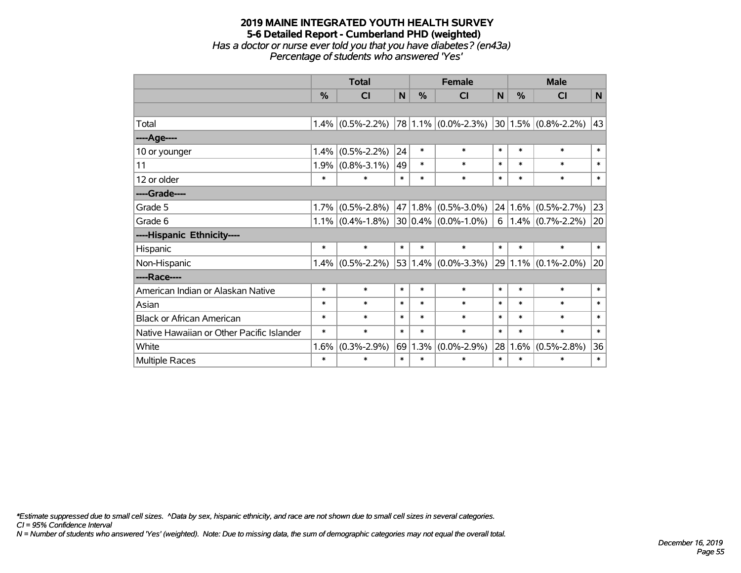#### **2019 MAINE INTEGRATED YOUTH HEALTH SURVEY 5-6 Detailed Report - Cumberland PHD (weighted)** *Has a doctor or nurse ever told you that you have diabetes? (en43a) Percentage of students who answered 'Yes'*

|                                           | <b>Total</b> |                     | <b>Female</b> |        |                         | <b>Male</b> |         |                         |              |
|-------------------------------------------|--------------|---------------------|---------------|--------|-------------------------|-------------|---------|-------------------------|--------------|
|                                           | %            | <b>CI</b>           | N             | %      | <b>CI</b>               | N           | %       | <b>CI</b>               | $\mathsf{N}$ |
|                                           |              |                     |               |        |                         |             |         |                         |              |
| Total                                     | 1.4%         | $(0.5\% - 2.2\%)$   |               |        | 78 1.1% (0.0%-2.3%)     |             |         | $30 1.5\% $ (0.8%-2.2%) | 43           |
| ----Age----                               |              |                     |               |        |                         |             |         |                         |              |
| 10 or younger                             | 1.4%         | $(0.5\% - 2.2\%)$   | 24            | $\ast$ | $\ast$                  | $\ast$      | $\ast$  | $\ast$                  | $\ast$       |
| 11                                        | 1.9%         | $(0.8\% - 3.1\%)$   | 49            | $\ast$ | $\ast$                  | $\ast$      | $\ast$  | $\ast$                  | $\ast$       |
| 12 or older                               | $\ast$       | $\ast$              | $\ast$        | $\ast$ | $\ast$                  | $\ast$      | $\ast$  | $\ast$                  | $\ast$       |
| ----Grade----                             |              |                     |               |        |                         |             |         |                         |              |
| Grade 5                                   | 1.7%         | $(0.5\% - 2.8\%)$   | 47            |        | $1.8\%$ (0.5%-3.0%)     |             | 24 1.6% | $(0.5\% - 2.7\%)$       | 23           |
| Grade 6                                   |              | $1.1\%$ (0.4%-1.8%) |               |        | $30 0.4\% $ (0.0%-1.0%) | 6           |         | $1.4\%$ (0.7%-2.2%)     | 20           |
| ----Hispanic Ethnicity----                |              |                     |               |        |                         |             |         |                         |              |
| Hispanic                                  | $\ast$       | $\ast$              | $\ast$        | $\ast$ | $\ast$                  | $\ast$      | $\ast$  | $\ast$                  | $\ast$       |
| Non-Hispanic                              | 1.4%         | $(0.5\% - 2.2\%)$   |               |        | $53 1.4\% $ (0.0%-3.3%) |             |         | 29 1.1% (0.1%-2.0%)     | 20           |
| ----Race----                              |              |                     |               |        |                         |             |         |                         |              |
| American Indian or Alaskan Native         | $\ast$       | $\ast$              | $\ast$        | $\ast$ | $\ast$                  | $\ast$      | $\ast$  | $\ast$                  | $\ast$       |
| Asian                                     | $\ast$       | $\ast$              | $\ast$        | $\ast$ | $\ast$                  | $\ast$      | $\ast$  | $\ast$                  | $\ast$       |
| <b>Black or African American</b>          | $\ast$       | $\ast$              | $\ast$        | $\ast$ | $\ast$                  | $\ast$      | $\ast$  | $\ast$                  | $\ast$       |
| Native Hawaiian or Other Pacific Islander | $\ast$       | $\ast$              | $\ast$        | $\ast$ | $\ast$                  | $\ast$      | $\ast$  | $\ast$                  | $\ast$       |
| White                                     | 1.6%         | $(0.3\% - 2.9\%)$   | 69            | 1.3%   | $(0.0\% - 2.9\%)$       | 28          | 1.6%    | $(0.5\% - 2.8\%)$       | 36           |
| Multiple Races                            | $\ast$       | $\ast$              | $\ast$        | $\ast$ | $\ast$                  | $\ast$      | $\ast$  | $\ast$                  | $\ast$       |

*\*Estimate suppressed due to small cell sizes. ^Data by sex, hispanic ethnicity, and race are not shown due to small cell sizes in several categories.*

*CI = 95% Confidence Interval*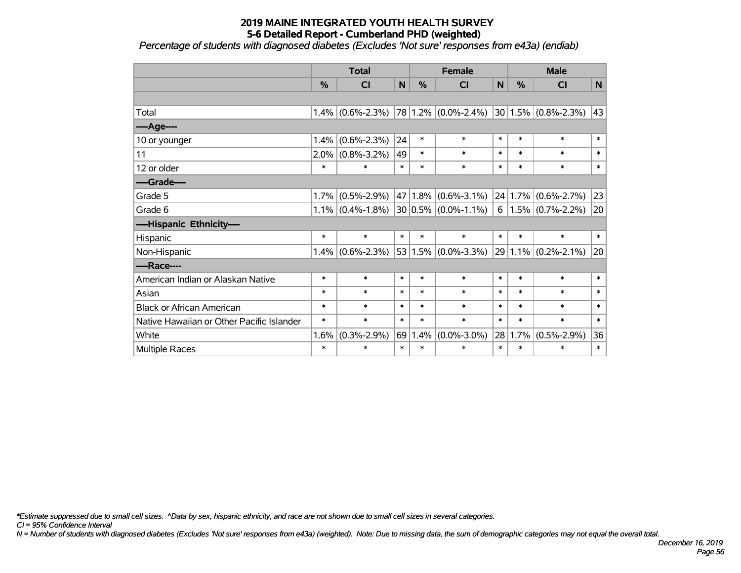*Percentage of students with diagnosed diabetes (Excludes 'Not sure' responses from e43a) (endiab)*

|                                           | <b>Total</b> |                     | <b>Female</b> |               |                         | <b>Male</b> |               |                             |        |
|-------------------------------------------|--------------|---------------------|---------------|---------------|-------------------------|-------------|---------------|-----------------------------|--------|
|                                           | %            | <b>CI</b>           | $\mathsf{N}$  | $\frac{0}{0}$ | <b>CI</b>               | N           | $\frac{0}{0}$ | <b>CI</b>                   | N      |
|                                           |              |                     |               |               |                         |             |               |                             |        |
| Total                                     |              | $1.4\%$ (0.6%-2.3%) |               |               | 78 1.2% (0.0%-2.4%)     |             |               | $ 30 1.5\% $ (0.8%-2.3%) 43 |        |
| ----Age----                               |              |                     |               |               |                         |             |               |                             |        |
| 10 or younger                             | 1.4%         | $(0.6\% - 2.3\%)$   | 24            | $\ast$        | $\ast$                  | $\ast$      | $\ast$        | $\ast$                      | $\ast$ |
| 11                                        | 2.0%         | $(0.8\% - 3.2\%)$   | 49            | $\ast$        | $\ast$                  | $\ast$      | $\ast$        | $\ast$                      | $\ast$ |
| 12 or older                               | $\ast$       | $\ast$              | $\ast$        | $\ast$        | $\ast$                  | $\ast$      | $\ast$        | $\ast$                      | $\ast$ |
| ----Grade----                             |              |                     |               |               |                         |             |               |                             |        |
| Grade 5                                   | 1.7%         | $(0.5\% - 2.9\%)$   | 47            |               | $1.8\%$ (0.6%-3.1%)     |             |               | $24 1.7\% $ (0.6%-2.7%)     | 23     |
| Grade 6                                   |              | $1.1\%$ (0.4%-1.8%) |               |               | $30 0.5\% $ (0.0%-1.1%) |             |               | $6 1.5\% $ (0.7%-2.2%)      | 20     |
| ----Hispanic Ethnicity----                |              |                     |               |               |                         |             |               |                             |        |
| Hispanic                                  | $\ast$       | $\ast$              | $\ast$        | $\ast$        | $\ast$                  | $\ast$      | $\ast$        | $\ast$                      | $\ast$ |
| Non-Hispanic                              | 1.4%         | $(0.6\% - 2.3\%)$   | 53            |               | $1.5\%$ $(0.0\%$ -3.3%) |             |               | $29 1.1\% $ (0.2%-2.1%)     | 20     |
| ----Race----                              |              |                     |               |               |                         |             |               |                             |        |
| American Indian or Alaskan Native         | $\ast$       | $\ast$              | $\ast$        | $\ast$        | $\ast$                  | $\ast$      | $\ast$        | $\ast$                      | $\ast$ |
| Asian                                     | $\ast$       | $\ast$              | $\ast$        | $\ast$        | $\ast$                  | $\ast$      | $\ast$        | $\ast$                      | $\ast$ |
| <b>Black or African American</b>          | $\ast$       | $\ast$              | $\ast$        | $\ast$        | $\ast$                  | $\ast$      | $\ast$        | $\ast$                      | $\ast$ |
| Native Hawaiian or Other Pacific Islander | $\ast$       | $\ast$              | $\ast$        | $\ast$        | $\ast$                  | $\ast$      | $\ast$        | $\ast$                      | $\ast$ |
| White                                     | 1.6%         | $(0.3\% - 2.9\%)$   | 69            | 1.4%          | $(0.0\% - 3.0\%)$       | 28          | 1.7%          | $(0.5\% - 2.9\%)$           | 36     |
| Multiple Races                            | $\ast$       | $\ast$              | $\ast$        | $\ast$        | $\ast$                  | $\ast$      | $\ast$        | $\ast$                      | $\ast$ |

*\*Estimate suppressed due to small cell sizes. ^Data by sex, hispanic ethnicity, and race are not shown due to small cell sizes in several categories.*

*CI = 95% Confidence Interval*

*N = Number of students with diagnosed diabetes (Excludes 'Not sure' responses from e43a) (weighted). Note: Due to missing data, the sum of demographic categories may not equal the overall total.*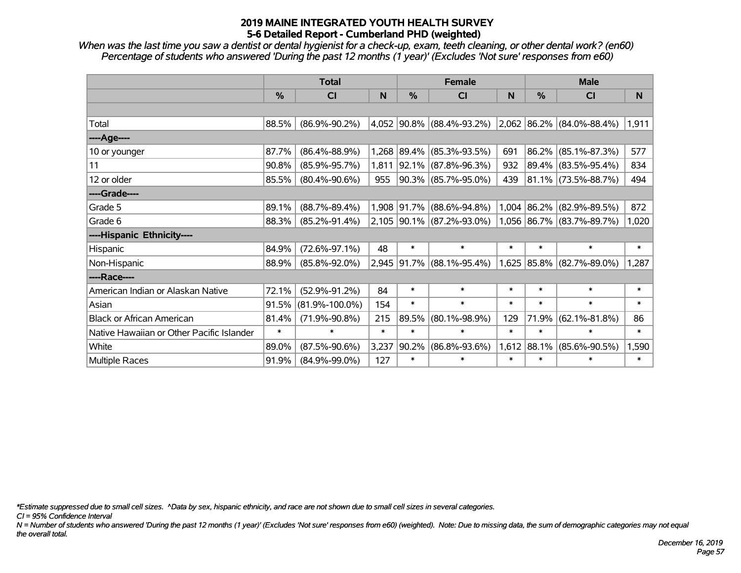*When was the last time you saw a dentist or dental hygienist for a check-up, exam, teeth cleaning, or other dental work? (en60) Percentage of students who answered 'During the past 12 months (1 year)' (Excludes 'Not sure' responses from e60)*

|                                           | <b>Total</b>  |                      |        | <b>Female</b> |                             | <b>Male</b> |               |                           |        |
|-------------------------------------------|---------------|----------------------|--------|---------------|-----------------------------|-------------|---------------|---------------------------|--------|
|                                           | $\frac{0}{0}$ | <b>CI</b>            | N      | $\frac{0}{0}$ | <b>CI</b>                   | N           | $\frac{0}{0}$ | <b>CI</b>                 | N.     |
|                                           |               |                      |        |               |                             |             |               |                           |        |
| Total                                     | 88.5%         | $(86.9\% - 90.2\%)$  |        |               | 4,052 90.8% (88.4%-93.2%)   |             |               | 2,062 86.2% (84.0%-88.4%) | 1,911  |
| ----Age----                               |               |                      |        |               |                             |             |               |                           |        |
| 10 or younger                             | 87.7%         | $(86.4\% - 88.9\%)$  | 1,268  | $ 89.4\% $    | $(85.3\% - 93.5\%)$         | 691         | 86.2%         | $(85.1\% - 87.3\%)$       | 577    |
| 11                                        | 90.8%         | $(85.9\% - 95.7\%)$  | 1,811  |               | 92.1% (87.8%-96.3%)         | 932         | 89.4%         | $(83.5\% - 95.4\%)$       | 834    |
| 12 or older                               | 85.5%         | $(80.4\% - 90.6\%)$  | 955    |               | $90.3\%$ (85.7%-95.0%)      | 439         |               | $ 81.1\% $ (73.5%-88.7%)  | 494    |
| ----Grade----                             |               |                      |        |               |                             |             |               |                           |        |
| Grade 5                                   | 89.1%         | $(88.7\% - 89.4\%)$  | 1,908  | 91.7%         | $(88.6\% - 94.8\%)$         |             | $1,004$ 86.2% | $(82.9\% - 89.5\%)$       | 872    |
| Grade 6                                   | 88.3%         | $(85.2\% - 91.4\%)$  |        |               | $2,105$ 90.1% (87.2%-93.0%) |             |               | 1,056 86.7% (83.7%-89.7%) | 1,020  |
| ----Hispanic Ethnicity----                |               |                      |        |               |                             |             |               |                           |        |
| Hispanic                                  | 84.9%         | $(72.6\% - 97.1\%)$  | 48     | $\ast$        | $\ast$                      | $\ast$      | $\ast$        | $\ast$                    | $\ast$ |
| Non-Hispanic                              | 88.9%         | $(85.8\% - 92.0\%)$  | 2,945  |               | $91.7\%$ (88.1%-95.4%)      |             | 1,625 85.8%   | $(82.7\% - 89.0\%)$       | 1,287  |
| ----Race----                              |               |                      |        |               |                             |             |               |                           |        |
| American Indian or Alaskan Native         | 72.1%         | $(52.9\% - 91.2\%)$  | 84     | $\ast$        | $\ast$                      | $\ast$      | $\ast$        | $\ast$                    | $\ast$ |
| Asian                                     | 91.5%         | $(81.9\% - 100.0\%)$ | 154    | $\ast$        | $\ast$                      | $\ast$      | $\ast$        | $\ast$                    | $\ast$ |
| <b>Black or African American</b>          | 81.4%         | $(71.9\% - 90.8\%)$  | 215    | 89.5%         | $(80.1\% - 98.9\%)$         | 129         | 71.9%         | $(62.1\% - 81.8\%)$       | 86     |
| Native Hawaiian or Other Pacific Islander | $\ast$        | $\ast$               | $\ast$ | $\ast$        | $\ast$                      | $\ast$      | $\ast$        | $\ast$                    | $\ast$ |
| White                                     | 89.0%         | $(87.5\% - 90.6\%)$  | 3,237  | 90.2%         | $(86.8\% - 93.6\%)$         |             | $1,612$ 88.1% | $(85.6\% - 90.5\%)$       | 1,590  |
| Multiple Races                            | 91.9%         | $(84.9\% - 99.0\%)$  | 127    | $\ast$        | $\ast$                      | $\ast$      | $\ast$        | $\ast$                    | $\ast$ |

*\*Estimate suppressed due to small cell sizes. ^Data by sex, hispanic ethnicity, and race are not shown due to small cell sizes in several categories.*

*CI = 95% Confidence Interval*

*N = Number of students who answered 'During the past 12 months (1 year)' (Excludes 'Not sure' responses from e60) (weighted). Note: Due to missing data, the sum of demographic categories may not equal the overall total.*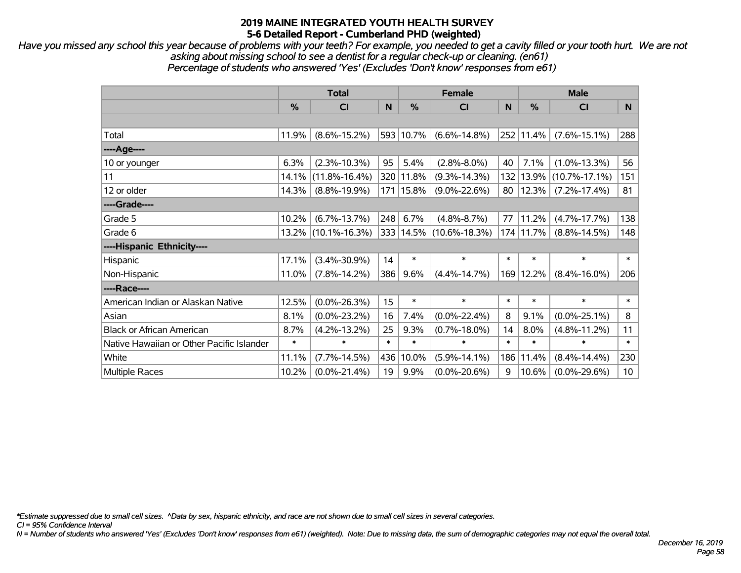*Have you missed any school this year because of problems with your teeth? For example, you needed to get a cavity filled or your tooth hurt. We are not asking about missing school to see a dentist for a regular check-up or cleaning. (en61) Percentage of students who answered 'Yes' (Excludes 'Don't know' responses from e61)*

|                                           | <b>Total</b>  |                     |        | <b>Female</b> | <b>Male</b>                 |        |               |                     |                 |
|-------------------------------------------|---------------|---------------------|--------|---------------|-----------------------------|--------|---------------|---------------------|-----------------|
|                                           | $\frac{0}{0}$ | <b>CI</b>           | N      | $\frac{0}{0}$ | <b>CI</b>                   | N      | $\frac{9}{6}$ | <b>CI</b>           | N.              |
|                                           |               |                     |        |               |                             |        |               |                     |                 |
| Total                                     | 11.9%         | $(8.6\% - 15.2\%)$  |        | 593 10.7%     | $(6.6\% - 14.8\%)$          |        | 252 11.4%     | $(7.6\% - 15.1\%)$  | 288             |
| ----Age----                               |               |                     |        |               |                             |        |               |                     |                 |
| 10 or younger                             | 6.3%          | $(2.3\% - 10.3\%)$  | 95     | 5.4%          | $(2.8\% - 8.0\%)$           | 40     | 7.1%          | $(1.0\% - 13.3\%)$  | 56              |
| 11                                        | 14.1%         | $(11.8\% - 16.4\%)$ | 320    | 11.8%         | $(9.3\% - 14.3\%)$          |        | 132 13.9%     | $(10.7\% - 17.1\%)$ | 151             |
| 12 or older                               | 14.3%         | $(8.8\% - 19.9\%)$  |        | 171 15.8%     | $(9.0\% - 22.6\%)$          | 80     | 12.3%         | $(7.2\% - 17.4\%)$  | 81              |
| ----Grade----                             |               |                     |        |               |                             |        |               |                     |                 |
| Grade 5                                   | 10.2%         | $(6.7\% - 13.7\%)$  | 248    | 6.7%          | $(4.8\% - 8.7\%)$           | 77     | 11.2%         | $(4.7\% - 17.7\%)$  | 138             |
| Grade 6                                   |               | 13.2% (10.1%-16.3%) |        |               | 333   14.5%   (10.6%-18.3%) |        | 174 11.7%     | $(8.8\% - 14.5\%)$  | 148             |
| ----Hispanic Ethnicity----                |               |                     |        |               |                             |        |               |                     |                 |
| Hispanic                                  | 17.1%         | $(3.4\% - 30.9\%)$  | 14     | $\ast$        | $\ast$                      | $\ast$ | $\ast$        | $\ast$              | $\ast$          |
| Non-Hispanic                              | 11.0%         | $(7.8\% - 14.2\%)$  | 386    | 9.6%          | $(4.4\% - 14.7\%)$          |        | 169 12.2%     | $(8.4\% - 16.0\%)$  | 206             |
| ----Race----                              |               |                     |        |               |                             |        |               |                     |                 |
| American Indian or Alaskan Native         | 12.5%         | $(0.0\% - 26.3\%)$  | 15     | $\ast$        | $\ast$                      | $\ast$ | $\ast$        | $\ast$              | $\ast$          |
| Asian                                     | 8.1%          | $(0.0\% - 23.2\%)$  | 16     | 7.4%          | $(0.0\% - 22.4\%)$          | 8      | 9.1%          | $(0.0\% - 25.1\%)$  | 8               |
| <b>Black or African American</b>          | 8.7%          | $(4.2\% - 13.2\%)$  | 25     | 9.3%          | $(0.7\% - 18.0\%)$          | 14     | 8.0%          | $(4.8\% - 11.2\%)$  | 11              |
| Native Hawaiian or Other Pacific Islander | $\ast$        | $\ast$              | $\ast$ | $\ast$        | $\ast$                      | $\ast$ | $\ast$        | $\ast$              | $\ast$          |
| White                                     | 11.1%         | $(7.7\% - 14.5\%)$  | 436    | 10.0%         | $(5.9\% - 14.1\%)$          | 186    | 11.4%         | $(8.4\% - 14.4\%)$  | 230             |
| <b>Multiple Races</b>                     | 10.2%         | $(0.0\% - 21.4\%)$  | 19     | 9.9%          | $(0.0\% - 20.6\%)$          | 9      | 10.6%         | $(0.0\% - 29.6\%)$  | 10 <sup>°</sup> |

*\*Estimate suppressed due to small cell sizes. ^Data by sex, hispanic ethnicity, and race are not shown due to small cell sizes in several categories.*

*CI = 95% Confidence Interval*

*N = Number of students who answered 'Yes' (Excludes 'Don't know' responses from e61) (weighted). Note: Due to missing data, the sum of demographic categories may not equal the overall total.*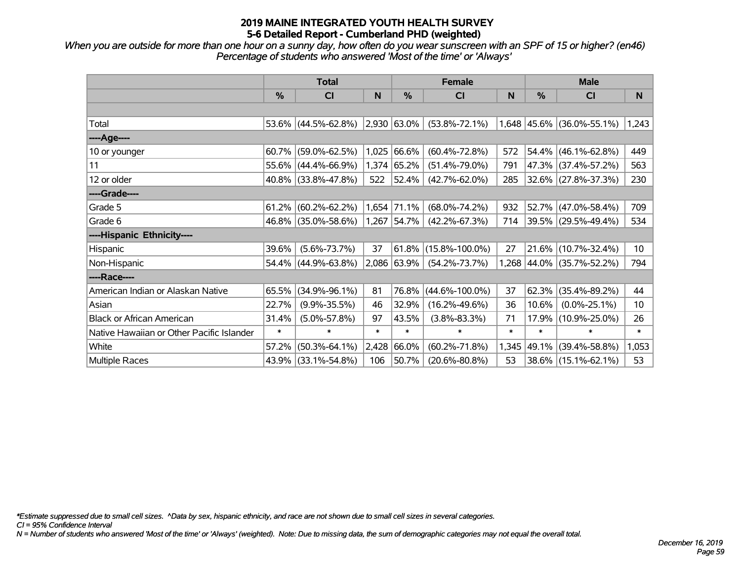*When you are outside for more than one hour on a sunny day, how often do you wear sunscreen with an SPF of 15 or higher? (en46) Percentage of students who answered 'Most of the time' or 'Always'*

|                                           | <b>Total</b> |                        |        |                  | <b>Female</b>           |        | <b>Male</b> |                           |        |  |
|-------------------------------------------|--------------|------------------------|--------|------------------|-------------------------|--------|-------------|---------------------------|--------|--|
|                                           | $\%$         | <b>CI</b>              | N      | %                | <b>CI</b>               | N      | %           | <b>CI</b>                 | N      |  |
|                                           |              |                        |        |                  |                         |        |             |                           |        |  |
| Total                                     |              | 53.6% (44.5%-62.8%)    |        | $ 2,930 63.0\% $ | $(53.8\% - 72.1\%)$     |        |             | 1,648 45.6% (36.0%-55.1%) | 1,243  |  |
| ----Age----                               |              |                        |        |                  |                         |        |             |                           |        |  |
| 10 or younger                             | 60.7%        | $(59.0\% - 62.5\%)$    | 1,025  | 66.6%            | $(60.4\% - 72.8\%)$     | 572    |             | 54.4% (46.1%-62.8%)       | 449    |  |
| 11                                        |              | 55.6% (44.4%-66.9%)    |        | $1,374$ 65.2%    | $(51.4\% - 79.0\%)$     | 791    |             | 47.3% (37.4%-57.2%)       | 563    |  |
| 12 or older                               |              | 40.8% (33.8%-47.8%)    | 522    | 52.4%            | $(42.7\% - 62.0\%)$     | 285    |             | 32.6% (27.8%-37.3%)       | 230    |  |
| ----Grade----                             |              |                        |        |                  |                         |        |             |                           |        |  |
| Grade 5                                   | 61.2%        | $(60.2\% - 62.2\%)$    |        | 1,654 71.1%      | $(68.0\% - 74.2\%)$     | 932    |             | 52.7% (47.0%-58.4%)       | 709    |  |
| Grade 6                                   |              | 46.8% (35.0%-58.6%)    |        | 1,267 54.7%      | $(42.2\% - 67.3\%)$     | 714    |             | 39.5% (29.5%-49.4%)       | 534    |  |
| ----Hispanic Ethnicity----                |              |                        |        |                  |                         |        |             |                           |        |  |
| Hispanic                                  | 39.6%        | $(5.6\% - 73.7\%)$     | 37     |                  | $61.8\%$ (15.8%-100.0%) | 27     |             | 21.6% (10.7%-32.4%)       | 10     |  |
| Non-Hispanic                              |              | $54.4\%$ (44.9%-63.8%) |        | $ 2,086 63.9\% $ | $(54.2\% - 73.7\%)$     |        |             | 1,268 44.0% (35.7%-52.2%) | 794    |  |
| ----Race----                              |              |                        |        |                  |                         |        |             |                           |        |  |
| American Indian or Alaskan Native         | 65.5%        | $(34.9\% - 96.1\%)$    | 81     | 76.8%            | $(44.6\% - 100.0\%)$    | 37     |             | $62.3\%$ (35.4%-89.2%)    | 44     |  |
| Asian                                     | 22.7%        | $(9.9\% - 35.5\%)$     | 46     | 32.9%            | $(16.2\% - 49.6\%)$     | 36     | 10.6%       | $(0.0\% - 25.1\%)$        | 10     |  |
| <b>Black or African American</b>          | 31.4%        | $(5.0\% - 57.8\%)$     | 97     | 43.5%            | $(3.8\% - 83.3\%)$      | 71     |             | 17.9% (10.9%-25.0%)       | 26     |  |
| Native Hawaiian or Other Pacific Islander | $\ast$       | $\ast$                 | $\ast$ | $\ast$           | $\ast$                  | $\ast$ | $\ast$      | $\ast$                    | $\ast$ |  |
| White                                     | 57.2%        | $(50.3\% - 64.1\%)$    | 2,428  | 66.0%            | $(60.2\% - 71.8\%)$     | 1,345  |             | 49.1% (39.4%-58.8%)       | 1,053  |  |
| Multiple Races                            |              | 43.9% (33.1%-54.8%)    | 106    | 50.7%            | $(20.6\% - 80.8\%)$     | 53     |             | 38.6% (15.1%-62.1%)       | 53     |  |

*\*Estimate suppressed due to small cell sizes. ^Data by sex, hispanic ethnicity, and race are not shown due to small cell sizes in several categories.*

*CI = 95% Confidence Interval*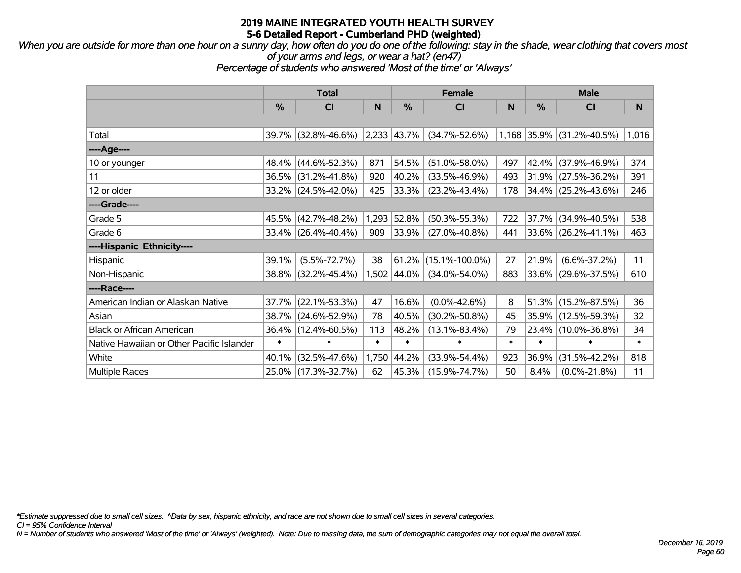#### *When you are outside for more than one hour on a sunny day, how often do you do one of the following: stay in the shade, wear clothing that covers most of your arms and legs, or wear a hat? (en47)*

*Percentage of students who answered 'Most of the time' or 'Always'*

|                                           | <b>Total</b>  |                        |        |                  | <b>Female</b>        |        | <b>Male</b> |                           |        |  |
|-------------------------------------------|---------------|------------------------|--------|------------------|----------------------|--------|-------------|---------------------------|--------|--|
|                                           | $\frac{0}{0}$ | <b>CI</b>              | N      | %                | CI                   | N      | %           | <b>CI</b>                 | N      |  |
|                                           |               |                        |        |                  |                      |        |             |                           |        |  |
| Total                                     |               | 39.7% (32.8%-46.6%)    |        | $ 2,233 43.7\% $ | $(34.7\% - 52.6\%)$  |        |             | 1,168 35.9% (31.2%-40.5%) | 1,016  |  |
| ----Age----                               |               |                        |        |                  |                      |        |             |                           |        |  |
| 10 or younger                             |               | 48.4% (44.6%-52.3%)    | 871    | 54.5%            | $(51.0\% - 58.0\%)$  | 497    | 42.4%       | $(37.9\% - 46.9\%)$       | 374    |  |
| 11                                        |               | 36.5% (31.2%-41.8%)    | 920    | 40.2%            | $(33.5\% - 46.9\%)$  | 493    |             | $31.9\%$ (27.5%-36.2%)    | 391    |  |
| 12 or older                               |               | 33.2% (24.5%-42.0%)    | 425    | 33.3%            | $(23.2\% - 43.4\%)$  | 178    |             | 34.4% (25.2%-43.6%)       | 246    |  |
| ----Grade----                             |               |                        |        |                  |                      |        |             |                           |        |  |
| Grade 5                                   |               | 45.5% (42.7%-48.2%)    | 1,293  | 52.8%            | $(50.3\% - 55.3\%)$  | 722    | $37.7\%$    | $(34.9\% - 40.5\%)$       | 538    |  |
| Grade 6                                   |               | $33.4\%$ (26.4%-40.4%) | 909    | 33.9%            | $(27.0\% - 40.8\%)$  | 441    |             | $33.6\%$ (26.2%-41.1%)    | 463    |  |
| ----Hispanic Ethnicity----                |               |                        |        |                  |                      |        |             |                           |        |  |
| Hispanic                                  | 39.1%         | $(5.5\% - 72.7\%)$     | 38     | 61.2%            | $(15.1\% - 100.0\%)$ | 27     | 21.9%       | $(6.6\% - 37.2\%)$        | 11     |  |
| Non-Hispanic                              |               | 38.8% (32.2%-45.4%)    |        | 1,502 44.0%      | $(34.0\% - 54.0\%)$  | 883    |             | 33.6% (29.6%-37.5%)       | 610    |  |
| ----Race----                              |               |                        |        |                  |                      |        |             |                           |        |  |
| American Indian or Alaskan Native         | 37.7%         | $(22.1\% - 53.3\%)$    | 47     | 16.6%            | $(0.0\% - 42.6\%)$   | 8      |             | 51.3% (15.2%-87.5%)       | 36     |  |
| Asian                                     |               | 38.7% (24.6%-52.9%)    | 78     | 40.5%            | $(30.2\% - 50.8\%)$  | 45     |             | 35.9% (12.5%-59.3%)       | 32     |  |
| <b>Black or African American</b>          |               | 36.4% (12.4%-60.5%)    | 113    | 48.2%            | $(13.1\% - 83.4\%)$  | 79     |             | 23.4% (10.0%-36.8%)       | 34     |  |
| Native Hawaiian or Other Pacific Islander | $\ast$        | $\ast$                 | $\ast$ | $\ast$           | $\ast$               | $\ast$ | $\ast$      | $\ast$                    | $\ast$ |  |
| White                                     | 40.1%         | $(32.5\% - 47.6\%)$    | 1,750  | 44.2%            | $(33.9\% - 54.4\%)$  | 923    | 36.9%       | $(31.5\% - 42.2\%)$       | 818    |  |
| <b>Multiple Races</b>                     |               | 25.0% (17.3%-32.7%)    | 62     | 45.3%            | $(15.9\% - 74.7\%)$  | 50     | 8.4%        | $(0.0\% - 21.8\%)$        | 11     |  |

*\*Estimate suppressed due to small cell sizes. ^Data by sex, hispanic ethnicity, and race are not shown due to small cell sizes in several categories.*

*CI = 95% Confidence Interval*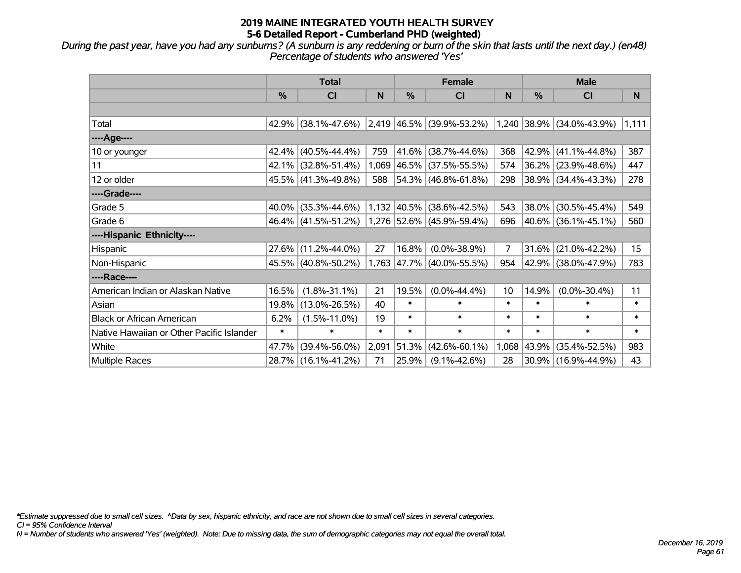*During the past year, have you had any sunburns? (A sunburn is any reddening or burn of the skin that lasts until the next day.) (en48) Percentage of students who answered 'Yes'*

|                                           | <b>Total</b>  |                        |        |               | <b>Female</b>                                 |                | <b>Male</b> |                           |        |  |
|-------------------------------------------|---------------|------------------------|--------|---------------|-----------------------------------------------|----------------|-------------|---------------------------|--------|--|
|                                           | $\frac{0}{0}$ | <b>CI</b>              | N      | $\frac{0}{0}$ | <b>CI</b>                                     | N              | %           | <b>CI</b>                 | N      |  |
|                                           |               |                        |        |               |                                               |                |             |                           |        |  |
| Total                                     |               |                        |        |               | 42.9% (38.1%-47.6%) 2,419 46.5% (39.9%-53.2%) |                |             | 1,240 38.9% (34.0%-43.9%) | 1,111  |  |
| ----Age----                               |               |                        |        |               |                                               |                |             |                           |        |  |
| 10 or younger                             |               | $42.4\%$ (40.5%-44.4%) | 759    |               | 41.6% (38.7%-44.6%)                           | 368            | 42.9%       | $(41.1\% - 44.8\%)$       | 387    |  |
| 11                                        |               | 42.1% (32.8%-51.4%)    |        |               | $1,069$ 46.5% (37.5%-55.5%)                   | 574            |             | 36.2% (23.9%-48.6%)       | 447    |  |
| 12 or older                               |               | 45.5% (41.3%-49.8%)    | 588    |               | $ 54.3\% $ (46.8%-61.8%)                      | 298            |             | $38.9\%$ (34.4%-43.3%)    | 278    |  |
| ----Grade----                             |               |                        |        |               |                                               |                |             |                           |        |  |
| Grade 5                                   |               | $40.0\%$ (35.3%-44.6%) |        |               | $1,132$ 40.5% (38.6%-42.5%)                   | 543            |             | 38.0% (30.5%-45.4%)       | 549    |  |
| Grade 6                                   |               | 46.4% (41.5%-51.2%)    |        |               | 1,276 52.6% (45.9%-59.4%)                     | 696            |             | 40.6% (36.1%-45.1%)       | 560    |  |
| ----Hispanic Ethnicity----                |               |                        |        |               |                                               |                |             |                           |        |  |
| Hispanic                                  |               | $27.6\%$ (11.2%-44.0%) | 27     | 16.8%         | $(0.0\% - 38.9\%)$                            | $\overline{7}$ | 31.6%       | $(21.0\% - 42.2\%)$       | 15     |  |
| Non-Hispanic                              |               | 45.5% (40.8%-50.2%)    |        |               | 1,763 47.7% (40.0%-55.5%)                     | 954            |             | 42.9% (38.0%-47.9%)       | 783    |  |
| ----Race----                              |               |                        |        |               |                                               |                |             |                           |        |  |
| American Indian or Alaskan Native         | 16.5%         | $(1.8\% - 31.1\%)$     | 21     | 19.5%         | $(0.0\% - 44.4\%)$                            | 10             | 14.9%       | $(0.0\% - 30.4\%)$        | 11     |  |
| Asian                                     | 19.8%         | $(13.0\% - 26.5\%)$    | 40     | $\ast$        | $\ast$                                        | $\ast$         | $\ast$      | $\ast$                    | $\ast$ |  |
| <b>Black or African American</b>          | 6.2%          | $(1.5\% - 11.0\%)$     | 19     | $\ast$        | $\ast$                                        | $\ast$         | $\ast$      | $\ast$                    | $\ast$ |  |
| Native Hawaiian or Other Pacific Islander | $\ast$        | $\ast$                 | $\ast$ | $\ast$        | $\ast$                                        | $\ast$         | $\ast$      | $\ast$                    | $\ast$ |  |
| White                                     | 47.7%         | $(39.4\% - 56.0\%)$    | 2,091  | 51.3%         | $(42.6\% - 60.1\%)$                           | 1,068          | 43.9%       | $(35.4\% - 52.5\%)$       | 983    |  |
| Multiple Races                            |               | 28.7% (16.1%-41.2%)    | 71     | 25.9%         | $(9.1\% - 42.6\%)$                            | 28             |             | 30.9% (16.9%-44.9%)       | 43     |  |

*\*Estimate suppressed due to small cell sizes. ^Data by sex, hispanic ethnicity, and race are not shown due to small cell sizes in several categories.*

*CI = 95% Confidence Interval*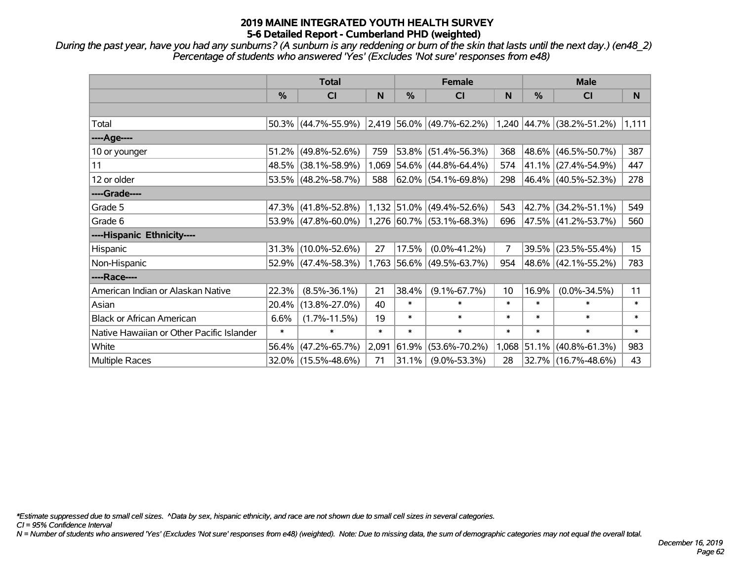*During the past year, have you had any sunburns? (A sunburn is any reddening or burn of the skin that lasts until the next day.) (en48\_2) Percentage of students who answered 'Yes' (Excludes 'Not sure' responses from e48)*

|                                           | <b>Total</b>  |                                                  |        | <b>Female</b> |                             |                | <b>Male</b> |                           |          |  |
|-------------------------------------------|---------------|--------------------------------------------------|--------|---------------|-----------------------------|----------------|-------------|---------------------------|----------|--|
|                                           | $\frac{0}{0}$ | CI                                               | N      | $\frac{0}{0}$ | <b>CI</b>                   | N              | %           | <b>CI</b>                 | <b>N</b> |  |
|                                           |               |                                                  |        |               |                             |                |             |                           |          |  |
| Total                                     |               | $50.3\%$ (44.7%-55.9%) 2,419 56.0% (49.7%-62.2%) |        |               |                             |                |             | 1,240 44.7% (38.2%-51.2%) | 1,111    |  |
| ----Age----                               |               |                                                  |        |               |                             |                |             |                           |          |  |
| 10 or younger                             |               | $51.2\%$ (49.8%-52.6%)                           | 759    |               | 53.8% (51.4%-56.3%)         | 368            | $148.6\%$   | $(46.5\% - 50.7\%)$       | 387      |  |
| 11                                        |               | 48.5% (38.1%-58.9%)                              |        |               | $1,069$ 54.6% (44.8%-64.4%) | 574            |             | 41.1% (27.4%-54.9%)       | 447      |  |
| 12 or older                               |               | $53.5\%$ (48.2%-58.7%)                           | 588    |               | $ 62.0\% $ (54.1%-69.8%)    | 298            |             | 46.4% (40.5%-52.3%)       | 278      |  |
| ----Grade----                             |               |                                                  |        |               |                             |                |             |                           |          |  |
| Grade 5                                   |               | 47.3% (41.8%-52.8%)                              |        |               | $1,132$ 51.0% (49.4%-52.6%) | 543            |             | 42.7% (34.2%-51.1%)       | 549      |  |
| Grade 6                                   |               | $53.9\%$ (47.8%-60.0%)                           |        |               | $1,276$ 60.7% (53.1%-68.3%) | 696            |             | 47.5% (41.2%-53.7%)       | 560      |  |
| ----Hispanic Ethnicity----                |               |                                                  |        |               |                             |                |             |                           |          |  |
| Hispanic                                  |               | $31.3\%$ (10.0%-52.6%)                           | 27     | 17.5%         | $(0.0\% - 41.2\%)$          | $\overline{7}$ | 39.5%       | $(23.5\% - 55.4\%)$       | 15       |  |
| Non-Hispanic                              |               | $52.9\%$ (47.4%-58.3%)                           |        |               | 1,763 56.6% (49.5%-63.7%)   | 954            |             | 48.6% (42.1%-55.2%)       | 783      |  |
| ----Race----                              |               |                                                  |        |               |                             |                |             |                           |          |  |
| American Indian or Alaskan Native         | 22.3%         | $(8.5\% - 36.1\%)$                               | 21     | 38.4%         | $(9.1\% - 67.7\%)$          | 10             | 16.9%       | $(0.0\% - 34.5\%)$        | 11       |  |
| Asian                                     | $20.4\%$      | $(13.8\% - 27.0\%)$                              | 40     | $\ast$        | $\ast$                      | $\ast$         | $\ast$      | $\ast$                    | $\ast$   |  |
| <b>Black or African American</b>          | 6.6%          | $(1.7\% - 11.5\%)$                               | 19     | $\ast$        | $\ast$                      | $\ast$         | $\ast$      | $\ast$                    | $\ast$   |  |
| Native Hawaiian or Other Pacific Islander | $\ast$        | $\ast$                                           | $\ast$ | $\ast$        | $\ast$                      | $\ast$         | $\ast$      | $\ast$                    | $\ast$   |  |
| White                                     | 56.4%         | $(47.2\% - 65.7\%)$                              | 2,091  | 61.9%         | $(53.6\% - 70.2\%)$         | 1,068          | 51.1%       | $(40.8\% - 61.3\%)$       | 983      |  |
| Multiple Races                            |               | 32.0% (15.5%-48.6%)                              | 71     | 31.1%         | $(9.0\% - 53.3\%)$          | 28             |             | 32.7% (16.7%-48.6%)       | 43       |  |

*\*Estimate suppressed due to small cell sizes. ^Data by sex, hispanic ethnicity, and race are not shown due to small cell sizes in several categories.*

*CI = 95% Confidence Interval*

*N = Number of students who answered 'Yes' (Excludes 'Not sure' responses from e48) (weighted). Note: Due to missing data, the sum of demographic categories may not equal the overall total.*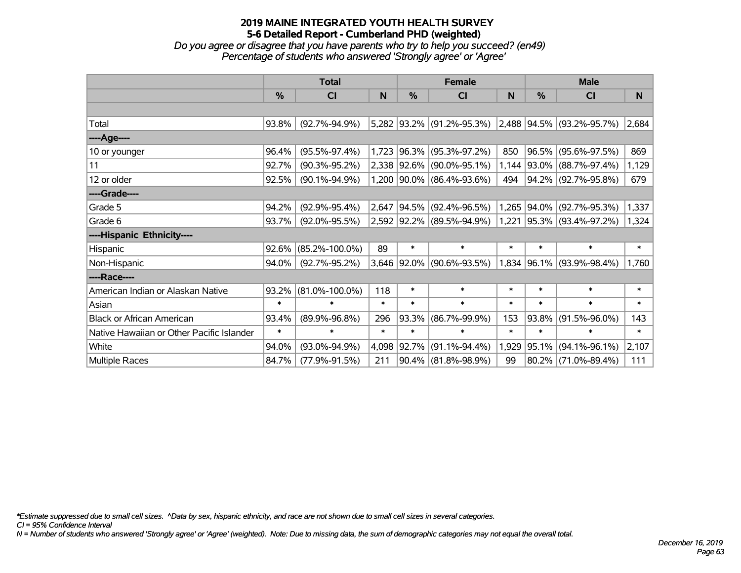*Do you agree or disagree that you have parents who try to help you succeed? (en49) Percentage of students who answered 'Strongly agree' or 'Agree'*

|                                           | <b>Total</b>  |                      |        | <b>Female</b> |                                                     |        | <b>Male</b>   |                           |        |  |
|-------------------------------------------|---------------|----------------------|--------|---------------|-----------------------------------------------------|--------|---------------|---------------------------|--------|--|
|                                           | $\frac{0}{0}$ | CI                   | N      | $\frac{0}{0}$ | CI                                                  | N      | $\frac{0}{0}$ | CI                        | N      |  |
|                                           |               |                      |        |               |                                                     |        |               |                           |        |  |
| Total                                     | 93.8%         | $(92.7\% - 94.9\%)$  |        |               | 5,282 93.2% (91.2%-95.3%) 2,488 94.5% (93.2%-95.7%) |        |               |                           | 2,684  |  |
| ----Age----                               |               |                      |        |               |                                                     |        |               |                           |        |  |
| 10 or younger                             | 96.4%         | $(95.5\% - 97.4\%)$  | 1,723  | $ 96.3\% $    | $(95.3\% - 97.2\%)$                                 | 850    |               | 96.5% (95.6%-97.5%)       | 869    |  |
| 11                                        | 92.7%         | $(90.3\% - 95.2\%)$  |        | 2,338 92.6%   | $(90.0\% - 95.1\%)$                                 |        |               | 1,144 93.0% (88.7%-97.4%) | 1,129  |  |
| 12 or older                               | 92.5%         | $(90.1\% - 94.9\%)$  |        |               | 1,200 90.0% (86.4%-93.6%)                           | 494    |               | 94.2% (92.7%-95.8%)       | 679    |  |
| ----Grade----                             |               |                      |        |               |                                                     |        |               |                           |        |  |
| Grade 5                                   | 94.2%         | $(92.9\% - 95.4\%)$  |        | 2,647 94.5%   | $(92.4\% - 96.5\%)$                                 |        | 1,265 94.0%   | $(92.7\% - 95.3\%)$       | 1,337  |  |
| Grade 6                                   | 93.7%         | $(92.0\% - 95.5\%)$  |        |               | 2,592 92.2% (89.5%-94.9%)                           |        |               | 1,221 95.3% (93.4%-97.2%) | 1,324  |  |
| ----Hispanic Ethnicity----                |               |                      |        |               |                                                     |        |               |                           |        |  |
| Hispanic                                  | 92.6%         | $(85.2\% - 100.0\%)$ | 89     | $\ast$        | $\ast$                                              | $\ast$ | $\ast$        | $\ast$                    | $\ast$ |  |
| Non-Hispanic                              | 94.0%         | $(92.7\% - 95.2\%)$  |        |               | 3,646 92.0% (90.6%-93.5%)                           |        |               | 1,834 96.1% (93.9%-98.4%) | 1,760  |  |
| ----Race----                              |               |                      |        |               |                                                     |        |               |                           |        |  |
| American Indian or Alaskan Native         | 93.2%         | $(81.0\% - 100.0\%)$ | 118    | $\ast$        | $\ast$                                              | $\ast$ | $\ast$        | $\ast$                    | $\ast$ |  |
| Asian                                     | $\ast$        | $\ast$               | $\ast$ | $\ast$        | $\ast$                                              | $\ast$ | $\ast$        | $\ast$                    | $\ast$ |  |
| <b>Black or African American</b>          | 93.4%         | $(89.9\% - 96.8\%)$  | 296    | 93.3%         | $(86.7\% - 99.9\%)$                                 | 153    | 93.8%         | $(91.5\% - 96.0\%)$       | 143    |  |
| Native Hawaiian or Other Pacific Islander | $\ast$        | $\ast$               | $\ast$ | $\ast$        | $\ast$                                              | $\ast$ | $\ast$        | $\ast$                    | $\ast$ |  |
| White                                     | 94.0%         | $(93.0\% - 94.9\%)$  | 4,098  | 92.7%         | $(91.1\% - 94.4\%)$                                 | 1,929  | 95.1%         | $(94.1\% - 96.1\%)$       | 2,107  |  |
| Multiple Races                            | 84.7%         | $(77.9\% - 91.5\%)$  | 211    |               | $90.4\%$ (81.8%-98.9%)                              | 99     |               | 80.2% (71.0%-89.4%)       | 111    |  |

*\*Estimate suppressed due to small cell sizes. ^Data by sex, hispanic ethnicity, and race are not shown due to small cell sizes in several categories.*

*CI = 95% Confidence Interval*